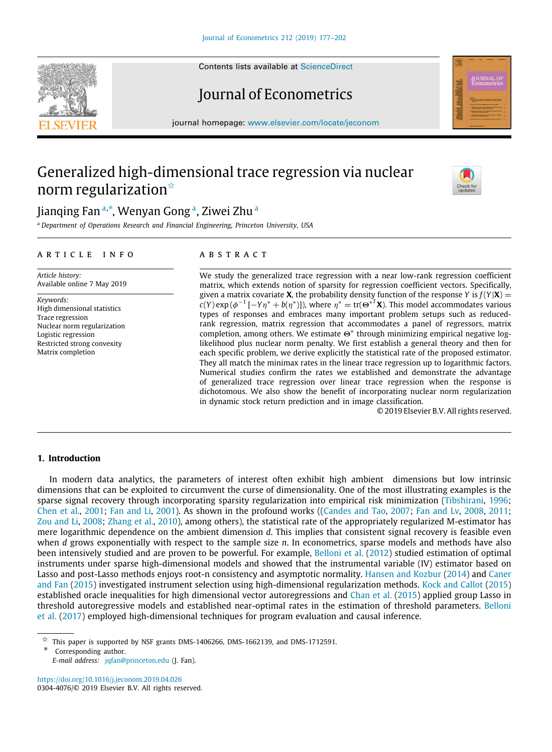Contents lists available at [ScienceDirect](http://www.elsevier.com/locate/jeconom)

# Journal of Econometrics

journal homepage: [www.elsevier.com/locate/jeconom](http://www.elsevier.com/locate/jeconom)

# Generalized high-dimensional trace regression via nuclear norm regularization<sup>☆</sup>

Ji[a](#page-0-1)nqing Fan ª<sup>,[∗](#page-0-2)</sup>, Wenyan Gong ª, Ziwei Zhu <sup>a</sup>

<span id="page-0-1"></span><sup>a</sup> *Department of Operations Research and Financial Engineering, Princeton University, USA*

#### a r t i c l e i n f o

*Article history:* Available online 7 May 2019

*Keywords:* High dimensional statistics Trace regression Nuclear norm regularization Logistic regression Restricted strong convexity Matrix completion

# A B S T R A C T

We study the generalized trace regression with a near low-rank regression coefficient matrix, which extends notion of sparsity for regression coefficient vectors. Specifically, given a matrix covariate **X**, the probability density function of the response *Y* is  $f(Y|\mathbf{X}) =$  $c(Y)$  exp ( $\phi^{-1}$  [ $-Y\eta^* + b(\eta^*)$ ]), where  $\eta^* = \text{tr}(\Theta^{*T}X)$ . This model accommodates various types of responses and embraces many important problem setups such as reducedrank regression, matrix regression that accommodates a panel of regressors, matrix completion, among others. We estimate Θ<sup>∗</sup> through minimizing empirical negative loglikelihood plus nuclear norm penalty. We first establish a general theory and then for each specific problem, we derive explicitly the statistical rate of the proposed estimator. They all match the minimax rates in the linear trace regression up to logarithmic factors. Numerical studies confirm the rates we established and demonstrate the advantage of generalized trace regression over linear trace regression when the response is dichotomous. We also show the benefit of incorporating nuclear norm regularization in dynamic stock return prediction and in image classification.

© 2019 Elsevier B.V. All rights reserved.

# **1. Introduction**

In modern data analytics, the parameters of interest often exhibit high ambient dimensions but low intrinsic dimensions that can be exploited to circumvent the curse of dimensionality. One of the most illustrating examples is the sparse signal recovery through incorporating sparsity regularization into empirical risk minimization ([Tibshirani](#page-25-0), [1996](#page-25-0); [Chen et al.](#page-24-0), [2001;](#page-24-0) [Fan and Li](#page-25-1), [2001](#page-25-1)). As shown in the profound works ([\(Candes and Tao,](#page-24-1) [2007;](#page-24-1) [Fan and Lv](#page-25-2), [2008](#page-25-2), [2011](#page-25-3); [Zou and Li](#page-25-4), [2008;](#page-25-4) [Zhang et al.](#page-25-5), [2010](#page-25-5)), among others), the statistical rate of the appropriately regularized M-estimator has mere logarithmic dependence on the ambient dimension *d*. This implies that consistent signal recovery is feasible even when *d* grows exponentially with respect to the sample size *n*. In econometrics, sparse models and methods have also been intensively studied and are proven to be powerful. For example, [Belloni et al.](#page-24-2) [\(2012\)](#page-24-2) studied estimation of optimal instruments under sparse high-dimensional models and showed that the instrumental variable (IV) estimator based on Lasso and post-Lasso methods enjoys root-n consistency and asymptotic normality. [Hansen and Kozbur](#page-25-6) ([2014](#page-25-6)) and [Caner](#page-24-3) [and Fan](#page-24-3) ([2015\)](#page-24-3) investigated instrument selection using high-dimensional regularization methods. [Kock and Callot](#page-25-7) [\(2015](#page-25-7)) established oracle inequalities for high dimensional vector autoregressions and [Chan et al.](#page-24-4) [\(2015\)](#page-24-4) applied group Lasso in threshold autoregressive models and established near-optimal rates in the estimation of threshold parameters. [Belloni](#page-24-5) [et al.](#page-24-5) ([2017\)](#page-24-5) employed high-dimensional techniques for program evaluation and causal inference.

<span id="page-0-0"></span> $\overrightarrow{x}$  This paper is supported by NSF grants DMS-1406266, DMS-1662139, and DMS-1712591.

<span id="page-0-2"></span>Corresponding author.

*E-mail address:* [jqfan@princeton.edu](mailto:jqfan@princeton.edu) (J. Fan).

<https://doi.org/10.1016/j.jeconom.2019.04.026> 0304-4076/© 2019 Elsevier B.V. All rights reserved.





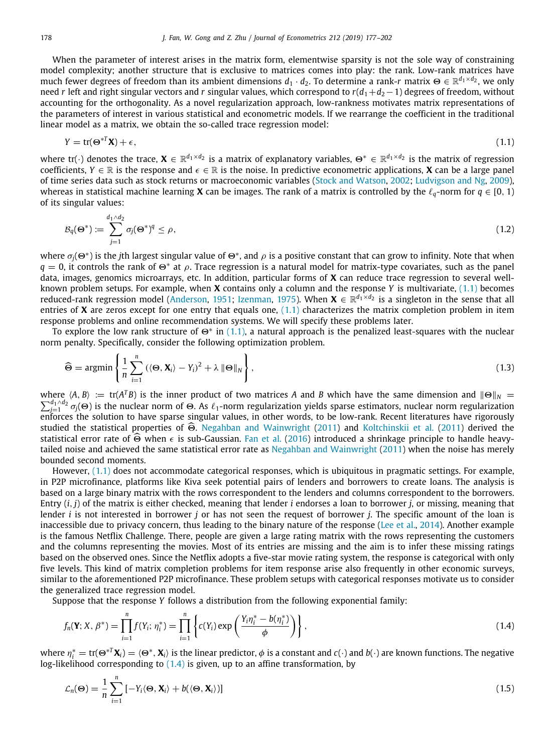When the parameter of interest arises in the matrix form, elementwise sparsity is not the sole way of constraining model complexity; another structure that is exclusive to matrices comes into play: the rank. Low-rank matrices have much fewer degrees of freedom than its ambient dimensions *d*<sup>1</sup> · *d*2. To determine a rank-*r* matrix Θ ∈ R *<sup>d</sup>*1×*d*<sup>2</sup> , we only need *r* left and right singular vectors and *r* singular values, which correspond to *r*(*d*1+*d*2−1) degrees of freedom, without accounting for the orthogonality. As a novel regularization approach, low-rankness motivates matrix representations of the parameters of interest in various statistical and econometric models. If we rearrange the coefficient in the traditional linear model as a matrix, we obtain the so-called trace regression model:

<span id="page-1-0"></span>
$$
Y = \text{tr}(\mathbf{\Theta}^{*T}\mathbf{X}) + \epsilon,\tag{1.1}
$$

where tr( $\cdot$ ) denotes the trace,  $\bm{X}\in\mathbb{R}^{d_1\times d_2}$  is a matrix of explanatory variables,  $\bm{\Theta}^*\in\mathbb{R}^{d_1\times d_2}$  is the matrix of regression coefficients,  $Y \in \mathbb{R}$  is the response and  $\epsilon \in \mathbb{R}$  is the noise. In predictive econometric applications, **X** can be a large panel of time series data such as stock returns or macroeconomic variables [\(Stock and Watson,](#page-25-8) [2002](#page-25-8); [Ludvigson and Ng,](#page-25-9) [2009](#page-25-9)), whereas in statistical machine learning **X** can be images. The rank of a matrix is controlled by the  $\ell_q$ -norm for  $q \in [0, 1)$ of its singular values:

$$
\mathcal{B}_q(\Theta^*) \coloneqq \sum_{j=1}^{d_1 \wedge d_2} \sigma_j(\Theta^*)^q \le \rho,\tag{1.2}
$$

where  $\sigma_j(\Theta^*)$  is the *j*th largest singular value of  $\Theta^*$ , and  $\rho$  is a positive constant that can grow to infinity. Note that when  $q=0$ , it controls the rank of  $\Theta^*$  at  $\rho$ . Trace regression is a natural model for matrix-type covariates, such as the panel data, images, genomics microarrays, etc. In addition, particular forms of **X** can reduce trace regression to several wellknown problem setups. For example, when **X** contains only a column and the response *Y* is multivariate, [\(1.1\)](#page-1-0) becomes reduced-rank regression model ([Anderson](#page-24-6), [1951;](#page-24-6) [Izenman,](#page-25-10) [1975](#page-25-10)). When **X** ∈ R<sup>d<sub>1×d2</sub> is a singleton in the sense that all</sup> entries of **X** are zeros except for one entry that equals one,  $(1.1)$  $(1.1)$  $(1.1)$  characterizes the matrix completion problem in item response problems and online recommendation systems. We will specify these problems later.

To explore the low rank structure of  $\Theta^*$  in ([1.1](#page-1-0)), a natural approach is the penalized least-squares with the nuclear norm penalty. Specifically, consider the following optimization problem.

$$
\widehat{\Theta} = \operatorname{argmin} \left\{ \frac{1}{n} \sum_{i=1}^{n} \left( \langle \Theta, \mathbf{X}_i \rangle - Y_i \right)^2 + \lambda \|\Theta\|_N \right\},\tag{1.3}
$$

where  $\langle A, B \rangle := \text{tr}(A^T B)$  is the inner product of two matrices *A* and *B* which have the same dimension and  $\|\Theta\|_N =$  $\sum_{j=1}^{d_1\wedge d_2}\sigma_j(\Theta)$  is the nuclear norm of  $\Theta$ . As  $\ell_1$ -norm regularization yields sparse estimators, nuclear norm regularization enforces the solution to have sparse singular values, in other words, to be low-rank. Recent literatures have rigorously studied the statistical properties of  $\widehat{\Theta}$ . [Negahban and Wainwright](#page-25-11) [\(2011](#page-25-11)) and [Koltchinskii et al.](#page-25-12) [\(2011\)](#page-25-12) derived the statistical error rate of  $\widehat{\Theta}$  when  $\epsilon$  is sub-Gaussian. [Fan et al.](#page-25-13) [\(2016](#page-25-13)) introduced a shrinkage principle to handle heavytailed noise and achieved the same statistical error rate as [Negahban and Wainwright](#page-25-11) ([2011\)](#page-25-11) when the noise has merely bounded second moments.

However, [\(1.1\)](#page-1-0) does not accommodate categorical responses, which is ubiquitous in pragmatic settings. For example, in P2P microfinance, platforms like Kiva seek potential pairs of lenders and borrowers to create loans. The analysis is based on a large binary matrix with the rows correspondent to the lenders and columns correspondent to the borrowers. Entry (*i*, *j*) of the matrix is either checked, meaning that lender *i* endorses a loan to borrower *j*, or missing, meaning that lender *i* is not interested in borrower *j* or has not seen the request of borrower *j*. The specific amount of the loan is inaccessible due to privacy concern, thus leading to the binary nature of the response ([Lee et al.,](#page-25-14) [2014](#page-25-14)). Another example is the famous Netflix Challenge. There, people are given a large rating matrix with the rows representing the customers and the columns representing the movies. Most of its entries are missing and the aim is to infer these missing ratings based on the observed ones. Since the Netflix adopts a five-star movie rating system, the response is categorical with only five levels. This kind of matrix completion problems for item response arise also frequently in other economic surveys, similar to the aforementioned P2P microfinance. These problem setups with categorical responses motivate us to consider the generalized trace regression model.

Suppose that the response *Y* follows a distribution from the following exponential family:

<span id="page-1-1"></span>
$$
f_n(\mathbf{Y}; X, \beta^*) = \prod_{i=1}^n f(Y_i; \eta_i^*) = \prod_{i=1}^n \left\{ c(Y_i) \exp\left(\frac{Y_i \eta_i^* - b(\eta_i^*)}{\phi}\right) \right\},\tag{1.4}
$$

where  $\eta_i^* = \text{tr}(\Theta^{*T}\mathbf{X}_i) = \langle \Theta^*,\mathbf{X}_i\rangle$  is the linear predictor,  $\phi$  is a constant and  $c(\cdot)$  and  $b(\cdot)$  are known functions. The negative log-likelihood corresponding to  $(1.4)$  $(1.4)$  is given, up to an affine transformation, by

$$
\mathcal{L}_n(\Theta) = \frac{1}{n} \sum_{i=1}^n \left[ -Y_i \langle \Theta, \mathbf{X}_i \rangle + b(\langle \Theta, \mathbf{X}_i \rangle) \right]
$$
(1.5)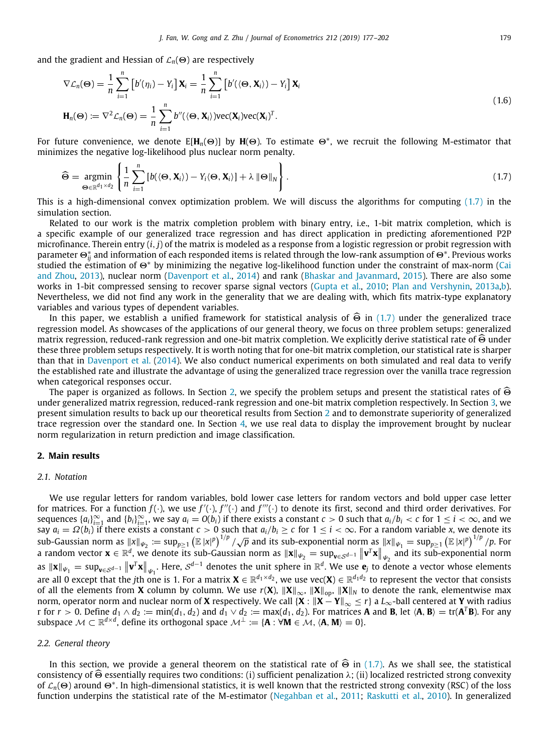and the gradient and Hessian of  $\mathcal{L}_n(\Theta)$  are respectively

$$
\nabla \mathcal{L}_n(\Theta) = \frac{1}{n} \sum_{i=1}^n \left[ b'(\eta_i) - Y_i \right] \mathbf{X}_i = \frac{1}{n} \sum_{i=1}^n \left[ b'(\langle \Theta, \mathbf{X}_i \rangle) - Y_i \right] \mathbf{X}_i
$$
  

$$
\mathbf{H}_n(\Theta) := \nabla^2 \mathcal{L}_n(\Theta) = \frac{1}{n} \sum_{i=1}^n b''(\langle \Theta, \mathbf{X}_i \rangle) \text{vec}(\mathbf{X}_i) \text{vec}(\mathbf{X}_i)^T.
$$
 (1.6)

For future convenience, we denote E[**H***n*(Θ)] by **H**(Θ). To estimate <sup>Θ</sup><sup>∗</sup> , we recruit the following M-estimator that minimizes the negative log-likelihood plus nuclear norm penalty.

<span id="page-2-0"></span>
$$
\widehat{\Theta} = \underset{\Theta \in \mathbb{R}^{d_1 \times d_2}}{\operatorname{argmin}} \left\{ \frac{1}{n} \sum_{i=1}^n \left[ b(\langle \Theta, \mathbf{X}_i \rangle) - Y_i \langle \Theta, \mathbf{X}_i \rangle \right] + \lambda \left\| \Theta \right\|_N \right\}.
$$
\n(1.7)

This is a high-dimensional convex optimization problem. We will discuss the algorithms for computing ([1.7](#page-2-0)) in the simulation section.

Related to our work is the matrix completion problem with binary entry, i.e., 1-bit matrix completion, which is a specific example of our generalized trace regression and has direct application in predicting aforementioned P2P microfinance. Therein entry (*i*, *j*) of the matrix is modeled as a response from a logistic regression or probit regression with parameter Θ<sup>∗</sup> *ij* and information of each responded items is related through the low-rank assumption of <sup>Θ</sup><sup>∗</sup> . Previous works studied the estimation of Θ<sup>∗</sup> by minimizing the negative log-likelihood function under the constraint of max-norm ([Cai](#page-24-7) [and Zhou,](#page-24-7) [2013](#page-24-7)), nuclear norm [\(Davenport et al.](#page-24-8), [2014\)](#page-24-8) and rank [\(Bhaskar and Javanmard](#page-24-9), [2015\)](#page-24-9). There are also some works in 1-bit compressed sensing to recover sparse signal vectors ([Gupta et al.](#page-25-15), [2010;](#page-25-15) [Plan and Vershynin,](#page-25-16) [2013a,](#page-25-16)[b](#page-25-17)). Nevertheless, we did not find any work in the generality that we are dealing with, which fits matrix-type explanatory variables and various types of dependent variables.<br>In this paper, we establish a unified framework for statistical analysis of  $\widehat{\Theta}$  in (1.7) under the generalized trace

In this paper, we establish a unified framework for statistical analysis of  $\Theta$  in ([1.7](#page-2-0)) under the generalized trace regression model. As showcases of the applications of our general theory, we focus on three problem set matrix regression, reduced-rank regression and one-bit matrix completion. We explicitly derive statistical rate of  $\widehat{\Theta}$  under these three problem setups respectively. It is worth noting that for one-bit matrix completion, our statistical rate is sharper than that in [Davenport et al.](#page-24-8) ([2014](#page-24-8)). We also conduct numerical experiments on both simulated and real data to verify the established rate and illustrate the advantage of using the generalized trace regression over the vanilla trace regression when categorical responses occur.

The paper is organized as follows. In Section [2,](#page-2-1) we specify the problem setups and present the statistical rates of  $\widehat{\Theta}$ under generalized matrix regression, reduced-rank regression and one-bit matrix completion respectively. In Section [3,](#page-7-0) we present simulation results to back up our theoretical results from Section [2](#page-2-1) and to demonstrate superiority of generalized trace regression over the standard one. In Section [4,](#page-13-0) we use real data to display the improvement brought by nuclear norm regularization in return prediction and image classification.

# **2. Main results**

## <span id="page-2-1"></span>*2.1. Notation*

We use regular letters for random variables, bold lower case letters for random vectors and bold upper case letter for matrices. For a function  $f(\cdot)$ , we use  $f'(\cdot)$ ,  $f''(\cdot)$  and  $f'''(\cdot)$  to denote its first, second and third order derivatives. For sequences  $\{a_i\}_{i=1}^\infty$  and  $\{b_i\}_{i=1}^\infty$ , we say  $a_i = O(b_i)$  if there exists a constant  $c > 0$  such that  $a_i/b_i < c$  for  $1 \le i < \infty$ , and we Sequences  $\{u_i\}_{i=1}$  and  $\{v_i\}_{i=1}$ , we say  $u_i = O(v_i)$  if there exists a constant  $\epsilon > 0$  such that  $u_i/v_i < \epsilon$  for  $1 \le i < \infty$ , and we<br>say  $a_i = \Omega(b_i)$  if there exists a constant  $\epsilon > 0$  such that  $a_i/b_i \ge \epsilon$  for  $1 \le i < \infty$  $\int \frac{dx}{dt} = \frac{dz(b_1)}{dt}$  in these exists a constant  $\epsilon > 0$  such that  $a_1/b_1 \le \epsilon$  for  $1 \le \epsilon < \infty$ , for a random variable  $\lambda$ , we define its sub-Gaussian norm as  $||x||_{\psi_2} := \sup_{p \ge 1} \left( \mathbb{E} |x|^p \right)^{1/p} / p$ . For a random vector  $\mathbf{x} \in \mathbb{R}^d$ , we denote its sub-Gaussian norm as  $\|\mathbf{x}\|_{\psi_2} = \sup_{\mathbf{v} \in \mathcal{S}^{d-1}} \left\| \mathbf{v}^T \mathbf{x} \right\|_{\psi_2}$  and its sub-exponential norm as  $\|\mathbf{x}\|_{\mathbf{\psi}_1} = \sup_{\mathbf{v}\in\mathcal{S}^{d-1}} \left\|\mathbf{v}^T\mathbf{x}\right\|_{\mathbf{\psi}_1}.$  Here,  $\mathcal{S}^{d-1}$  denotes the unit sphere in  $\mathbb{R}^d.$  We use  $\mathbf{e}_j$  to denote a vector whose elements are all 0 except that the jth one is 1. For a matrix  $X\in\mathbb{R}^{d_1\times d_2},$  we use vec( $X) \in\mathbb{R}^{d_1d_2}$  to represent the vector that consists of all the elements from **X** column by column. We use *r*(**X**), ∥**X**∥∞, ∥**X**∥op, ∥**X**∥*<sup>N</sup>* to denote the rank, elementwise max norm, operator norm and nuclear norm of **X** respectively. We call {**X** : ∥**X** − **Y**∥<sup>∞</sup> ≤ *r*} a *L*∞-ball centered at **Y** with radius r for  $r>0.$  Define  $d_1\wedge d_2\coloneqq\min(d_1,d_2)$  and  $d_1\vee d_2\coloneqq\max(d_1,d_2).$  For matrices  ${\bf A}$  and  ${\bf B}$ , let  $\langle{\bf A},{\bf B}\rangle=\text{tr}({\bf A}^T{\bf B}).$  For any subspace  $\mathcal{M} \subset \mathbb{R}^{d \times d}$ , define its orthogonal space  $\mathcal{M}^{\perp} := \{ \mathbf{A} : \forall \mathbf{M} \in \mathcal{M}, \langle \mathbf{A}, \mathbf{M} \rangle = 0 \}.$ 

#### *2.2. General theory*

In this section, we provide a general theorem on the statistical rate of  $\widehat{\Theta}$  in ([1.7](#page-2-0)). As we shall see, the statistical consistency of  $\widehat{\Theta}$  essentially requires two conditions: (i) sufficient penalization  $\lambda$ ; (ii) localized restricted strong convexity of <sup>L</sup>*n*(Θ) around <sup>Θ</sup><sup>∗</sup> . In high-dimensional statistics, it is well known that the restricted strong convexity (RSC) of the loss function underpins the statistical rate of the M-estimator ([Negahban et al.](#page-25-18), [2011;](#page-25-18) [Raskutti et al.](#page-25-19), [2010\)](#page-25-19). In generalized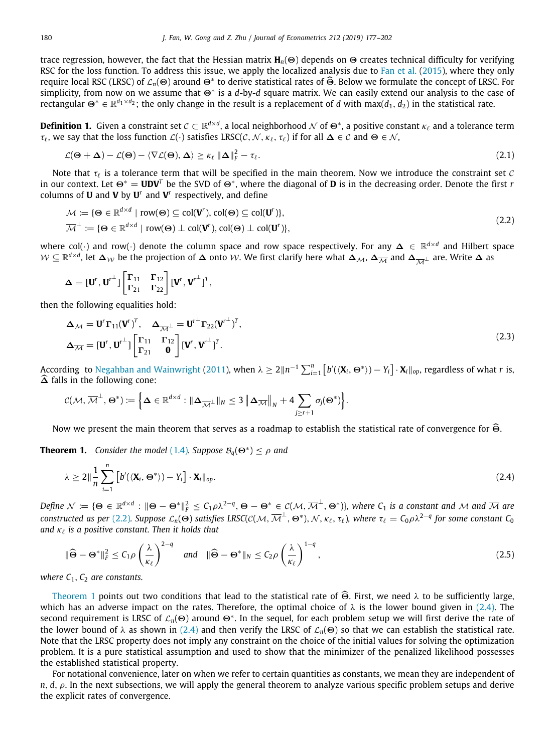trace regression, however, the fact that the Hessian matrix **H***n*(Θ) depends on Θ creates technical difficulty for verifying RSC for the loss function. To address this issue, we apply the localized analysis due to [Fan et al.](#page-25-20) ([2015](#page-25-20)), where they only require local RSC (LRSC) of  $\mathcal{L}_n(\Theta)$  around  $\Theta^*$  to derive statistical rates of Θ̂. Below we formulate the concept of LRSC. For<br>cimplicity, from now on we assume that  $\Theta^*$  is a d by d square matrix. We say easily simplicity, from now on we assume that Θ<sup>∗</sup> is a *d*-by-*d* square matrix. We can easily extend our analysis to the case of rectangular  $\Theta^*\in\R^{d_1\times d_2}$ ; the only change in the result is a replacement of  $d$  with max( $d_1,d_2$ ) in the statistical rate.

**Definition 1.** Given a constraint set  $\mathcal{C}\subset\mathbb{R}^{d\times d}$ , a local neighborhood  $\mathcal{N}$  of  $\Theta^*$ , a positive constant  $\kappa_\ell$  and a tolerance term  $\tau_{\ell}$ , we say that the loss function  $\mathcal{L}(\cdot)$  satisfies LRSC( $\mathcal{C}, \mathcal{N}, \kappa_{\ell}, \tau_{\ell}$ ) if for all  $\Delta \in \mathcal{C}$  and  $\Theta \in \mathcal{N}$ ,

$$
\mathcal{L}(\Theta + \Delta) - \mathcal{L}(\Theta) - \langle \nabla \mathcal{L}(\Theta), \Delta \rangle \ge \kappa_{\ell} \, \|\Delta\|_{\mathrm{F}}^2 - \tau_{\ell}.\tag{2.1}
$$

Note that  $\tau_\ell$  is a tolerance term that will be specified in the main theorem. Now we introduce the constraint set C in our context. Let Θ<sup>∗</sup> = **UDV***<sup>T</sup>* be the SVD of Θ<sup>∗</sup> , where the diagonal of **D** is in the decreasing order. Denote the first *r* columns of **U** and **V** by **U** *r* and **V** *r* respectively, and define

<span id="page-3-0"></span>
$$
\mathcal{M} := \{ \Theta \in \mathbb{R}^{d \times d} \mid \text{row}(\Theta) \subseteq \text{col}(\mathbf{V}^r), \text{col}(\Theta) \subseteq \text{col}(\mathbf{U}^r) \},
$$
\n
$$
\overline{\mathcal{M}}^{\perp} := \{ \Theta \in \mathbb{R}^{d \times d} \mid \text{row}(\Theta) \perp \text{col}(\mathbf{V}^r), \text{col}(\Theta) \perp \text{col}(\mathbf{U}^r) \},
$$
\n(2.2)

where col(·) and row(·) denote the column space and row space respectively. For any ∆ ∈ R *d*×*d* and Hilbert space  $\mathcal{W} \subseteq \mathbb{R}^{d\times d}$ , let  $\bm{\Delta}_{\mathcal{W}}$  be the projection of  $\bm{\Delta}$  onto  $\mathcal{W}.$  We first clarify here what  $\bm{\Delta}_{\mathcal{M}}$ ,  $\bm{\Delta}_{\overline{\mathcal{M}}}$  and  $\bm{\Delta}_{\overline{\mathcal{M}}^{\perp}}$  are. Write  $\bm{\Delta}$  as

$$
\boldsymbol{\Delta} = [\boldsymbol{U}^r, \boldsymbol{U}^{r\perp}]\begin{bmatrix} \boldsymbol{\Gamma}_{11} & \boldsymbol{\Gamma}_{12} \\ \boldsymbol{\Gamma}_{21} & \boldsymbol{\Gamma}_{22} \end{bmatrix} [\boldsymbol{V}^r, \boldsymbol{V}^{r\perp}]^T,
$$

then the following equalities hold:

$$
\Delta_{\mathcal{M}} = \mathbf{U}^r \mathbf{\Gamma}_{11} (\mathbf{V}^r)^T, \quad \Delta_{\overline{\mathcal{M}}^{\perp}} = \mathbf{U}^{r^{\perp}} \mathbf{\Gamma}_{22} (\mathbf{V}^{r^{\perp}})^T,
$$
\n
$$
\Delta_{\overline{\mathcal{M}}} = [\mathbf{U}^r, \mathbf{U}^{r^{\perp}}] \begin{bmatrix} \mathbf{\Gamma}_{11} & \mathbf{\Gamma}_{12} \\ \mathbf{\Gamma}_{21} & \mathbf{0} \end{bmatrix} [\mathbf{V}^r, \mathbf{V}^{r^{\perp}}]^T.
$$
\n(2.3)

According to [Negahban and Wainwright](#page-25-11) ([2011\)](#page-25-11), when  $\lambda \geq 2\|n^{-1}\sum_{i=1}^n \left[b'(\langle \mathbf{X}_i, \Theta^* \rangle) - Y_i\right] \cdot \mathbf{X}_i\|_{op}$ , regardless of what *r* is,  $\widehat{\Delta}$  falls in the following cone:

$$
C(\mathcal{M}, \overline{\mathcal{M}}^{\perp}, \Theta^*) \coloneqq \left\{ \Delta \in \mathbb{R}^{d \times d} : \|\Delta_{\overline{\mathcal{M}}^{\perp}}\|_{N} \leq 3 \left\| \Delta_{\overline{\mathcal{M}}}\right\|_{N} + 4 \sum_{j \geq r+1} \sigma_{j}(\Theta^*) \right\}.
$$

Now we present the main theorem that serves as a roadmap to establish the statistical rate of convergence for  $\widehat{\Theta}$ .

**Theorem 1.** *Consider the model* ([1.4](#page-1-1)). Suppose  $B_q(\Theta^*) \le \rho$  and

<span id="page-3-2"></span><span id="page-3-1"></span>
$$
\lambda \geq 2\|\frac{1}{n}\sum_{i=1}^{n} \left[ b'(\langle \mathbf{X}_i, \Theta^* \rangle) - Y_i \right] \cdot \mathbf{X}_i\|_{op}.\tag{2.4}
$$

 $\mathsf{Define} \ \mathcal{N} \coloneqq \{\mathbf{\Theta} \in \mathbb{R}^{d \times d} : \|\mathbf{\Theta}-\mathbf{\Theta}^*\|_F^2 \leq \mathcal{C}_1\rho\lambda^{2-q}, \mathbf{\Theta}-\mathbf{\Theta}^* \in \mathcal{C}(\mathcal{M}, \overline{\mathcal{M}}^\perp, \mathbf{\Theta}^*)\}, \text{ where } \mathcal{C}_1 \text{ is a constant and } \mathcal{M} \text{ and } \overline{\mathcal{M}} \text{ are } \overline{\mathcal{M}}$ *constructed as per* [\(2.2\)](#page-3-0). Suppose  $\mathcal{L}_n(\Theta)$  satisfies LRSC(C(M,  $\overline{\mathcal{M}}^{\perp}$ ,  $\Theta^*$ ), N,  $\kappa_{\ell}$ ,  $\tau_{\ell}$ ), where  $\tau_{\ell} = C_0 \rho \lambda^{2-q}$  for some constant  $C_0$ *and* κ<sup>ℓ</sup> *is a positive constant. Then it holds that*

$$
\|\widehat{\Theta} - \Theta^*\|_F^2 \le C_1 \rho \left(\frac{\lambda}{\kappa_\ell}\right)^{2-q} \quad \text{and} \quad \|\widehat{\Theta} - \Theta^*\|_N \le C_2 \rho \left(\frac{\lambda}{\kappa_\ell}\right)^{1-q},\tag{2.5}
$$

*where C*1, *C*<sup>2</sup> *are constants.*

[Theorem](#page-3-1) [1](#page-3-1) points out two conditions that lead to the statistical rate of  $\Theta$ . First, we need  $\lambda$  to be sufficiently large, which has an adverse impact on the rates. Therefore, the optimal choice of  $\lambda$  is the lower bound given in [\(2.4\)](#page-3-2). The second requirement is LRSC of  $\mathcal{L}_n(\Theta)$  around  $\Theta^*$ . In the sequel, for each problem setup we will first derive the rate of the lower bound of  $\lambda$  as shown in ([2.4](#page-3-2)) and then verify the LRSC of  $\mathcal{L}_n(\Theta)$  so that we can establish the statistical rate. Note that the LRSC property does not imply any constraint on the choice of the initial values for solving the optimization problem. It is a pure statistical assumption and used to show that the minimizer of the penalized likelihood possesses the established statistical property.

For notational convenience, later on when we refer to certain quantities as constants, we mean they are independent of  $n, d, \rho$ . In the next subsections, we will apply the general theorem to analyze various specific problem setups and derive the explicit rates of convergence.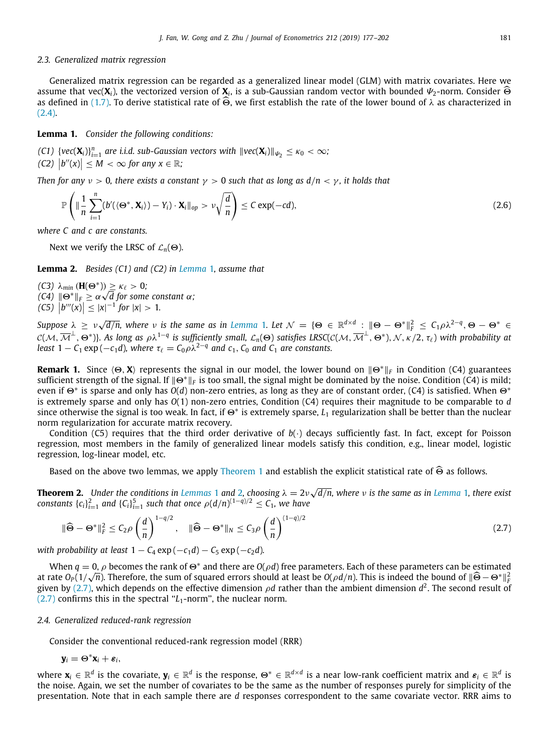## *2.3. Generalized matrix regression*

<span id="page-4-3"></span>Generalized matrix regression can be regarded as a generalized linear model (GLM) with matrix covariates. Here we assume that vec( $\mathbf{X}_i$ ), the vectorized version of  $\mathbf{X}_i$ , is a sub-Gaussian random vector with bounded  $\Psi_2$ -norm. Consider Θ<br>as defined in (1.7). To derive statistical rate of <u>Θ</u> we first establish the rate of t as defined in ([1.7\)](#page-2-0). To derive statistical rate of  $\widehat{\Theta}$ , we first establish the rate of the lower bound of  $\lambda$  as characterized in ([2.4](#page-3-2)).

<span id="page-4-0"></span>**Lemma 1.** *Consider the following conditions:*

 $f(C1)$   $\{vec(\textbf{X}_i)\}_{i=1}^n$  are i.i.d. sub-Gaussian vectors with  $\|vec(\textbf{X}_i)\|_{\psi_2} \leq \kappa_0 < \infty$ ;  $\left| f''(x) \right| \leq M < \infty$  for any  $x \in \mathbb{R}$ ;

*Then for any*  $\nu > 0$ *, there exists a constant*  $\gamma > 0$  *such that as long as*  $d/n < \gamma$ *, it holds that* 

$$
\mathbb{P}\left(\|\frac{1}{n}\sum_{i=1}^{n}(b'(\langle\Theta^*,\mathbf{X}_i\rangle)-Y_i)\cdot\mathbf{X}_i\|_{op}>\nu\sqrt{\frac{d}{n}}\right)\leq C\exp(-cd),\tag{2.6}
$$

*where C and c are constants.*

Next we verify the LRSC of  $\mathcal{L}_n(\Theta)$ .

<span id="page-4-1"></span>**Lemma 2.** *Besides (C1) and (C2) in [Lemma](#page-4-0)* [1](#page-4-0)*, assume that*

*(C3)*  $λ_{min}$  (**H**( $Θ^*$ ))  $\geq$   $κ_{\ell}$  > 0*; (C3)* λ<sub>min</sub> (**H**(Θ<sup>\*</sup>))<br>*(C4)*  $||\Theta^*||_F \geq \alpha \checkmark$ *d for some constant* α*;*  $\left| f''(x) \right| \leq |x|^{-1}$  *for*  $|x| > 1$ *.* 

 $Suppose \lambda \geq \nu \sqrt{d/n}$ , where  $\nu$  is the same as in *[Lemma](#page-4-0)* [1](#page-4-0). Let  $\mathcal{N} = \{\Theta \in \mathbb{R}^{d \times d} : \|\Theta - \Theta^*\|_F^2 \leq C_1 \rho \lambda^{2-q}, \Theta - \Theta^* \in \mathbb{R}^{d \times d} \}$  $\mathcal{L}(M, \overline{\mathcal{M}}^{\perp}, \Theta^*)$ }. As long as  $\rho \lambda^{1-q}$  is sufficiently small,  $\mathcal{L}_n(\Theta)$  satisfies LRSC( $\mathcal{C}(\mathcal{M}, \overline{\mathcal{M}}^{\perp}, \Theta^*)$ ,  $\mathcal{N}, \kappa/2, \tau_\ell$ ) with probability at *least*  $1 - C_1 \exp(-c_1 d)$ *, where*  $\tau_{\ell} = C_0 \rho \lambda^{2-q}$  *and*  $c_1$ *,*  $C_0$  *and*  $C_1$  *are constants.* 

**Remark 1.** Since ⟨Θ, **X**⟩ represents the signal in our model, the lower bound on ∥Θ<sup>∗</sup>∥*<sup>F</sup>* in Condition (C4) guarantees sufficient strength of the signal. If  $||\Theta^*||_F$  is too small, the signal might be dominated by the noise. Condition (C4) is mild; even if Θ<sup>∗</sup> is sparse and only has *O*(*d*) non-zero entries, as long as they are of constant order, (C4) is satisfied. When Θ<sup>∗</sup> is extremely sparse and only has *O*(1) non-zero entries, Condition (C4) requires their magnitude to be comparable to *d* since otherwise the signal is too weak. In fact, if  $\Theta^*$  is extremely sparse,  $L_1$  regularization shall be better than the nuclear norm regularization for accurate matrix recovery.

Condition (C5) requires that the third order derivative of  $b(\cdot)$  decays sufficiently fast. In fact, except for Poisson regression, most members in the family of generalized linear models satisfy this condition, e.g., linear model, logistic regression, log-linear model, etc.

Based on the above two lemmas, we apply [Theorem](#page-3-1) [1](#page-3-1) and establish the explicit statistical rate of  $\widehat{\Theta}$  as follows.

**Theorem [2](#page-4-1).** Under the conditions in *[Lemmas](#page-4-0)* [1](#page-4-0) and 2, choosing  $\lambda = 2\nu\sqrt{\frac{m}{n}}$ *d*/*n, where* ν *is the same as in [Lemma](#page-4-0)* [1](#page-4-0)*, there exist constants*  $\{c_i\}_{i=1}^2$  and  $\{C_i\}_{i=1}^5$  such that once  $\rho(d/n)^{(1-q)/2} \leq C_1$ , we have

<span id="page-4-2"></span>
$$
\|\widehat{\Theta} - \Theta^*\|_F^2 \le C_2 \rho \left(\frac{d}{n}\right)^{1-q/2}, \quad \|\widehat{\Theta} - \Theta^*\|_N \le C_3 \rho \left(\frac{d}{n}\right)^{(1-q)/2} \tag{2.7}
$$

*with probability at least*  $1 - C_4 \exp(-c_1 d) - C_5 \exp(-c_2 d)$ .

When  $q = 0$ ,  $\rho$  becomes the rank of  $\Theta^*$  and there are  $O(\rho d)$  free parameters. Each of these parameters can be estimated at rate  $O_P(1/\sqrt{n})$ . Therefore, the sum of squared errors should at least be  $O(\rho d/n)$ . This is indeed the bound of ∥Θ − Θ\*∥ $^2$ given by [\(2.7\)](#page-4-2), which depends on the effective dimension  $\rho d$  rather than the ambient dimension  $d^2$ . The second result of  $(2.7)$  $(2.7)$  $(2.7)$  confirms this in the spectral " $L_1$ -norm", the nuclear norm.

## *2.4. Generalized reduced-rank regression*

Consider the conventional reduced-rank regression model (RRR)

$$
\mathbf{y}_i = \mathbf{\Theta}^* \mathbf{x}_i + \boldsymbol{\varepsilon}_i,
$$

where  $\mathbf{x}_i\in\mathbb{R}^d$  is the covariate,  $\mathbf{y}_i\in\mathbb{R}^d$  is the response,  $\Theta^*\in\mathbb{R}^{d\times d}$  is a near low-rank coefficient matrix and  $\bm{\varepsilon}_i\in\mathbb{R}^d$  is the noise. Again, we set the number of covariates to be the same as the number of responses purely for simplicity of the presentation. Note that in each sample there are *d* responses correspondent to the same covariate vector. RRR aims to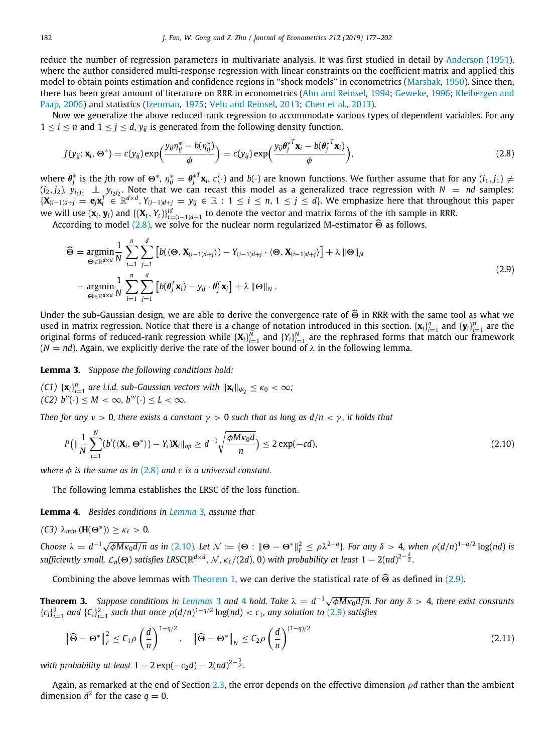reduce the number of regression parameters in multivariate analysis. It was first studied in detail by [Anderson](#page-24-6) [\(1951](#page-24-6)), where the author considered multi-response regression with linear constraints on the coefficient matrix and applied this model to obtain points estimation and confidence regions in ''shock models'' in econometrics ([Marshak,](#page-25-21) [1950](#page-25-21)). Since then, there has been great amount of literature on RRR in econometrics ([Ahn and Reinsel,](#page-24-10) [1994;](#page-24-10) [Geweke,](#page-25-22) [1996](#page-25-22); [Kleibergen and](#page-25-23) [Paap](#page-25-23), [2006\)](#page-25-23) and statistics [\(Izenman](#page-25-10), [1975](#page-25-10); [Velu and Reinsel,](#page-25-24) [2013](#page-25-24); [Chen et al.](#page-24-11), [2013](#page-24-11)).

Now we generalize the above reduced-rank regression to accommodate various types of dependent variables. For any  $1 \leq i \leq n$  and  $1 \leq j \leq d$ ,  $y_{ij}$  is generated from the following density function.

<span id="page-5-0"></span>
$$
f(y_{ij}; \mathbf{x}_i, \Theta^*) = c(y_{ij}) \exp\left(\frac{y_{ij} \eta_{ij}^* - b(\eta_{ij}^*)}{\phi}\right) = c(y_{ij}) \exp\left(\frac{y_{ij} \theta_j^{*T} \mathbf{x}_i - b(\theta_j^{*T} \mathbf{x}_i)}{\phi}\right),
$$
\n(2.8)

where  $\bm{\theta}_j^*$  is the *j*th row of  $\Theta^*$ ,  $\eta_{ij}^*=\bm{\theta}_j^{*T}\mathbf{x}_i$ ,  $c(\cdot)$  and  $b(\cdot)$  are known functions. We further assume that for any  $(i_1,j_1)\neq i_2$  $(i_2, j_2)$ ,  $y_{i_1j_1} \perp \_y_{i_2j_2}$ . Note that we can recast this model as a generalized trace regression with  $N~=~$  *nd* samples:  $\{X_{(i-1)d+j} = e_jX_i^T \in \mathbb{R}^{d \times d}, Y_{(i-1)d+j} = y_{ij} \in \mathbb{R} : 1 \le i \le n, 1 \le j \le d\}$ . We emphasize here that throughout this paper we will use  $(x_i, y_i)$  and  $\{(X_t, Y_t)\}_{t=(i-1)d+1}^{id}$  to denote the vector and matrix forms of the *i*th sample in RRR.

According to model ([2.8](#page-5-0)), we solve for the nuclear norm regularized M-estimator  $\widehat{\Theta}$  as follows.

<span id="page-5-3"></span>
$$
\widehat{\Theta} = \underset{\Theta \in \mathbb{R}^{d \times d}}{\operatorname{argmin}} \frac{1}{N} \sum_{i=1}^{n} \sum_{j=1}^{d} \left[ b(\langle \Theta, \mathbf{X}_{(i-1)d+j} \rangle) - Y_{(i-1)d+j} \cdot \langle \Theta, \mathbf{X}_{(i-1)d+j} \rangle \right] + \lambda \|\Theta\|_{N}
$$
\n
$$
= \underset{\Theta \in \mathbb{R}^{d \times d}}{\operatorname{argmin}} \frac{1}{N} \sum_{i=1}^{n} \sum_{j=1}^{d} \left[ b(\theta_{j}^{T} \mathbf{x}_{i}) - y_{ij} \cdot \theta_{j}^{T} \mathbf{x}_{i} \right] + \lambda \|\Theta\|_{N} .
$$
\n(2.9)

Under the sub-Gaussian design, we are able to derive the convergence rate of  $\widehat{\Theta}$  in RRR with the same tool as what we used in matrix regression. Notice that there is a change of notation introduced in this section.  $\{x_i\}_{i=1}^n$  and  $\{y_i\}_{i=1}^n$  are the original forms of reduced-rank regression while  $\{X_i\}_{i=1}^N$  and  $\{Y_i\}_{i=1}^N$  are the rephrased forms that match our framework  $(N = nd)$ . Again, we explicitly derive the rate of the lower bound of  $\lambda$  in the following lemma.

<span id="page-5-1"></span>**Lemma 3.** *Suppose the following conditions hold:*

 $f(C1)$   $\{X_i\}_{i=1}^n$  are i.i.d. sub-Gaussian vectors with  $\|\mathbf{x}_i\|_{\mathbf{\Psi}_2} \leq \kappa_0 < \infty$ ;  $(C2)$   $b''(\cdot) \leq M < \infty$ ,  $b'''(\cdot) \leq L < \infty$ .

*Then for any*  $v > 0$ , there exists a constant  $\gamma > 0$  such that as long as  $d/n < \gamma$ , it holds that

<span id="page-5-2"></span>
$$
P\left(\|\frac{1}{N}\sum_{i=1}^{N}(b'(\langle \mathbf{X}_i, \Theta^*) \rangle - Y_i)\mathbf{X}_i\|_{op} \geq d^{-1}\sqrt{\frac{\phi M \kappa_0 d}{n}}\right) \leq 2\exp(-cd),\tag{2.10}
$$

*where*  $\phi$  *is the same as in* ([2.8\)](#page-5-0) *and c is a universal constant.* 

The following lemma establishes the LRSC of the loss function.

<span id="page-5-4"></span>**Lemma 4.** *Besides conditions in [Lemma](#page-5-1)* [3](#page-5-1)*, assume that*

*(C3)*  $λ_{min}$  (**H**( $Θ^*$ ))  $≥$   $κ_\ell > 0$ .

Choose  $\lambda = d^{-1}\sqrt{\phi M \kappa_0 d/n}$  as in [\(2.10](#page-5-2)). Let  $\mathcal{N} := {\Theta : \|\Theta - \Theta^*\|_F^2 \leq \rho \lambda^{2-q}}$ . For any  $\delta > 4$ , when  $\rho(d/n)^{1-q/2} \log(nd)$  is  $s$ ufficiently small,  ${\cal L}_n(\bm{\Theta})$  satisfies LRSC( $\mathbb{R}^{d\times d}$ ,  ${\cal N}$ ,  $\kappa_\ell/(2d)$ , 0) with probability at least  $1-2(nd)^{2-\frac{\delta}{2}}.$ 

Combining the above lemmas with [Theorem](#page-3-1) [1](#page-3-1), we can derive the statistical rate of  $\widehat{\Theta}$  as defined in ([2.9](#page-5-3)).

**Theorem [3](#page-5-1).** Suppose conditions in [Lemmas](#page-5-1) 3 and [4](#page-5-4) hold. Take  $\lambda = d^{-1}\sqrt{\phi M \kappa_0 d/n}$ . For any  $\delta > 4$ , there exist constants  ${c_i}_{i=1}^2$  and  ${C_i}_{i=1}^2$  such that once  $\rho(d/n)^{1-q/2}$  log(*nd*) < *c*<sub>1</sub>*, any solution to* ([2.9](#page-5-3)) *satisfies* 

$$
\|\widehat{\Theta} - \Theta^*\|_F^2 \le C_1 \rho \left(\frac{d}{n}\right)^{1 - q/2}, \quad \|\widehat{\Theta} - \Theta^*\|_N \le C_2 \rho \left(\frac{d}{n}\right)^{(1 - q)/2}
$$
\n(2.11)

with probability at least  $1-2\exp(-c_2d)-2(nd)^{2-\frac{\delta}{2}}.$ 

Again, as remarked at the end of Section [2.3](#page-4-3), the error depends on the effective dimension ρ*d* rather than the ambient dimension  $d^2$  for the case  $q=0$ .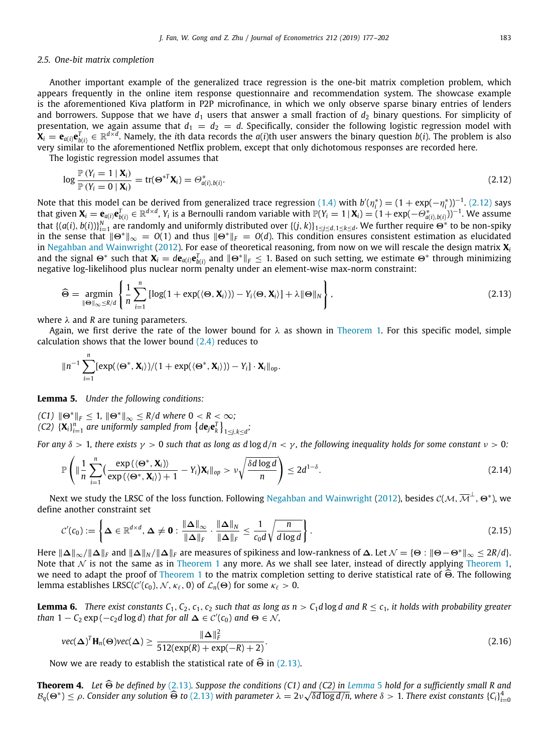## *2.5. One-bit matrix completion*

Another important example of the generalized trace regression is the one-bit matrix completion problem, which appears frequently in the online item response questionnaire and recommendation system. The showcase example is the aforementioned Kiva platform in P2P microfinance, in which we only observe sparse binary entries of lenders and borrowers. Suppose that we have  $d_1$  users that answer a small fraction of  $d_2$  binary questions. For simplicity of presentation, we again assume that  $d_1 = d_2 = d$ . Specifically, consider the following logistic regression model with  $\mathbf{\bar{X}}_i=\mathbf{e}_{a(i)}\mathbf{e}_{b(i)}^T\in\mathbb{R}^{d\times d}.$  Namely, the ith data records the  $a(i)$ th user answers the binary question  $b(i).$  The problem is also very similar to the aforementioned Netflix problem, except that only dichotomous responses are recorded here.

The logistic regression model assumes that

<span id="page-6-0"></span>
$$
\log \frac{\mathbb{P}\left(Y_i = 1 \mid \mathbf{X}_i\right)}{\mathbb{P}\left(Y_i = 0 \mid \mathbf{X}_i\right)} = \text{tr}(\mathbf{\Theta}^{*T} \mathbf{X}_i) = \Theta^*_{a(i), b(i)}.\tag{2.12}
$$

Note that this model can be derived from generalized trace regression ([1.4](#page-1-1)) with  $b'(\eta_i^*) = (1 + \exp(-\eta_i^*))^{-1}$ . ([2.12](#page-6-0)) says that given  $\mathbf{X}_i = \mathbf{e}_{a(i)} \mathbf{e}_{b(i)}^T \in \mathbb{R}^{d \times d}$ ,  $Y_i$  is a Bernoulli random variable with  $\mathbb{P}(Y_i = 1 \mid \mathbf{X}_i) = (1 + \exp(-\Theta^*_{a(i), b(i)}))^{-1}$ . We assume that  $\{(a(i), b(i))\}_{i=1}^N$  are randomly and uniformly distributed over  $\{(j, k)\}_{1\leq j\leq d, 1\leq k\leq d}$ . We further require  $\Theta^*$  to be non-spiky in the sense that  $\|\Theta^*\|_{\infty} = O(1)$  and thus  $\|\Theta^*\|_F = O(d)$ . This condition ensures consistent estimation as elucidated in [Negahban and Wainwright](#page-25-25) [\(2012](#page-25-25)). For ease of theoretical reasoning, from now on we will rescale the design matrix **X***<sup>i</sup>* and the signal  $\Theta^*$  such that  $\mathbf{X}_i = d\mathbf{e}_{a(i)}\mathbf{e}_{b(i)}^T$  and  $\|\Theta^*\|_F \leq 1$ . Based on such setting, we estimate  $\Theta^*$  through minimizing negative log-likelihood plus nuclear norm penalty under an element-wise max-norm constraint:

<span id="page-6-1"></span>
$$
\widehat{\Theta} = \underset{\|\Theta\|_{\infty} \le R/d}{\operatorname{argmin}} \left\{ \frac{1}{n} \sum_{i=1}^{n} \left[ \log(1 + \exp(\langle \Theta, \mathbf{X}_i \rangle)) - Y_i \langle \Theta, \mathbf{X}_i \rangle \right] + \lambda \|\Theta\|_N \right\},\tag{2.13}
$$

where  $\lambda$  and *R* are tuning parameters.

Again, we first derive the rate of the lower bound for  $\lambda$  as shown in [Theorem](#page-3-1) [1.](#page-3-1) For this specific model, simple calculation shows that the lower bound ([2.4\)](#page-3-2) reduces to

$$
\|n^{-1}\sum_{i=1}^n[\exp(\langle\Theta^*,\mathbf{X}_i\rangle)/(1+\exp(\langle\Theta^*,\mathbf{X}_i\rangle))-Y_i]\cdot\mathbf{X}_i\|_{\text{op}}.
$$

<span id="page-6-2"></span>**Lemma 5.** *Under the following conditions:*

*(C1)*  $||\Theta^*||_F \leq 1$ ,  $||\Theta^*||_{\infty} \leq R/d$  where 0 < R < ∞*;* (C2)  $\{X_i\}_{i=1}^n$  are uniformly sampled from  $\left\{\text{d} \mathbf{e}_j \mathbf{e}_k^T\right\}_{1\leq j,k\leq d}$ 

*For any*  $\delta > 1$ *, there exists*  $\gamma > 0$  *such that as long as d* log  $d/n < \gamma$ *, the following inequality holds for some constant*  $\nu > 0$ *:* 

$$
\mathbb{P}\left(\|\frac{1}{n}\sum_{i=1}^{n}\left(\frac{\exp\left(\langle\Theta^*,\mathbf{X}_i\rangle\right)}{\exp\left(\langle\Theta^*,\mathbf{X}_i\rangle\right)+1}-Y_i\right)\mathbf{X}_i\|_{op} > \nu\sqrt{\frac{\delta d\log d}{n}}\right) \leq 2d^{1-\delta}.
$$
\n(2.14)

Next we study the LRSC of the loss function. Following [Negahban and Wainwright](#page-25-25) ([2012](#page-25-25)), besides  $c(\cal{M},\overline{\cal{M}}^{\perp},\Theta^*)$ , we define another constraint set

$$
\mathcal{C}'(c_0) := \left\{ \Delta \in \mathbb{R}^{d \times d}, \, \Delta \neq \mathbf{0} : \frac{\|\Delta\|_{\infty}}{\|\Delta\|_{F}} \cdot \frac{\|\Delta\|_{N}}{\|\Delta\|_{F}} \leq \frac{1}{c_0 d} \sqrt{\frac{n}{d \log d}} \right\}.
$$
\n(2.15)

Here ∥∆∥∞/∥∆∥*<sup>F</sup>* and ∥∆∥*<sup>N</sup>* /∥∆∥*<sup>F</sup>* are measures of spikiness and low-rankness of <sup>∆</sup>. Let <sup>N</sup> = {<sup>Θ</sup> : ∥Θ−Θ<sup>∗</sup>∥<sup>∞</sup> ≤ 2*R*/*d*}. Note that  $N$  is not the same as in [Theorem](#page-3-1) [1](#page-3-1) any more. As we shall see later, instead of directly applying Theorem 1, we need to adapt the proof of [Theorem](#page-3-1) [1](#page-3-1) to the matrix completion setting to derive statistical rate of  $\widehat{\Theta}$ . The following lemma establishes LRSC( $\mathcal{C}'(c_0)$ , N,  $\kappa_\ell$ , 0) of  $\mathcal{L}_n(\Theta)$  for some  $\kappa_\ell > 0$ .

<span id="page-6-4"></span>**Lemma 6.** *There exist constants*  $C_1$ ,  $C_2$ ,  $c_1$ ,  $c_2$  *such that as long as*  $n > C_1 d \log d$  *and*  $R \le c_1$ *, it holds with probability greater than*  $1 - C_2 \exp(-c_2 d \log d)$  *that for all*  $\Delta \in C'(c_0)$  *and*  $\Theta \in \mathcal{N}$ *,* 

<span id="page-6-5"></span>
$$
\text{vec}(\boldsymbol{\Delta})^T \mathbf{H}_n(\boldsymbol{\Theta}) \text{vec}(\boldsymbol{\Delta}) \ge \frac{\|\boldsymbol{\Delta}\|_F^2}{512(\exp(R) + \exp(-R) + 2)}.
$$
\n(2.16)

Now we are ready to establish the statistical rate of  $\widehat{\Theta}$  in ([2.13\)](#page-6-1).

<span id="page-6-3"></span>**Theorem 4.** Let Θ be defined by [\(2.13\)](#page-6-1). Suppose the conditions (C1) and (C2) in *[Lemma](#page-6-2)* [5](#page-6-2) hold for a sufficiently small R and<br>*R* (Θ<sup>\*</sup>) < ε Consider any solution ∂ to (2.12) with naramater ) = 2y (δd log d/n, where § >  $B_q(\Theta^*) \le \rho$ . Consider any solution  $\widehat{\Theta}$  to  $(2.13)$  $(2.13)$  $(2.13)$  with parameter  $\lambda = 2\nu\sqrt{\delta d \log d/n}$ , where  $\delta > 1$ . There exist constants  $\{C_i\}_{i=0}^4$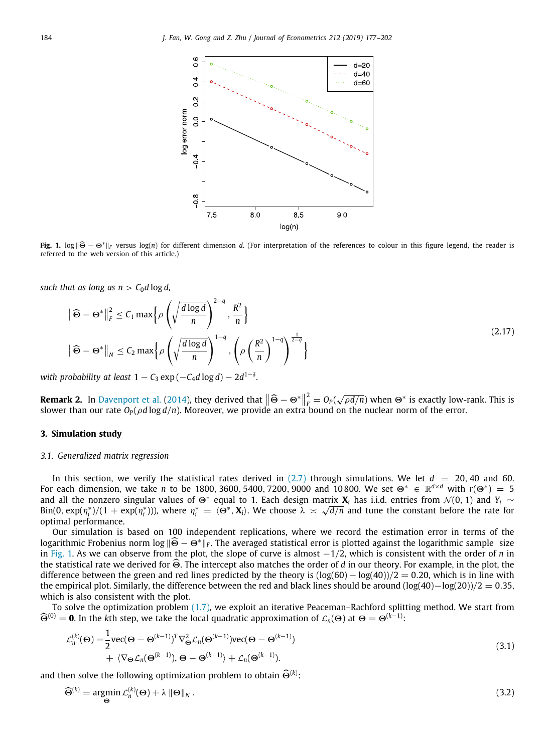

<span id="page-7-1"></span>**Fig. 1.** log <sup>∥</sup>Θ<sup>ˆ</sup> <sup>−</sup> <sup>Θ</sup><sup>∗</sup>∥*<sup>F</sup>* versus log(*n*) for different dimension *<sup>d</sup>*. (For interpretation of the references to colour in this figure legend, the reader is referred to the web version of this article.)

*such that as long as n* >  $C_0$ *d* log *d*,

$$
\|\widehat{\Theta} - \Theta^*\|_F^2 \le C_1 \max \left\{ \rho \left( \sqrt{\frac{d \log d}{n}} \right)^{2-q}, \frac{R^2}{n} \right\}
$$
\n
$$
\|\widehat{\Theta} - \Theta^*\|_N \le C_2 \max \left\{ \rho \left( \sqrt{\frac{d \log d}{n}} \right)^{1-q}, \left( \rho \left( \frac{R^2}{n} \right)^{1-q} \right)^{\frac{1}{2-q}} \right\}
$$
\n(2.17)

 $\alpha$  *with probability at least* 1  $C_3$   $\exp(-C_4d\log d)-2d^{1-\delta}.$ 

**Remark 2.** In [Davenport et al.](#page-24-8) ([2014](#page-24-8)), they derived that  $\|\hat{\Theta} - \Theta^*\|^2$  $\frac{p}{p} = O_p(\sqrt{\rho d/n})$  when  $\Theta^*$  is exactly low-rank. This is slower than our rate *O<sup>P</sup>* (ρ*d* log *d*/*n*). Moreover, we provide an extra bound on the nuclear norm of the error.

## **3. Simulation study**

## <span id="page-7-0"></span>*3.1. Generalized matrix regression*

<span id="page-7-3"></span>In this section, we verify the statistical rates derived in  $(2.7)$  through simulations. We let  $d = 20, 40$  and 60. For each dimension, we take *n* to be 1800, 3600, 5400, 7200, 9000 and 10800. We set  $\Theta^* \in \mathbb{R}^{d \times d}$  with  $r(\Theta^*) = 5$ and all the nonzero singular values of  $\Theta^*$  equal to 1. Each design matrix  $\mathbf{X}_i$  has i.i.d. entries from  $\mathcal{N}(0, 1)$  and  $Y_i \sim$  $\binom{3}{i}$   $\left(\frac{n^*}{i}\right)$   $\left(1 + \exp(\eta_i^*))\right)$ , where  $\eta_i^* = \langle e^*, \mathbf{X}_i \rangle$ . We choose  $\lambda \asymp \sqrt{d/n}$  and tune the constant before the rate for optimal performance.

Our simulation is based on 100 independent replications, where we record the estimation error in terms of the logarithmic Frobenius norm log <sup>∥</sup>Θ<sup>ˆ</sup> <sup>−</sup> <sup>Θ</sup><sup>∗</sup>∥*<sup>F</sup>* . The averaged statistical error is plotted against the logarithmic sample size in [Fig.](#page-7-1) [1](#page-7-1). As we can observe from the plot, the slope of curve is almost −1/2, which is consistent with the order of *n* in the statistical rate we derived for <sup>Θ</sup>ˆ. The intercept also matches the order of *<sup>d</sup>* in our theory. For example, in the plot, the difference between the green and red lines predicted by the theory is  $(\log(60) - \log(40))/2 = 0.20$ , which is in line with the empirical plot. Similarly, the difference between the red and black lines should be around (log(40)−log(20))/2 = 0.35, which is also consistent with the plot.

To solve the optimization problem [\(1.7\)](#page-2-0), we exploit an iterative Peaceman–Rachford splitting method. We start from  $\widehat{\Theta}^{(0)} = 0$ . In the *k*th step, we take the local quadratic approximation of  $\mathcal{L}_n(\Theta)$  at  $\Theta = \Theta^{(k-1)}$ :

$$
\mathcal{L}_n^{(k)}(\Theta) = \frac{1}{2} \text{vec}(\Theta - \Theta^{(k-1)})^T \nabla_{\Theta}^2 \mathcal{L}_n(\Theta^{(k-1)}) \text{vec}(\Theta - \Theta^{(k-1)}) \n+ \langle \nabla_{\Theta} \mathcal{L}_n(\Theta^{(k-1)}), \Theta - \Theta^{(k-1)} \rangle + \mathcal{L}_n(\Theta^{(k-1)}).
$$
\n(3.1)

and then solve the following optimization problem to obtain  $\widehat{\Theta}^{(k)}$ :

<span id="page-7-2"></span>
$$
\widehat{\Theta}^{(k)} = \underset{\Theta}{\text{argmin}} \, \mathcal{L}_n^{(k)}(\Theta) + \lambda \, \|\Theta\|_N \,. \tag{3.2}
$$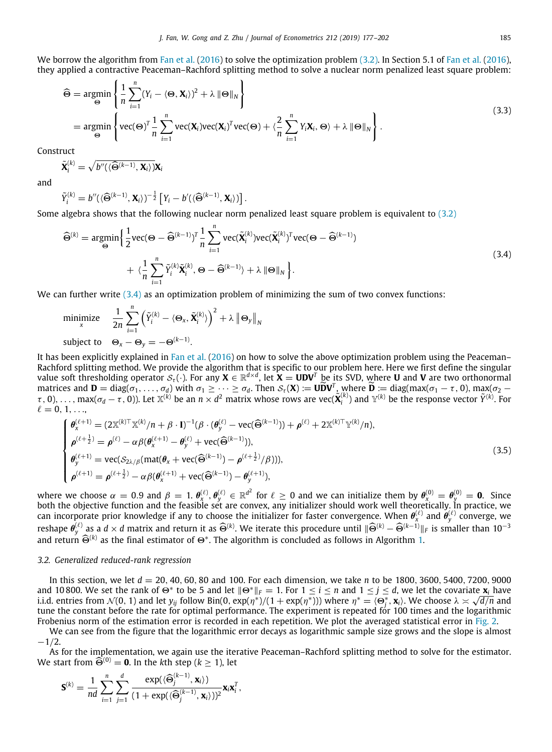We borrow the algorithm from [Fan et al.](#page-25-13) ([2016\)](#page-25-13) to solve the optimization problem [\(3.2\)](#page-7-2). In Section 5.1 of [Fan et al.](#page-25-13) [\(2016](#page-25-13)), they applied a contractive Peaceman–Rachford splitting method to solve a nuclear norm penalized least square problem:

$$
\widehat{\Theta} = \underset{\Theta}{\text{argmin}} \left\{ \frac{1}{n} \sum_{i=1}^{n} (Y_i - \langle \Theta, \mathbf{X}_i \rangle)^2 + \lambda \|\Theta\|_N \right\}
$$
\n
$$
= \underset{\Theta}{\text{argmin}} \left\{ \text{vec}(\Theta)^T \frac{1}{n} \sum_{i=1}^{n} \text{vec}(\mathbf{X}_i) \text{vec}(\mathbf{X}_i)^T \text{vec}(\Theta) + \langle \frac{2}{n} \sum_{i=1}^{n} Y_i \mathbf{X}_i, \Theta \rangle + \lambda \|\Theta\|_N \right\}. \tag{3.3}
$$

Construct

$$
\tilde{\mathbf{X}}_i^{(k)} = \sqrt{b''(\langle \widehat{\Theta}^{(k-1)}, \mathbf{X}_i \rangle)} \mathbf{X}_i
$$

and

$$
\tilde{Y}_i^{(k)}=b''(\langle\widehat{\Theta}^{(k-1)}, \mathbf{X}_i\rangle)^{-\frac{1}{2}}\left[Y_i-b'(\langle\widehat{\Theta}^{(k-1)}, \mathbf{X}_i\rangle)\right].
$$

Some algebra shows that the following nuclear norm penalized least square problem is equivalent to ([3.2](#page-7-2))

<span id="page-8-0"></span>
$$
\widehat{\Theta}^{(k)} = \underset{\Theta}{\text{argmin}} \Big\{ \frac{1}{2} \text{vec}(\Theta - \widehat{\Theta}^{(k-1)})^T \frac{1}{n} \sum_{i=1}^n \text{vec}(\widetilde{\mathbf{X}}_i^{(k)}) \text{vec}(\widetilde{\mathbf{X}}_i^{(k)})^T \text{vec}(\Theta - \widehat{\Theta}^{(k-1)}) + \langle \frac{1}{n} \sum_{i=1}^n \widetilde{Y}_i^{(k)} \widetilde{\mathbf{X}}_i^{(k)}, \Theta - \widehat{\Theta}^{(k-1)} \rangle + \lambda \|\Theta\|_N \Big\}. \tag{3.4}
$$

We can further write ([3.4](#page-8-0)) as an optimization problem of minimizing the sum of two convex functions:

minimize *x* 1 2*n* ∑*n i*=1  $\left(\tilde{Y}_{i}^{(k)} - \langle \mathbf{\Theta}_{x}, \tilde{\mathbf{X}}_{i}^{(k)} \rangle\right)^{2} + \lambda \left\Vert \mathbf{\Theta}_{y} \right\Vert_{N}$ subject to  $\Theta_x - \Theta_y = -\Theta^{(k-1)}$ .

It has been explicitly explained in [Fan et al.](#page-25-13) ([2016\)](#page-25-13) on how to solve the above optimization problem using the Peaceman– Rachford splitting method. We provide the algorithm that is specific to our problem here. Here we first define the singular value soft thresholding operator  $\mathcal{S}_t(\cdot)$ . For any  $\bm{X}\in\mathbb{R}^{d\times d}$ , let  $\bm{X}=\bm{U}\bm{D}\bm{V}^T$  be its SVD, where  $\bm{U}$  and  $\bm{V}$  are two orthonormal matrices and  $\mathbf{D} = \text{diag}(\sigma_1, \ldots, \sigma_d)$  with  $\sigma_1 \geq \cdots \geq \sigma_d$ . Then  $\mathcal{S}_{\tau}(\mathbf{X}) := \mathbf{U}\mathbf{D}\mathbf{V}^T$ , where  $\mathbf{\tilde{D}} := \text{diag}(\max(\sigma_1 - \tau, 0), \max(\sigma_2 - \tau, 0), \ldots, \max(\sigma_d - \tau, 0))$ . Let  $\mathbb{X}^{(k)}$  be an  $n \times d^2$  matrix whose  $\ell = 0, 1, \ldots$ 

$$
\begin{cases}\n\theta_x^{(\ell+1)} = (2X^{(k)\top}X^{(k)}/n + \beta \cdot \mathbf{I})^{-1}(\beta \cdot (\theta_y^{(\ell)} - \text{vec}(\widehat{\Theta}^{(k-1)})) + \rho^{(\ell)} + 2X^{(k)\top}Y^{(k)}/n), \\
\rho^{(\ell+\frac{1}{2})} = \rho^{(\ell)} - \alpha \beta(\theta_x^{(\ell+1)} - \theta_y^{(\ell)} + \text{vec}(\widehat{\Theta}^{(k-1)})), \\
\theta_y^{(\ell+1)} = \text{vec}(S_{2\lambda/\beta}(\text{mat}(\theta_x + \text{vec}(\widehat{\Theta}^{(k-1)})) - \rho^{(\ell+\frac{1}{2})}/\beta))), \\
\rho^{(\ell+1)} = \rho^{(\ell+\frac{1}{2})} - \alpha \beta(\theta_x^{(\ell+1)} + \text{vec}(\widehat{\Theta}^{(k-1)}) - \theta_y^{(\ell+1)}),\n\end{cases}
$$
\n(3.5)

where we choose  $\alpha = 0.9$  and  $\beta = 1$ .  $\theta_x^{(\ell)}, \theta_y^{(\ell)} \in \mathbb{R}^{d^2}$  for  $\ell \geq 0$  and we can initialize them by  $\theta_x^{(0)} = \theta_y^{(0)} = \mathbf{0}$ . Since both the objective function and the feasible set are convex, any initializer should work well theoretically. In practice, we can incorporate prior knowledge if any to choose the initializer for faster convergence. When  $\theta_x^{(\ell)}$  and  $\tilde{\theta}_y^{(\ell)}$  converge, we reshape  $\theta_{y}^{(\ell)}$  as a *d* × *d* matrix and return it as  $\widehat{\Theta}^{(k)}$ . We iterate this procedure until  $\|\widehat{\Theta}^{(k)} - \widehat{\Theta}^{(k-1)}\|_F$  is smaller than 10<sup>-3</sup><br>and nature  $\widehat{\Theta}^{(k)}$  as the final estimator of  $\widehat{\Theta}^{*}$ . and return  $\widehat{\Theta}^{(k)}$  as the final estimator of  $\Theta^*$ . The algorithm is concluded as follows in Algorithm [1](#page-9-0).

### *3.2. Generalized reduced-rank regression*

In this section, we let *d* = 20, 40, 60, 80 and 100. For each dimension, we take *n* to be 1800, 3600, 5400, 7200, 9000 and 10800. We set the rank of  $\Theta^*$  to be 5 and let  $\|\Theta^*\|_F = 1$ . For  $1 \le i \le n$  and  $1 \le j \le d$ , we let the covariate **x***i* have i.i.d. entries from  $\mathcal{N}(0, 1)$  and let  $y_{ij}$  follow Bin(0,  $\exp(\eta^*)/(1+\exp(\eta^*))$ ) where  $\eta^* = (\Theta_j^*, \mathbf{x}_i)$ . We choose  $\lambda \asymp \sqrt{d/n}$  and tune the constant before the rate for optimal performance. The experiment is repeated for 100 times and the logarithmic Frobenius norm of the estimation error is recorded in each repetition. We plot the averaged statistical error in [Fig.](#page-9-1) [2.](#page-9-1)

We can see from the figure that the logarithmic error decays as logarithmic sample size grows and the slope is almost  $-1/2$ .

As for the implementation, we again use the iterative Peaceman–Rachford splitting method to solve for the estimator. We start from  $\widehat{\Theta}^{(0)} = \mathbf{0}$ . In the *k*th step ( $k > 1$ ), let

$$
\mathbf{S}^{(k)} = \frac{1}{nd} \sum_{i=1}^{n} \sum_{j=1}^{d} \frac{\exp(\langle \widehat{\Theta}_{j}^{(k-1)}, \mathbf{x}_i \rangle)}{(1 + \exp(\langle \widehat{\Theta}_{j}^{(k-1)}, \mathbf{x}_i \rangle))^2} \mathbf{x}_i \mathbf{x}_i^T,
$$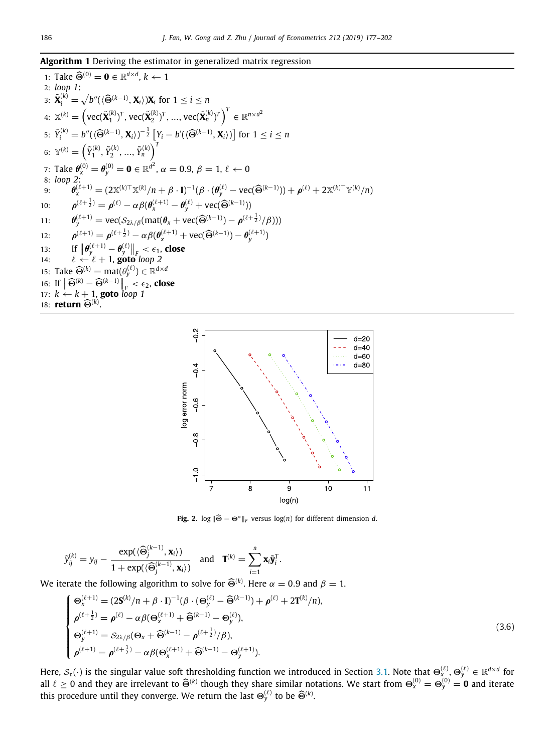# <span id="page-9-0"></span>**Algorithm 1** Deriving the estimator in generalized matrix regression

1: Take 
$$
\widehat{\Theta}^{(0)} = \mathbf{0} \in \mathbb{R}^{d \times d}
$$
,  $k \leftarrow 1$   
\n2: loop 1:  
\n3:  $\widetilde{\mathbf{X}}_{i}^{(k)} = \sqrt{b''((\widehat{\Theta}^{(k-1)}, \mathbf{X}_{i}))\mathbf{X}_{i}}$  for  $1 \leq i \leq n$   
\n4:  $\mathbb{X}^{(k)} = (\text{vec}(\widetilde{\mathbf{X}}_{i}^{(k)})^{T}, \text{vec}(\widetilde{\mathbf{X}}_{i}^{(k)})^{T}, \dots, \text{vec}(\widetilde{\mathbf{X}}_{n}^{(k)})^{T})^{T} \in \mathbb{R}^{n \times d^{2}}$   
\n5:  $\widetilde{Y}_{i}^{(k)} = b''((\widehat{\Theta}^{(k-1)}, \mathbf{X}_{i}))^{-\frac{1}{2}} [Y_{i} - b'((\widehat{\Theta}^{(k-1)}, \mathbf{X}_{i}))]$  for  $1 \leq i \leq n$   
\n6:  $\mathbb{Y}^{(k)} = (\widetilde{Y}_{1}^{(k)}, \widetilde{Y}_{2}^{(k)}, \dots, \widetilde{Y}_{n}^{(k)})^{T}$   
\n7: Take  $\theta_{x}^{(0)} = \theta_{y}^{(0)} = \mathbf{0} \in \mathbb{R}^{d^{2}}$ ,  $\alpha = 0.9$ ,  $\beta = 1$ ,  $\ell \leftarrow 0$   
\n8: loop 2:  
\n9:  $\theta_{x}^{(\ell+1)} = (2\mathbb{X}^{(k)T}\mathbb{X}^{(k)}/n + \beta \cdot \mathbf{I})^{-1}(\beta \cdot (\theta_{y}^{(\ell)} - \text{vec}(\widehat{\Theta}^{(k-1)})) + \rho^{(\ell)} + 2\mathbb{X}^{(k)T}\mathbb{Y}^{(k)}/n)$   
\n10:  $\rho^{(\ell+\frac{1}{2})} = \rho^{(\ell)} - \alpha \beta(\theta_{x}^{(\ell+1)} - \theta_{y}^{(\ell)} + \text{vec}(\widehat{\Theta}^{(k-1)})) - \rho^{(\ell+\frac{1}{2}}/\beta)$ )  
\n11:  $\theta_{y}^{(\ell+1)} = \text{vec}(\mathcal{S}_{2\lambda/\beta}(\$ 



**Fig. 2.** log <sup>∥</sup>Θ<sup>ˆ</sup> <sup>−</sup> <sup>Θ</sup><sup>∗</sup>∥*<sup>F</sup>* versus log(*n*) for different dimension *<sup>d</sup>*.

<span id="page-9-1"></span>
$$
\tilde{y}_{ij}^{(k)} = y_{ij} - \frac{\exp(\langle \widehat{\Theta}_j^{(k-1)}, \mathbf{x}_i \rangle)}{1 + \exp(\langle \widehat{\Theta}_j^{(k-1)}, \mathbf{x}_i \rangle)} \quad \text{and} \quad \mathbf{T}^{(k)} = \sum_{i=1}^n \mathbf{x}_i \tilde{\mathbf{y}}_i^T.
$$

We iterate the following algorithm to solve for  $\widehat{\Theta}^{(k)}$ . Here  $\alpha = 0.9$  and  $\beta = 1$ .

$$
\begin{cases}\n\Theta_{x}^{(\ell+1)} = (2\mathbf{S}^{(k)}/n + \beta \cdot \mathbf{I})^{-1}(\beta \cdot (\Theta_{y}^{(\ell)} - \widehat{\Theta}^{(k-1)}) + \rho^{(\ell)} + 2\mathbf{T}^{(k)}/n), \\
\rho_{\ell+\frac{1}{2}}^{(\ell+\frac{1}{2})} = \rho^{(\ell)} - \alpha \beta (\Theta_{x}^{(\ell+1)} + \widehat{\Theta}^{(k-1)} - \Theta_{y}^{(\ell)}), \\
\Theta_{y}^{(\ell+1)} = S_{2\lambda/\beta}(\Theta_{x} + \widehat{\Theta}^{(k-1)} - \rho^{(\ell+\frac{1}{2})}/\beta), \\
\rho_{\ell+\frac{1}{2}}^{(\ell+1)} = \rho^{(\ell+\frac{1}{2})} - \alpha \beta (\Theta_{x}^{(\ell+1)} + \widehat{\Theta}^{(k-1)} - \Theta_{y}^{(\ell+1)}).\n\end{cases} (3.6)
$$

Here,  $S_\tau(\cdot)$  is the singular value soft thresholding function we introduced in Section [3.1.](#page-7-3) Note that  $\Theta^{(\ell)}_x, \Theta^{(\ell)}_y \in \mathbb{R}^{d\times d}$  for all  $\ell \ge 0$  and they are irrelevant to  $\widehat{\Theta}^{(k)}$  though they share similar notations. We start from  $\Theta_{\chi}^{(0)} = \Theta_{\chi}^{(0)} = \mathbf{0}$  and iterate this procedure until they converge. We return the last  $\Theta_{y}^{(\ell)}$  to be  $\widehat{\Theta}^{(k)}$ .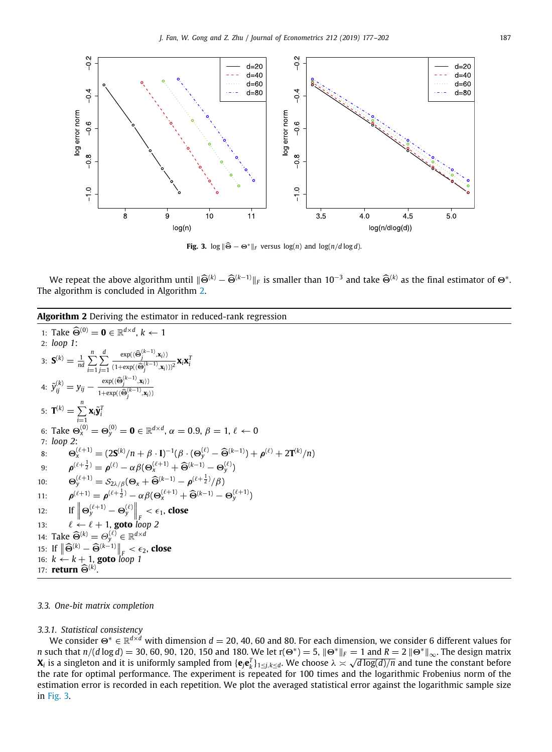

**Fig. 3.** log  $\|\widehat{\Theta} - \Theta^*\|_F$  versus log(*n*) and log(*n*/*d* log *d*).

<span id="page-10-1"></span>We repeat the above algorithm until  $\|\widehat{\Theta}^{(k)} - \widehat{\Theta}^{(k-1)}\|_F$  is smaller than  $10^{-3}$  and take  $\widehat{\Theta}^{(k)}$  as the final estimator of  $\Theta^*$ . The algorithm is concluded in Algorithm [2.](#page-10-0)

<span id="page-10-0"></span>**Algorithm 2** Deriving the estimator in reduced-rank regression

1: Take 
$$
\widehat{\Theta}^{(0)} = \mathbf{0} \in \mathbb{R}^{d \times d}
$$
,  $k \leftarrow 1$   
\n2: loop 1:  
\n3:  $\mathbf{S}^{(k)} = \frac{1}{nd} \sum_{i=1}^{n} \sum_{j=1}^{d} \frac{\exp((\widehat{\Theta}_{j}^{(k-1)}, \mathbf{x}_{i}))}{(1 + \exp((\widehat{\Theta}_{j}^{(k-1)}, \mathbf{x}_{i})))^{2}} \mathbf{x}_{i} \mathbf{x}_{i}^{T}$   
\n4:  $\widetilde{y}_{ij}^{(k)} = y_{ij} - \frac{\exp((\widehat{\Theta}_{j}^{(k-1)}, \mathbf{x}_{i})))}{1 + \exp((\widehat{\Theta}_{j}^{(k-1)}, \mathbf{x}_{i})))}$   
\n5:  $\mathbf{T}^{(k)} = \sum_{i=1}^{n} \mathbf{x}_{i} \widetilde{\mathbf{y}}_{i}^{T}$   
\n6: Take  $\Theta_{\infty}^{(0)} = \Theta_{y}^{(0)} = \mathbf{0} \in \mathbb{R}^{d \times d}$ ,  $\alpha = 0.9$ ,  $\beta = 1$ ,  $\ell \leftarrow 0$   
\n7: loop 2:  
\n8:  $\Theta_{\infty}^{(\ell+1)} = (2\mathbf{S}^{(k)}/n + \beta \cdot \mathbf{I})^{-1}(\beta \cdot (\Theta_{y}^{(\ell)} - \widehat{\Theta}^{(k-1)}) + \rho^{(\ell)} + 2\mathbf{T}^{(k)}/n)$   
\n9:  $\rho^{(\ell+\frac{1}{2})} = \rho^{(\ell)} - \alpha\beta(\Theta_{\infty}^{(\ell+1)} + \widehat{\Theta}^{(k-1)} - \Theta_{y}^{(\ell)})$   
\n10:  $\Theta_{y}^{(\ell+1)} = S_{2\lambda/\beta}(\Theta_{x} + \widehat{\Theta}^{(k-1)} - \rho^{(\ell+\frac{1}{2})}/\beta)$   
\n11:  $\rho^{(\ell+1)} = \rho^{(\ell+\frac{1}{2})} - \alpha\beta(\Theta_{x}^{(\ell+1)} + \widehat{\Theta}^{(k-1)} - \Theta_{y}^{(\ell+1)})$   
\n12: If  $\|\Theta_{y}^{(\ell+1)} - \Theta_{y}^{(\ell)}\|_{F} < \epsilon_{1}$ , <

## *3.3. One-bit matrix completion*

# *3.3.1. Statistical consistency*

We consider Θ<sup>∗</sup> ∈ R *<sup>d</sup>*×*<sup>d</sup>* with dimension *d* = 20, 40, 60 and 80. For each dimension, we consider 6 different values for *n* such that  $n/(d \log d) = 30, 60, 90, 120, 150$  and 180. We let  $r(\Theta^*) = 5$ ,  $\|\Theta^*\|_F = 1$  and  $R = 2 \|\Theta^*\|_{\infty}$ . The design matrix  $X_i$  is a singleton and it is uniformly sampled from  $\{{\bf e}_j{\bf e}_k^T\}_{1\leq j,k\leq d}.$  We choose  $\lambda\asymp\sqrt{d\log(d)/n}$  and tune the constant before the rate for optimal performance. The experiment is repeated for 100 times and the logarithmic Frobenius norm of the estimation error is recorded in each repetition. We plot the averaged statistical error against the logarithmic sample size in [Fig.](#page-10-1) [3.](#page-10-1)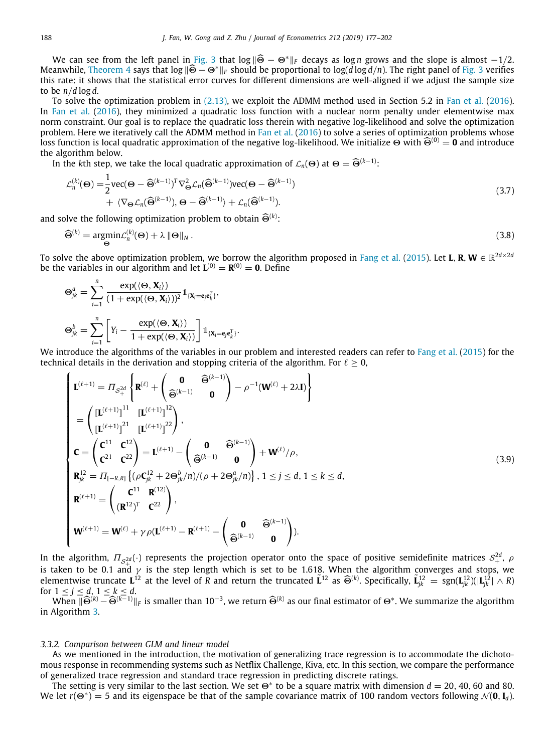We can see from the left panel in [Fig.](#page-10-1) [3](#page-10-1) that  $\log \|\widehat{\Theta} - \Theta^*\|_F$  decays as log *n* grows and the slope is almost  $-1/2$ . Meanwhile, [Theorem](#page-6-3) [4](#page-6-3) says that log <sup>∥</sup>Θ<sup>ˆ</sup> <sup>−</sup> <sup>Θ</sup><sup>∗</sup>∥*<sup>F</sup>* should be proportional to log(*<sup>d</sup>* log *<sup>d</sup>*/*n*). The right panel of [Fig.](#page-10-1) [3](#page-10-1) verifies this rate: it shows that the statistical error curves for different dimensions are well-aligned if we adjust the sample size to be *n*/*d* log *d*.

To solve the optimization problem in ([2.13\)](#page-6-1), we exploit the ADMM method used in Section 5.2 in [Fan et al.](#page-25-13) [\(2016](#page-25-13)). In [Fan et al.](#page-25-13) ([2016\)](#page-25-13), they minimized a quadratic loss function with a nuclear norm penalty under elementwise max norm constraint. Our goal is to replace the quadratic loss therein with negative log-likelihood and solve the optimization problem. Here we iteratively call the ADMM method in [Fan et al.](#page-25-13) ([2016\)](#page-25-13) to solve a series of optimization problems whose loss function is local quadratic approximation of the negative log-likelihood. We initialize  $\Theta$  with  $\widehat{\Theta}^{(0)} = \widehat{\mathbf{0}}$  and introduce the algorithm below.

In the *k*th step, we take the local quadratic approximation of  $\mathcal{L}_n(\Theta)$  at  $\Theta = \widehat{\Theta}^{(k-1)}$ :

$$
\mathcal{L}_n^{(k)}(\Theta) = \frac{1}{2} \text{vec}(\Theta - \widehat{\Theta}^{(k-1)})^T \nabla_{\Theta}^2 \mathcal{L}_n(\widehat{\Theta}^{(k-1)}) \text{vec}(\Theta - \widehat{\Theta}^{(k-1)}) + \langle \nabla_{\Theta} \mathcal{L}_n(\widehat{\Theta}^{(k-1)}), \Theta - \widehat{\Theta}^{(k-1)} \rangle + \mathcal{L}_n(\widehat{\Theta}^{(k-1)}).
$$
\n(3.7)

and solve the following optimization problem to obtain  $\widehat{\Theta}^{(k)}$ :

$$
\widehat{\Theta}^{(k)} = \underset{\Theta}{\text{argmin}} \mathcal{L}_n^{(k)}(\Theta) + \lambda \|\Theta\|_N \,. \tag{3.8}
$$

To solve the above optimization problem, we borrow the algorithm proposed in [Fang et al.](#page-25-26) [\(2015](#page-25-26)). Let **L**, **R**, **W**  $\in$   $\mathbb{R}^{2d\times 2d}$ be the variables in our algorithm and let  $\mathbf{L}^{(0)} = \mathbf{R}^{(0)} = \mathbf{0}$ . Define

$$
\Theta_{jk}^{a} = \sum_{i=1}^{n} \frac{\exp(\langle \Theta, \mathbf{X}_{i} \rangle)}{(1 + \exp(\langle \Theta, \mathbf{X}_{i} \rangle))^{2}} \mathbb{1}_{\{\mathbf{X}_{i} = \mathbf{e}_{j} \mathbf{e}_{k}^{T}\}},
$$

$$
\Theta_{jk}^{b} = \sum_{i=1}^{n} \left[ Y_{i} - \frac{\exp(\langle \Theta, \mathbf{X}_{i} \rangle)}{1 + \exp(\langle \Theta, \mathbf{X}_{i} \rangle)} \right] \mathbb{1}_{\{\mathbf{X}_{i} = \mathbf{e}_{j} \mathbf{e}_{k}^{T}\}}.
$$

We introduce the algorithms of the variables in our problem and interested readers can refer to [Fang et al.](#page-25-26) ([2015\)](#page-25-26) for the technical details in the derivation and stopping criteria of the algorithm. For  $\ell > 0$ ,

$$
\begin{cases}\n\mathbf{L}^{(\ell+1)} = \varPi_{\mathcal{S}_{+}^{2d}} \left\{ \mathbf{R}^{(\ell)} + \begin{pmatrix} \mathbf{0} & \widehat{\Theta}^{(k-1)} \\ \widehat{\Theta}^{(k-1)} & \mathbf{0} \end{pmatrix} - \rho^{-1} (\mathbf{W}^{(\ell)} + 2\lambda \mathbf{I}) \right\} \\
= \left( \frac{\left[ \mathbf{L}^{(\ell+1)} \right]^{11}}{\left[ \mathbf{L}^{(\ell+1)} \right]^{22}} \right), \\
\mathbf{C} = \begin{pmatrix} \mathbf{C}^{11} & \mathbf{C}^{12} \\ \mathbf{C}^{21} & \mathbf{C}^{22} \end{pmatrix} = \mathbf{L}^{(\ell+1)} - \begin{pmatrix} \mathbf{0} & \widehat{\Theta}^{(k-1)} \\ \widehat{\Theta}^{(k-1)} & \mathbf{0} \end{pmatrix} + \mathbf{W}^{(\ell)}/\rho, \\
\mathbf{R}_{jk}^{12} = \varPi_{[-R,R]} \left\{ (\rho \mathbf{C}_{jk}^{12} + 2\Theta_{jk}^{b}/n)/(\rho + 2\Theta_{jk}^{a}/n) \right\}, 1 \leq j \leq d, 1 \leq k \leq d, \\
\mathbf{R}^{(\ell+1)} = \begin{pmatrix} \mathbf{C}^{11} & \mathbf{R}^{(12)} \\ (\mathbf{R}^{12})^{T} & \mathbf{C}^{22} \end{pmatrix}, \\
\mathbf{W}^{(\ell+1)} = \mathbf{W}^{(\ell)} + \gamma \rho (\mathbf{L}^{(\ell+1)} - \mathbf{R}^{(\ell+1)} - \begin{pmatrix} \mathbf{0} & \widehat{\Theta}^{(k-1)} \\ \widehat{\Theta}^{(k-1)} & \mathbf{0} \end{pmatrix} \n\end{cases}
$$
\n(3.9)

In the algorithm,  $\Pi_{\mathcal{S}_+^{2d}}(\cdot)$  represents the projection operator onto the space of positive semidefinite matrices  $\mathcal{S}_+^{2d}$ ,  $\rho$ is taken to be 0.1 and  $\gamma$  is the step length which is set to be 1.618. When the algorithm converges and stops, we elementwise truncate  $\mathbf{L}^{12}$  at the level of *R* and return the truncated  $\tilde{\mathbf{L}}^{12}$  as  $\widehat{\Theta}^{(k)}$ . Specifically,  $\tilde{\mathbf{L}}^{12}_{jk} = \text{sgn}(\mathbf{L}^{12}_{jk})(|\mathbf{L}^{12}_{jk}| \wedge R)$ for  $1 \le j \le d, 1 \le k \le d$ .

When  $\|\widehat{\Theta}^{(k)} - \widehat{\Theta}^{(k-1)}\|_F$  is smaller than 10<sup>−3</sup>, we return  $\widehat{\Theta}^{(k)}$  as our final estimator of  $\Theta^*$ . We summarize the algorithm<br>Algorithm 3 in Algorithm [3.](#page-12-0)

#### *3.3.2. Comparison between GLM and linear model*

As we mentioned in the introduction, the motivation of generalizing trace regression is to accommodate the dichotomous response in recommending systems such as Netflix Challenge, Kiva, etc. In this section, we compare the performance of generalized trace regression and standard trace regression in predicting discrete ratings.

The setting is very similar to the last section. We set  $\Theta^*$  to be a square matrix with dimension  $d = 20, 40, 60$  and 80. We let  $r(\Theta^*)=5$  and its eigenspace be that of the sample covariance matrix of 100 random vectors following  $\mathcal{N}(\mathbf{0},\mathbf{I}_d)$ .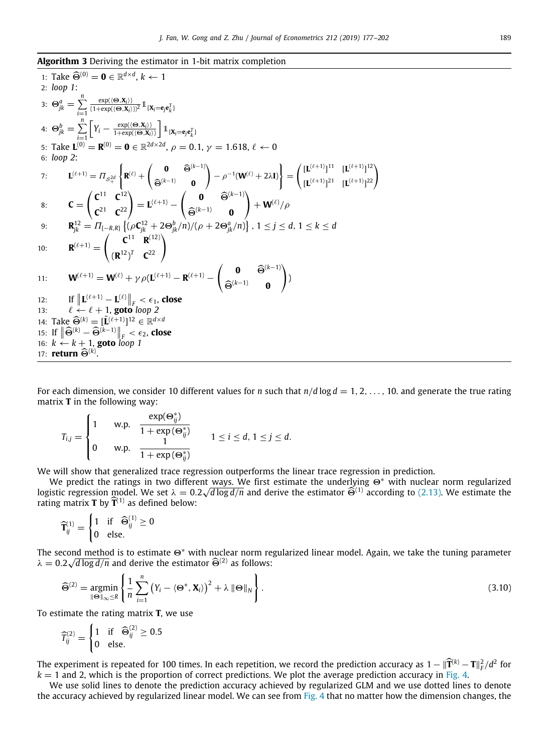<span id="page-12-0"></span>**Algorithm 3** Deriving the estimator in 1-bit matrix completion

1: Take 
$$
\hat{\Theta}^{(0)} = \mathbf{0} \in \mathbb{R}^{d \times d}
$$
,  $k \leftarrow 1$   
\n2: loop 1:  
\n3:  $\Theta_{jk}^{a} = \sum_{i=1}^{n} \frac{\exp((\Theta, X_{i}))}{(1 + \exp((\Theta, X_{i}))^{2}} \mathbb{1}_{\{X_{i} = \mathbf{e}_{j} \mathbf{e}_{k}^{T}\}}$   
\n4:  $\Theta_{jk}^{b} = \sum_{i=1}^{n} \left[ Y_{i} - \frac{\exp((\Theta, X_{i}))}{1 + \exp((\Theta, X_{i}))} \right] \mathbb{1}_{\{X_{i} = \mathbf{e}_{j} \mathbf{e}_{k}^{T}\}}$   
\n5: Take  $\mathbf{L}^{(0)} = \mathbf{R}^{(0)} = \mathbf{0} \in \mathbb{R}^{2d \times 2d}$ ,  $\rho = 0.1$ ,  $\gamma = 1.618$ ,  $\ell \leftarrow 0$   
\n6: loop 2:  
\n7:  $\mathbf{L}^{(\ell+1)} = \Pi_{S_{+}^{2d}} \left\{ \mathbf{R}^{(\ell)} + \begin{pmatrix} \mathbf{0} & \hat{\Theta}^{(k-1)} \\ \hat{\Theta}^{(k-1)} & \mathbf{0} \end{pmatrix} - \rho^{-1}(\mathbf{W}^{(\ell)} + 2\lambda \mathbf{I}) \right\} = \left( \frac{[\mathbf{L}^{(\ell+1)}]^{11}}{[\mathbf{L}^{(\ell+1)}]^{22}} \right)$   
\n8:  $\mathbf{C} = \begin{pmatrix} \mathbf{C}^{11} & \mathbf{C}^{12} \\ \mathbf{C}^{21} & \mathbf{C}^{22} \end{pmatrix} = \mathbf{L}^{(\ell+1)} - \begin{pmatrix} \mathbf{0} & \hat{\Theta}^{(k-1)} \\ \hat{\Theta}^{(k-1)} & \mathbf{0} \end{pmatrix} + \mathbf{W}^{(\ell)}/\rho$   
\n9:  $\mathbf{R}_{jk}^{12} = \Pi_{[-R,R]} \left\{ (\rho \mathbf{C}_{jk}^{12} + 2\Theta_{jk}^{b}/n)/(\rho + 2\Theta_{jk}^{a}/n) \right\}$ ,  $1 \leq j \leq d$ , 

For each dimension, we consider 10 different values for *n* such that  $n/d \log d = 1, 2, \ldots, 10$ . and generate the true rating matrix **T** in the following way:

$$
T_{i,j} = \begin{cases} 1 & \text{w.p.} \quad \frac{\exp(\Theta_{ij}^*)}{1 + \exp(\Theta_{ij}^*)} \\ 0 & \text{w.p.} \quad \frac{1}{1 + \exp(\Theta_{ij}^*)} \end{cases} \quad 1 \leq i \leq d, 1 \leq j \leq d.
$$

We will show that generalized trace regression outperforms the linear trace regression in prediction.

We predict the ratings in two different ways. We first estimate the underlying Θ<sup>∗</sup> with nuclear norm regularized logistic regression model. We set  $\lambda = 0.2\sqrt{d\log d/n}$  and derive the estimator  $\widehat{\Theta}^{(1)}$  according to ([2.13](#page-6-1)). We estimate the estimate the estimate of  $\widehat{\mathbf{T}}^{(1)}$  as defined below: rating matrix **<sup>T</sup>** by ˆ**<sup>T</sup>** (1) as defined below:

$$
\widehat{\mathbf{T}}_{ij}^{(1)} = \begin{cases} 1 & \text{if } \widehat{\Theta}_{ij}^{(1)} \geq 0 \\ 0 & \text{else.} \end{cases}
$$

The second method is to estimate  $\Theta^*$  with nuclear norm regularized linear model. Again, we take the tuning parameter  $\lambda = 0.2\sqrt{d \log d/n}$  and derive the estimator  $\widehat{\Theta}^{(2)}$  as follows:

$$
\widehat{\Theta}^{(2)} = \underset{\|\Theta\|_{\infty} \le R}{\operatorname{argmin}} \left\{ \frac{1}{n} \sum_{i=1}^{n} \left( Y_i - \langle \Theta^*, \mathbf{X}_i \rangle \right)^2 + \lambda \|\Theta\|_N \right\}.
$$
\n(3.10)

To estimate the rating matrix **T**, we use

$$
\widehat{T}_{ij}^{(2)} = \begin{cases} 1 & \text{if } \widehat{\Theta}_{ij}^{(2)} \ge 0.5 \\ 0 & \text{else.} \end{cases}
$$

The experiment is repeated for 100 times. In each repetition, we record the prediction accuracy as  $1 - ||\hat{\mathbf{T}}^{(k)} - \mathbf{T}||_F^2/d^2$  for  $\mathbf{R}^{(k)}$  =  $\mathbf{T}^{(k)}$   $\mathbf{R}^{(k)}$  =  $\mathbf{T}^{(k)}$   $\mathbf{R}^{(k)}$  =  $\mathbf{T}^{(k)}$   $\mathbf{R$  $k = 1$  and 2, which is the proportion of correct predictions. We plot the average prediction accuracy in [Fig.](#page-13-1) [4.](#page-13-1)

We use solid lines to denote the prediction accuracy achieved by regularized GLM and we use dotted lines to denote the accuracy achieved by regularized linear model. We can see from [Fig.](#page-13-1) [4](#page-13-1) that no matter how the dimension changes, the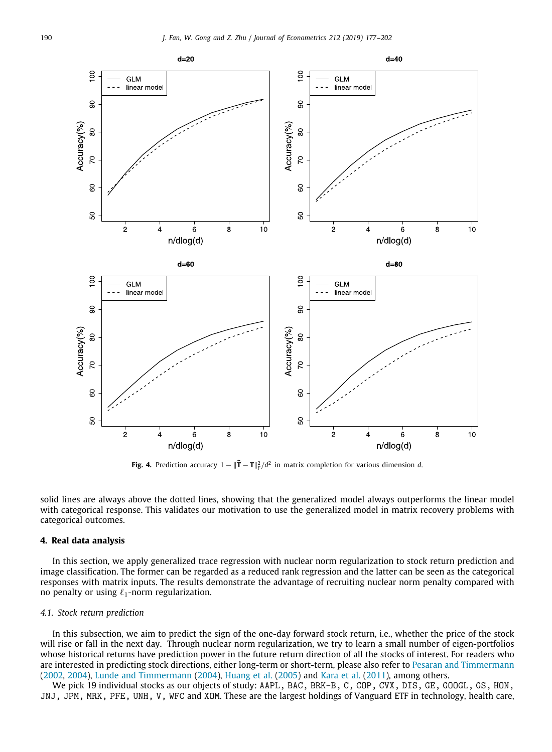

**Fig. 4.** Prediction accuracy  $1 - ||\hat{\mathbf{T}} - \mathbf{T}||_F^2 / d^2$  in matrix completion for various dimension *d*.

<span id="page-13-1"></span>solid lines are always above the dotted lines, showing that the generalized model always outperforms the linear model with categorical response. This validates our motivation to use the generalized model in matrix recovery problems with categorical outcomes.

# **4. Real data analysis**

<span id="page-13-0"></span>In this section, we apply generalized trace regression with nuclear norm regularization to stock return prediction and image classification. The former can be regarded as a reduced rank regression and the latter can be seen as the categorical responses with matrix inputs. The results demonstrate the advantage of recruiting nuclear norm penalty compared with no penalty or using  $\ell_1$ -norm regularization.

## *4.1. Stock return prediction*

In this subsection, we aim to predict the sign of the one-day forward stock return, i.e., whether the price of the stock will rise or fall in the next day. Through nuclear norm regularization, we try to learn a small number of eigen-portfolios whose historical returns have prediction power in the future return direction of all the stocks of interest. For readers who are interested in predicting stock directions, either long-term or short-term, please also refer to [Pesaran and Timmermann](#page-25-27) ([2002](#page-25-27), [2004](#page-25-28)), [Lunde and Timmermann](#page-25-29) [\(2004](#page-25-29)), [Huang et al.](#page-25-30) ([2005\)](#page-25-30) and [Kara et al.](#page-25-31) [\(2011\)](#page-25-31), among others.

We pick 19 individual stocks as our objects of study: AAPL, BAC, BRK-B, C, COP, CVX, DIS, GE, GOOGL, GS, HON, JNJ, JPM, MRK, PFE, UNH, V, WFC and XOM. These are the largest holdings of Vanguard ETF in technology, health care,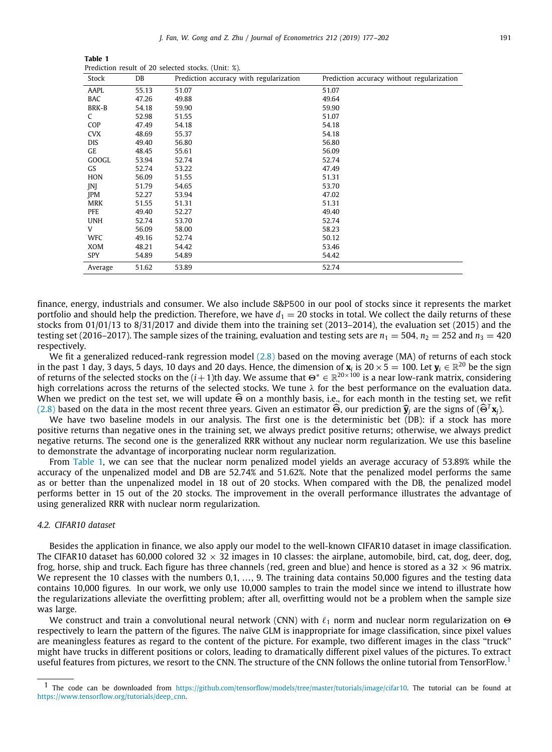**Table 1** Prediction result of 20 selected stocks. (Unit: %).

<span id="page-14-0"></span>

| Stock        | DB    | Prediction accuracy with regularization | Prediction accuracy without regularization |
|--------------|-------|-----------------------------------------|--------------------------------------------|
| AAPL         | 55.13 | 51.07                                   | 51.07                                      |
| <b>BAC</b>   | 47.26 | 49.88                                   | 49.64                                      |
| BRK-B        | 54.18 | 59.90                                   | 59.90                                      |
| C            | 52.98 | 51.55                                   | 51.07                                      |
| <b>COP</b>   | 47.49 | 54.18                                   | 54.18                                      |
| <b>CVX</b>   | 48.69 | 55.37                                   | 54.18                                      |
| <b>DIS</b>   | 49.40 | 56.80                                   | 56.80                                      |
| GE           | 48.45 | 55.61                                   | 56.09                                      |
| <b>GOOGL</b> | 53.94 | 52.74                                   | 52.74                                      |
| GS           | 52.74 | 53.22                                   | 47.49                                      |
| HON          | 56.09 | 51.55                                   | 51.31                                      |
| <b>INI</b>   | 51.79 | 54.65                                   | 53.70                                      |
| <b>JPM</b>   | 52.27 | 53.94                                   | 47.02                                      |
| <b>MRK</b>   | 51.55 | 51.31                                   | 51.31                                      |
| PFE          | 49.40 | 52.27                                   | 49.40                                      |
| <b>UNH</b>   | 52.74 | 53.70                                   | 52.74                                      |
| V            | 56.09 | 58.00                                   | 58.23                                      |
| <b>WFC</b>   | 49.16 | 52.74                                   | 50.12                                      |
| XOM          | 48.21 | 54.42                                   | 53.46                                      |
| <b>SPY</b>   | 54.89 | 54.89                                   | 54.42                                      |
| Average      | 51.62 | 53.89                                   | 52.74                                      |

finance, energy, industrials and consumer. We also include S&P500 in our pool of stocks since it represents the market portfolio and should help the prediction. Therefore, we have  $d_1 = 20$  stocks in total. We collect the daily returns of these stocks from 01/01/13 to 8/31/2017 and divide them into the training set (2013–2014), the evaluation set (2015) and the testing set (2016–2017). The sample sizes of the training, evaluation and testing sets are  $n_1 = 504$ ,  $n_2 = 252$  and  $n_3 = 420$ respectively.

We fit a generalized reduced-rank regression model  $(2.8)$  $(2.8)$  $(2.8)$  based on the moving average (MA) of returns of each stock in the past 1 day, 3 days, 5 days, 10 days and 20 days. Hence, the dimension of  $x_i$  is 20  $\times$  5  $=$  100. Let  $y_i\in\mathbb{R}^{20}$  be the sign of returns of the selected stocks on the  $(i+1)$ th day. We assume that  $\Theta^* \in \mathbb{R}^{20\times 100}$  is a near low-rank matrix, considering high correlations across the returns of the selected stocks. We tune  $\lambda$  for the best performance on the evaluation data. When we predict on the test set, we will update  $\widehat{\Theta}$  on a monthly basis, i.e., for each month in the testing set, we refit ([2.8](#page-5-0)) based on the data in the most recent three years. Given an estimator  $\widehat{\Theta}$ , our prediction  $\widehat{\mathbf{y}}_i$  are the signs of  $(\widehat{\Theta}^T\mathbf{x}_i)$ .

We have two baseline models in our analysis. The first one is the deterministic bet (DB): if a stock has more positive returns than negative ones in the training set, we always predict positive returns; otherwise, we always predict negative returns. The second one is the generalized RRR without any nuclear norm regularization. We use this baseline to demonstrate the advantage of incorporating nuclear norm regularization.

From [Table](#page-14-0) [1,](#page-14-0) we can see that the nuclear norm penalized model yields an average accuracy of 53.89% while the accuracy of the unpenalized model and DB are 52.74% and 51.62%. Note that the penalized model performs the same as or better than the unpenalized model in 18 out of 20 stocks. When compared with the DB, the penalized model performs better in 15 out of the 20 stocks. The improvement in the overall performance illustrates the advantage of using generalized RRR with nuclear norm regularization.

#### *4.2. CIFAR10 dataset*

Besides the application in finance, we also apply our model to the well-known CIFAR10 dataset in image classification. The CIFAR10 dataset has 60,000 colored 32  $\times$  32 images in 10 classes: the airplane, automobile, bird, cat, dog, deer, dog, frog, horse, ship and truck. Each figure has three channels (red, green and blue) and hence is stored as a  $32 \times 96$  matrix. We represent the 10 classes with the numbers 0,1, ..., 9. The training data contains 50,000 figures and the testing data contains 10,000 figures. In our work, we only use 10,000 samples to train the model since we intend to illustrate how the regularizations alleviate the overfitting problem; after all, overfitting would not be a problem when the sample size was large.

We construct and train a convolutional neural network (CNN) with  $\ell_1$  norm and nuclear norm regularization on  $\Theta$ respectively to learn the pattern of the figures. The naïve GLM is inappropriate for image classification, since pixel values are meaningless features as regard to the content of the picture. For example, two different images in the class ''truck'' might have trucks in different positions or colors, leading to dramatically different pixel values of the pictures. To extract useful features from pictures, we resort to the CNN. The structure of the CNN follows the online tutorial from TensorFlow.<sup>[1](#page-14-1)</sup>

<span id="page-14-1"></span><sup>1</sup> The code can be downloaded from [https://github.com/tensorflow/models/tree/master/tutorials/image/cifar10.](https://github.com/tensorflow/models/tree/master/tutorials/image/cifar10) The tutorial can be found at [https://www.tensorflow.org/tutorials/deep\\_cnn.](https://www.tensorflow.org/tutorials/deep_cnn)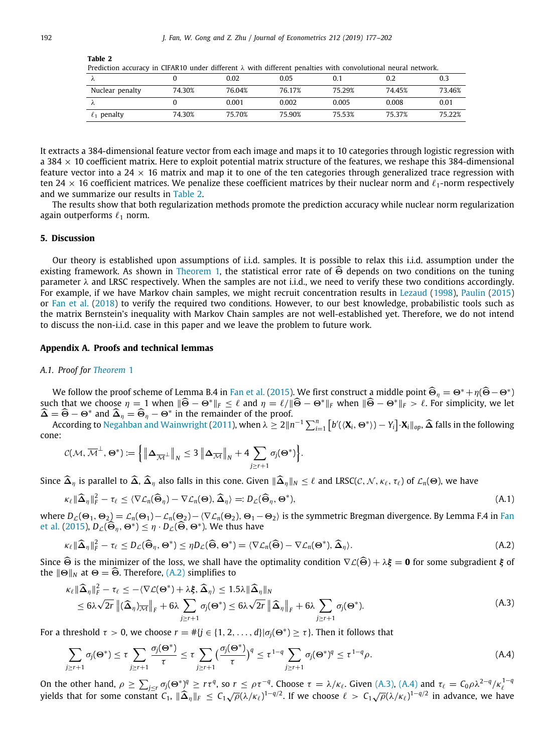| Prediction accuracy in CIFAR10 under different $\lambda$ with different penalties with convolutional neural network. |        |        |        |        |        |        |  |  |  |
|----------------------------------------------------------------------------------------------------------------------|--------|--------|--------|--------|--------|--------|--|--|--|
|                                                                                                                      |        | 0.02   | 0.05   |        | 0.2    | 0.3    |  |  |  |
| Nuclear penalty                                                                                                      | 74.30% | 76.04% | 76.17% | 75 29% | 74 45% | 73.46% |  |  |  |
|                                                                                                                      |        | 0.001  | 0.002  | 0.005  | 0.008  | 0.01   |  |  |  |
| $\ell_1$ penalty                                                                                                     | 74.30% | 75.70% | 75.90% | 75.53% | 75.37% | 75.22% |  |  |  |

<span id="page-15-0"></span>**Table 2**

It extracts a 384-dimensional feature vector from each image and maps it to 10 categories through logistic regression with a 384  $\times$  10 coefficient matrix. Here to exploit potential matrix structure of the features, we reshape this 384-dimensional feature vector into a 24  $\times$  16 matrix and map it to one of the ten categories through generalized trace regression with ten 24  $\times$  16 coefficient matrices. We penalize these coefficient matrices by their nuclear norm and  $\ell_1$ -norm respectively and we summarize our results in [Table](#page-15-0) [2](#page-15-0).

The results show that both regularization methods promote the prediction accuracy while nuclear norm regularization again outperforms  $\ell_1$  norm.

# **5. Discussion**

Our theory is established upon assumptions of i.i.d. samples. It is possible to relax this i.i.d. assumption under the existing framework. As shown in [Theorem](#page-3-1) [1,](#page-3-1) the statistical error rate of  $\widehat{\Theta}$  depends on two conditions on the tuning parameter λ and LRSC respectively. When the samples are not i.i.d., we need to verify these two conditions accordingly. For example, if we have Markov chain samples, we might recruit concentration results in [Lezaud](#page-25-32) ([1998\)](#page-25-32), [Paulin](#page-25-33) [\(2015](#page-25-33)) or [Fan et al.](#page-25-34) ([2018](#page-25-34)) to verify the required two conditions. However, to our best knowledge, probabilistic tools such as the matrix Bernstein's inequality with Markov Chain samples are not well-established yet. Therefore, we do not intend to discuss the non-i.i.d. case in this paper and we leave the problem to future work.

# **Appendix A. Proofs and technical lemmas**

## *A.1. Proof for [Theorem](#page-3-1)* [1](#page-3-1)

We follow the proof scheme of Lemma B.4 in [Fan et al.](#page-25-20) ([2015\)](#page-25-20). We first construct a middle point  $\hat{\Theta}_{\eta} = \Theta^* + \eta(\hat{\Theta} - \Theta^*)$ such that we choose  $\eta = 1$  when  $\|\widehat{\Theta} - \Theta^*\|_F \leq \ell$  and  $\eta = \ell / \|\widehat{\Theta} - \Theta^*\|_F$  when  $\|\widehat{\Theta} - \Theta^*\|_F > \ell$ . For simplicity, we let  $\widehat{\Delta} = \widehat{\Theta} - \Theta^*$  and  $\widehat{\Delta}_{\eta} = \widehat{\Theta}_{\eta} - \Theta^*$  in the remainder of the proof.

According to [Negahban and Wainwright](#page-25-11) ([2011\)](#page-25-11), when  $\lambda \geq 2\|n^{-1}\sum_{i=1}^n\left[b'(\langle \mathbf{X}_i, \Theta^* \rangle) - Y_i\right] \cdot \mathbf{X}_i\|_{op}, \widehat{\Delta}$  falls in the following cone:

$$
\mathcal{C}(\mathcal{M}, \overline{\mathcal{M}}^{\perp}, \Theta^*) \coloneqq \left\{ \left\| \Delta_{\overline{\mathcal{M}}^{\perp}} \right\|_{N} \leq 3 \left\| \Delta_{\overline{\mathcal{M}}} \right\|_{N} + 4 \sum_{j \geq r+1} \sigma_j(\Theta^*) \right\}.
$$

Since  $\widehat{\Delta}_n$  is parallel to  $\widehat{\Delta}$ ,  $\widehat{\Delta}_n$  also falls in this cone. Given  $\|\widehat{\Delta}_n\|_N \leq \ell$  and LRSC( $\mathcal{C}, \mathcal{N}, \kappa_\ell, \tau_\ell$ ) of  $\mathcal{L}_n(\Theta)$ , we have

$$
\kappa_{\ell} \|\widehat{\boldsymbol{\Delta}}_{\eta}\|_{F}^{2} - \tau_{\ell} \leq \langle \nabla \mathcal{L}_{n}(\widehat{\boldsymbol{\Theta}}_{\eta}) - \nabla \mathcal{L}_{n}(\boldsymbol{\Theta}), \widehat{\boldsymbol{\Delta}}_{\eta} \rangle =: D_{\mathcal{L}}(\widehat{\boldsymbol{\Theta}}_{\eta}, \boldsymbol{\Theta}^{*}), \tag{A.1}
$$

where  $D_{\mathcal{L}}(\Theta_1, \Theta_2) = \mathcal{L}_n(\Theta_1) - \mathcal{L}_n(\Theta_2) - \langle \nabla \mathcal{L}_n(\Theta_2), \Theta_1 - \Theta_2 \rangle$  is the symmetric Bregman divergence. By Lemma F.4 in [Fan](#page-25-20) [et al.](#page-25-20) ([2015\)](#page-25-20),  $D_{\mathcal{L}}(\widehat{\Theta}_{\eta}, \Theta^*) \leq \eta \cdot D_{\mathcal{L}}(\widehat{\Theta}, \Theta^*)$ . We thus have

<span id="page-15-1"></span>
$$
\kappa_{\ell} \|\widehat{\Delta}_{\eta}\|_{F}^{2} - \tau_{\ell} \le D_{\mathcal{L}}(\widehat{\Theta}_{\eta}, \Theta^{*}) \le \eta D_{\mathcal{L}}(\widehat{\Theta}, \Theta^{*}) = \langle \nabla \mathcal{L}_{n}(\widehat{\Theta}) - \nabla \mathcal{L}_{n}(\Theta^{*}), \widehat{\Delta}_{\eta} \rangle. \tag{A.2}
$$

Since  $\widehat{\Theta}$  is the minimizer of the loss, we shall have the optimality condition  $\nabla \mathcal{L}(\widehat{\Theta}) + \lambda \xi = 0$  for some subgradient  $\xi$  of the  $\|\Theta\|_N$  at  $\Theta = \widehat{\Theta}$ . Therefore, [\(A.2](#page-15-1)) simplifies to

<span id="page-15-2"></span>
$$
\kappa_{\ell} \|\widehat{\Delta}_{\eta}\|_{F}^{2} - \tau_{\ell} \leq -\langle \nabla \mathcal{L}(\Theta^{*}) + \lambda \xi, \widehat{\Delta}_{\eta} \rangle \leq 1.5\lambda \|\widehat{\Delta}_{\eta}\|_{N} \leq 6\lambda \sqrt{2r} \left\|(\widehat{\Delta}_{\eta})_{\overline{\mathcal{M}}}\right\|_{F} + 6\lambda \sum_{j \geq r+1} \sigma_{j}(\Theta^{*}) \leq 6\lambda \sqrt{2r} \left\|\widehat{\Delta}_{\eta}\right\|_{F} + 6\lambda \sum_{j \geq r+1} \sigma_{j}(\Theta^{*}).
$$
\n(A.3)

For a threshold  $\tau > 0$ , we choose  $r = #\{j \in \{1, 2, ..., d\} | \sigma_j(\Theta^*) \geq \tau\}$ . Then it follows that

<span id="page-15-3"></span>
$$
\sum_{j\geq r+1}\sigma_j(\Theta^*)\leq \tau\sum_{j\geq r+1}\frac{\sigma_j(\Theta^*)}{\tau}\leq \tau\sum_{j\geq r+1}\big(\frac{\sigma_j(\Theta^*)}{\tau}\big)^q\leq \tau^{1-q}\sum_{j\geq r+1}\sigma_j(\Theta^*)^q\leq \tau^{1-q}\rho.
$$
 (A.4)

On the other hand,  $\rho \ge \sum_{j \le r} \sigma_j(\Theta^*)^q \ge r\tau^q$ , so  $r \le \rho \tau^{-q}$ . Choose  $\tau = \lambda/\kappa_\ell$ . Given [\(A.3\)](#page-15-2), ([A.4\)](#page-15-3) and  $\tau_\ell = C_0 \rho \lambda^{2-q}/\kappa_\ell^{1-q}$ <br>yields that for some constant  $C_1$ ,  $\|\widehat{\Delta}_{\eta}\|_F \le C_1 \sqrt{\rho} (\lambda/\kappa_\ell)^{1-q/2}$ . If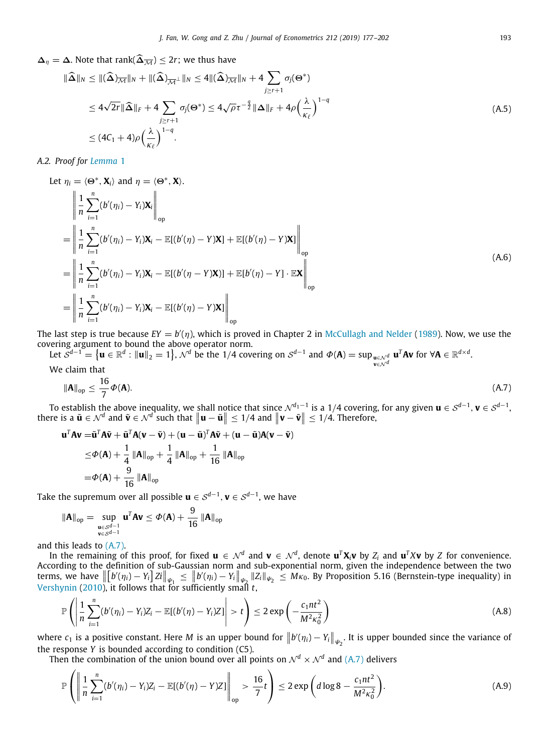# $\Delta_n = \Delta$ . Note that rank( $\widehat{\Delta}_{\overline{M}}$ ) ≤ 2*r*; we thus have

$$
\|\widehat{\Delta}\|_{N} \leq \|(\widehat{\Delta})_{\overline{\mathcal{M}}}\|_{N} + \|(\widehat{\Delta})_{\overline{\mathcal{M}}^{\perp}}\|_{N} \leq 4 \|(\widehat{\Delta})_{\overline{\mathcal{M}}}\|_{N} + 4 \sum_{j \geq r+1} \sigma_{j}(\Theta^{*})
$$
  

$$
\leq 4\sqrt{2r} \|\widehat{\Delta}\|_{F} + 4 \sum_{j \geq r+1} \sigma_{j}(\Theta^{*}) \leq 4\sqrt{\rho}r^{-\frac{q}{2}} \|\Delta\|_{F} + 4\rho \Big(\frac{\lambda}{\kappa_{\ell}}\Big)^{1-q}
$$
  

$$
\leq (4C_{1} + 4)\rho \Big(\frac{\lambda}{\kappa_{\ell}}\Big)^{1-q}.
$$
 (A.5)

# *A.2. Proof for [Lemma](#page-4-0)* [1](#page-4-0)

Let 
$$
\eta_i = \langle \Theta^*, \mathbf{X}_i \rangle
$$
 and  $\eta = \langle \Theta^*, \mathbf{X} \rangle$ .  
\n
$$
\left\| \frac{1}{n} \sum_{i=1}^n (b'(\eta_i) - Y_i) \mathbf{X}_i \right\|_{op}
$$
\n
$$
= \left\| \frac{1}{n} \sum_{i=1}^n (b'(\eta_i) - Y_i) \mathbf{X}_i - \mathbb{E}[(b'(\eta) - Y) \mathbf{X}] + \mathbb{E}[(b'(\eta) - Y) \mathbf{X}] \right\|_{op}
$$
\n
$$
= \left\| \frac{1}{n} \sum_{i=1}^n (b'(\eta_i) - Y_i) \mathbf{X}_i - \mathbb{E}[(b'(\eta) - Y) \mathbf{X}] \right\|_{op}
$$
\n
$$
= \left\| \frac{1}{n} \sum_{i=1}^n (b'(\eta_i) - Y_i) \mathbf{X}_i - \mathbb{E}[(b'(\eta) - Y) \mathbf{X}] \right\|_{op}
$$
\n(A.6)

The last step is true because  $EY = b'(\eta)$ , which is proved in Chapter 2 in [McCullagh and Nelder](#page-25-35) [\(1989\)](#page-25-35). Now, we use the covering argument to bound the above operator norm.

Let  $\mathcal{S}^{d-1} = \{ \mathbf{u} \in \mathbb{R}^d : ||\mathbf{u}||_2 = 1 \}$ ,  $\mathcal{N}^d$  be the 1/4 covering on  $\mathcal{S}^{d-1}$  and  $\Phi(\mathbf{A}) = \sup_{\mathbf{u} \in \mathcal{N}^d} \mathbf{u}^T \mathbf{A} \mathbf{v}$  for  $\forall \mathbf{A} \in \mathbb{R}^{d \times d}$ . We claim that

<span id="page-16-0"></span>
$$
\|\mathbf{A}\|_{\text{op}} \le \frac{16}{7} \Phi(\mathbf{A}).\tag{A.7}
$$

To establish the above inequality, we shall notice that since  $\mathcal{N}^{d_1-1}$  is a 1/4 covering, for any given  $\mathbf{u}\in\mathcal{S}^{d-1}$ ,  $\mathbf{v}\in\mathcal{S}^{d-1}$ , there is a  $\tilde{\mathbf{u}} \in \mathcal{N}^d$  and  $\tilde{\mathbf{v}} \in \mathcal{N}^d$  such that  $\|\mathbf{u} - \tilde{\mathbf{u}}\| \leq 1/4$  and  $\|\mathbf{v} - \tilde{\mathbf{v}}\| \leq 1/4$ . Therefore,

$$
\mathbf{u}^T \mathbf{A} \mathbf{v} = \tilde{\mathbf{u}}^T \mathbf{A} \tilde{\mathbf{v}} + \tilde{\mathbf{u}}^T \mathbf{A} (\mathbf{v} - \tilde{\mathbf{v}}) + (\mathbf{u} - \tilde{\mathbf{u}})^T \mathbf{A} \tilde{\mathbf{v}} + (\mathbf{u} - \tilde{\mathbf{u}}) \mathbf{A} (\mathbf{v} - \tilde{\mathbf{v}})
$$
  
\n
$$
\leq \Phi(\mathbf{A}) + \frac{1}{4} \|\mathbf{A}\|_{op} + \frac{1}{4} \|\mathbf{A}\|_{op} + \frac{1}{16} \|\mathbf{A}\|_{op}
$$
  
\n
$$
= \Phi(\mathbf{A}) + \frac{9}{16} \|\mathbf{A}\|_{op}
$$

Take the supremum over all possible  $\mathbf{u} \in \mathcal{S}^{d-1}, \mathbf{v} \in \mathcal{S}^{d-1},$  we have

$$
\|\mathbf{A}\|_{\text{op}} = \sup_{\substack{\mathbf{u} \in \mathcal{S}^{d-1} \\ \mathbf{v} \in \mathcal{S}^{d-1}}} \mathbf{u}^T \mathbf{A} \mathbf{v} \le \Phi(\mathbf{A}) + \frac{9}{16} \left\| \mathbf{A} \right\|_{\text{op}}
$$

and this leads to [\(A.7](#page-16-0)).

In the remaining of this proof, for fixed  $\bm u\in\mathcal N^d$  and  $\bm v\in\mathcal N^d$ , denote  $\bm u^T\bm X_i\bm v$  by  $Z_i$  and  $\bm u^T X\bm v$  by  $Z$  for convenience. According to the definition of sub-Gaussian norm and sub-exponential norm, given the independence between the two terms, we have  $\left\| \left[ b'(\eta_i) - Y_i \right] Zi \right\|_{\psi_1} \leq \left\| b'(\eta_i) - Y_i \right\|_{\psi_2} \|Z_i\|_{\psi_2} \leq M\kappa_0$ . By Proposition 5.16 (Bernstein-type inequality) in [Vershynin](#page-25-36) ([2010\)](#page-25-36), it follows that for sufficiently small *t*,

$$
\mathbb{P}\left(\left|\frac{1}{n}\sum_{i=1}^n (b'(\eta_i) - Y_i)Z_i - \mathbb{E}[(b'(\eta) - Y_i)Z]\right| > t\right) \le 2\exp\left(-\frac{c_1nt^2}{M^2\kappa_0^2}\right)
$$
 (A.8)

where  $c_1$  is a positive constant. Here *M* is an upper bound for  $||b'(\eta_i) - Y_i||_{\psi_2}$ . It is upper bounded since the variance of the response *Y* is bounded according to condition (C5).

Then the combination of the union bound over all points on  $\mathcal{N}^d \times \mathcal{N}^d$  and [\(A.7\)](#page-16-0) delivers

$$
\mathbb{P}\left(\left\|\frac{1}{n}\sum_{i=1}^{n}(b'(\eta_{i})-Y_{i})Z_{i}-\mathbb{E}[(b'(\eta)-Y)Z]\right\|_{\text{op}}>\frac{16}{7}t\right)\leq 2\exp\left(d\log 8-\frac{c_{1}nt^{2}}{M^{2}\kappa_{0}^{2}}\right).
$$
(A.9)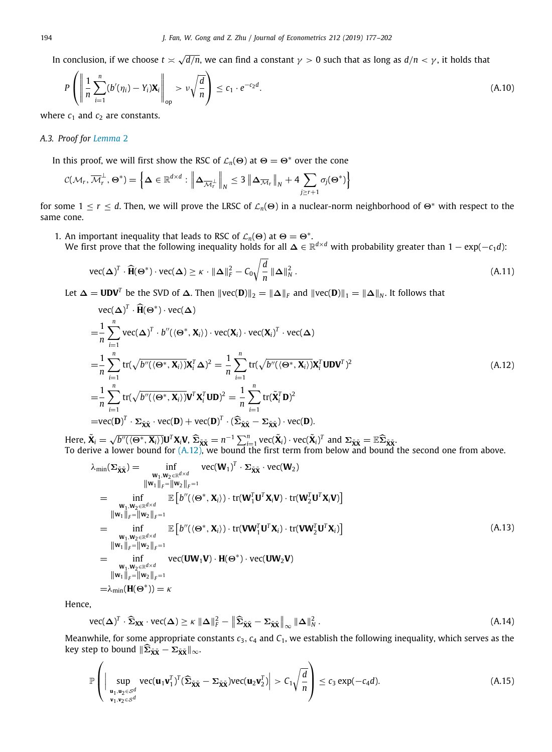In conclusion, if we choose  $t \asymp \sqrt{2}$  $d/n$ , we can find a constant  $\gamma > 0$  such that as long as  $d/n < \gamma$ , it holds that

$$
P\left(\left\|\frac{1}{n}\sum_{i=1}^{n}\left(b'(\eta_{i})-Y_{i}\right)\mathbf{X}_{i}\right\|_{\text{op}} > \nu\sqrt{\frac{d}{n}}\right) \leq c_{1} \cdot e^{-c_{2}d}.\tag{A.10}
$$

where  $c_1$  and  $c_2$  are constants.

# *A.3. Proof for [Lemma](#page-4-1)* [2](#page-4-1)

In this proof, we will first show the RSC of  $\mathcal{L}_n(\Theta)$  at  $\Theta = \Theta^*$  over the cone

$$
C(\mathcal{M}_r, \overline{\mathcal{M}}_r^{\perp}, \Theta^*) = \left\{ \Delta \in \mathbb{R}^{d \times d} : \left\| \Delta_{\overline{\mathcal{M}}_r^{\perp}} \right\|_{N} \leq 3 \left\| \Delta_{\overline{\mathcal{M}}_r} \right\|_{N} + 4 \sum_{j \geq r+1} \sigma_j(\Theta^*) \right\}
$$

for some  $1 \le r \le d$ . Then, we will prove the LRSC of  $\mathcal{L}_n(\Theta)$  in a nuclear-norm neighborhood of  $\Theta^*$  with respect to the same cone.

1. An important inequality that leads to RSC of  $\mathcal{L}_n(\Theta)$  at  $\Theta = \Theta^*$ .

We first prove that the following inequality holds for all ∆ ∈ R *<sup>d</sup>*×*<sup>d</sup>* with probability greater than 1 − exp(−*c*1*d*):

$$
\text{vec}(\boldsymbol{\Delta})^T \cdot \widehat{\mathbf{H}}(\boldsymbol{\Theta}^*) \cdot \text{vec}(\boldsymbol{\Delta}) \ge \kappa \cdot \|\boldsymbol{\Delta}\|_F^2 - C_0 \sqrt{\frac{d}{n}} \|\boldsymbol{\Delta}\|_N^2 \,. \tag{A.11}
$$

Let  $\Delta = \textbf{UDV}^T$  be the SVD of  $\Delta$ . Then  $\|\text{vec}(\textbf{D})\|_2 = \|\Delta\|_F$  and  $\|\text{vec}(\textbf{D})\|_1 = \|\Delta\|_N$ . It follows that

<span id="page-17-3"></span><span id="page-17-0"></span>vec(
$$
\Delta
$$
)<sup>T</sup> ·  $\hat{H}(\Theta^*) \cdot$ vec( $\Delta$ )  
\n= $\frac{1}{n} \sum_{i=1}^n$ vec( $\Delta$ )<sup>T</sup> ·  $b''(\langle \Theta^*, \mathbf{X}_i \rangle) \cdot$ vec( $\mathbf{X}_i$ ) · vec( $\mathbf{X}_i$ )<sup>T</sup> · vec( $\Delta$ )  
\n= $\frac{1}{n} \sum_{i=1}^n$ tr( $\sqrt{b''(\langle \Theta^*, \mathbf{X}_i \rangle)} \mathbf{X}_i^T \Delta)^2 = \frac{1}{n} \sum_{i=1}^n$ tr( $\sqrt{b''(\langle \Theta^*, \mathbf{X}_i \rangle)} \mathbf{X}_i^T$ UDV<sup>T</sup>)<sup>2</sup>  
\n= $\frac{1}{n} \sum_{i=1}^n$ tr( $\sqrt{b''(\langle \Theta^*, \mathbf{X}_i \rangle)} \mathbf{V}^T \mathbf{X}_i^T$ UD)<sup>2</sup> =  $\frac{1}{n} \sum_{i=1}^n$ tr( $\tilde{\mathbf{X}}_i^T \mathbf{D}$ )<sup>2</sup>  
\n=vec( $\mathbf{D}$ )<sup>T</sup> ·  $\Sigma_{\tilde{\mathbf{X}} \tilde{\mathbf{X}}}$  · vec( $\mathbf{D}$ ) + vec( $\mathbf{D}$ )<sup>T</sup> · ( $\widehat{\Sigma}_{\tilde{\mathbf{X}} \tilde{\mathbf{X}}}$  -  $\Sigma_{\tilde{\mathbf{X}} \tilde{\mathbf{X}}}$ ) · vec( $\mathbf{D}$ ).

Here,  $\tilde{\mathbf{X}}_i = \sqrt{b''(\langle \Theta^*, \mathbf{X}_i \rangle)} \mathbf{U}^T \mathbf{X}_i \mathbf{V}, \hat{\Sigma}_{\tilde{\mathbf{X}} \tilde{\mathbf{X}}} = n^{-1} \sum_{i=1}^n \text{vec}(\tilde{\mathbf{X}}_i) \cdot \text{vec}(\tilde{\mathbf{X}}_i)^T$  and  $\Sigma_{\tilde{\mathbf{X}} \tilde{\mathbf{X}}} = \mathbb{E} \widehat{\Sigma}_{\tilde{\mathbf{X}} \tilde{\mathbf{X}}}$ <br>To derive a lower bound f To derive a lower bound for ([A.12\)](#page-17-0), we bound the first term from below and bound the second one from above.

$$
\lambda_{\min}(\Sigma_{\tilde{\mathbf{X}}\tilde{\mathbf{X}}}) = \inf_{\substack{\mathbf{W}_1, \mathbf{W}_2 \in \mathbb{R}^{d \times d} \\ \|\mathbf{W}_1\|_F = \|\mathbf{W}_2\|_F = 1}} \text{vec}(\mathbf{W}_1)^T \cdot \Sigma_{\tilde{\mathbf{X}}\tilde{\mathbf{X}}} \cdot \text{vec}(\mathbf{W}_2)
$$
\n
$$
= \inf_{\substack{\mathbf{W}_1, \mathbf{W}_2 \in \mathbb{R}^{d \times d} \\ \|\mathbf{W}_1\|_F = \|\mathbf{W}_2\|_F = 1}} \mathbb{E}\left[b''(\langle \mathbf{\Theta}^*, \mathbf{X}_i \rangle) \cdot \text{tr}(\mathbf{W}_1^T \mathbf{U}^T \mathbf{X}_i \mathbf{V}) \cdot \text{tr}(\mathbf{W}_2^T \mathbf{U}^T \mathbf{X}_i \mathbf{V})\right]
$$
\n
$$
= \inf_{\substack{\mathbf{W}_1, \mathbf{W}_2 \in \mathbb{R}^{d \times d} \\ \|\mathbf{W}_1\|_F = \|\mathbf{W}_2\|_F = 1}} \mathbb{E}\left[b''(\langle \mathbf{\Theta}^*, \mathbf{X}_i \rangle) \cdot \text{tr}(\mathbf{V}\mathbf{W}_1^T \mathbf{U}^T \mathbf{X}_i) \cdot \text{tr}(\mathbf{V}\mathbf{W}_2^T \mathbf{U}^T \mathbf{X}_i)\right]
$$
\n
$$
= \inf_{\substack{\mathbf{W}_1, \mathbf{W}_2 \in \mathbb{R}^{d \times d} \\ \|\mathbf{W}_1\|_F = \|\mathbf{W}_2\|_F = 1}} \text{vec}(\mathbf{U}\mathbf{W}_1 \mathbf{V}) \cdot \mathbf{H}(\mathbf{\Theta}^*) \cdot \text{vec}(\mathbf{U}\mathbf{W}_2 \mathbf{V})
$$
\n
$$
= \lambda_{\min}(\mathbf{H}(\mathbf{\Theta}^*)) = \kappa
$$
\n(A.13)

Hence,

<span id="page-17-2"></span>
$$
\text{vec}(\boldsymbol{\Delta})^T \cdot \widehat{\boldsymbol{\Sigma}}_{\mathbf{XX}} \cdot \text{vec}(\boldsymbol{\Delta}) \ge \kappa \|\boldsymbol{\Delta}\|_F^2 - \|\widehat{\boldsymbol{\Sigma}}_{\widetilde{\mathbf{XX}}} - \boldsymbol{\Sigma}_{\widetilde{\mathbf{XX}}}\|_{\infty} \|\boldsymbol{\Delta}\|_N^2. \tag{A.14}
$$

Meanwhile, for some appropriate constants *c*3, *c*<sup>4</sup> and *C*1, we establish the following inequality, which serves as the  $\text{key step to bound } ||\widehat{\Sigma}_{\tilde{\mathbf{X}}\tilde{\mathbf{X}}} - \Sigma_{\tilde{\mathbf{X}}\tilde{\mathbf{X}}}||_{\infty}.$ 

<span id="page-17-1"></span>
$$
\mathbb{P}\left(\left|\sup_{\substack{\mathbf{u}_1,\mathbf{u}_2\in\mathcal{S}^d\\ \mathbf{v}_1,\mathbf{v}_2\in\mathcal{S}^d}}\text{vec}(\mathbf{u}_1\mathbf{v}_1^T)^T(\widehat{\boldsymbol{\Sigma}}_{\tilde{\mathbf{X}}\tilde{\mathbf{X}}}-\boldsymbol{\Sigma}_{\tilde{\mathbf{X}}\tilde{\mathbf{X}}})\text{vec}(\mathbf{u}_2\mathbf{v}_2^T)\right|>C_1\sqrt{\frac{d}{n}}\right)\leq c_3\exp(-c_4d). \tag{A.15}
$$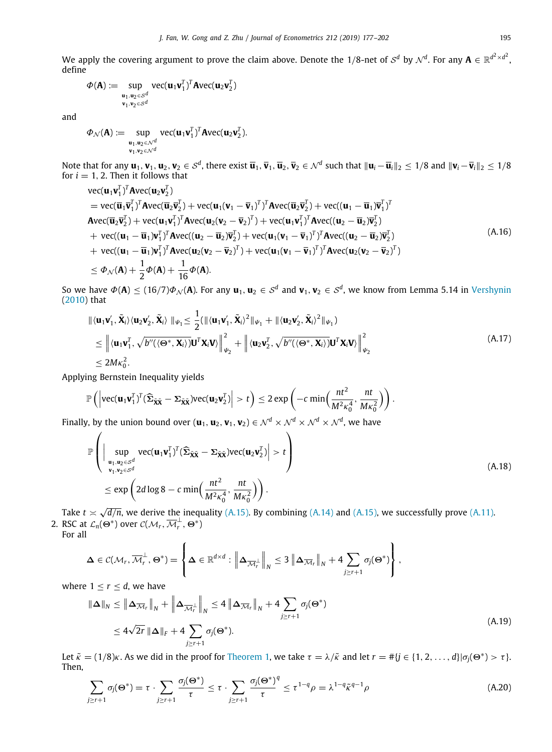We apply the covering argument to prove the claim above. Denote the 1/8-net of  ${\cal S}^d$  by  ${\cal N}^d.$  For any  ${\bf A} \in \mathbb{R}^{d^2 \times d^2},$ define

$$
\Phi(\mathbf{A}) := \sup_{\substack{\mathbf{u}_1, \mathbf{u}_2 \in \mathcal{S}^d \\ \mathbf{v}_1, \mathbf{v}_2 \in \mathcal{S}^d}} \text{vec}(\mathbf{u}_1 \mathbf{v}_1^T)^T \mathbf{A} \text{vec}(\mathbf{u}_2 \mathbf{v}_2^T)
$$

and

$$
\Phi_{\mathcal{N}}(\mathbf{A}) := \sup_{\substack{\mathbf{u}_1, \mathbf{u}_2 \in \mathcal{N}^d \\ \mathbf{v}_1, \mathbf{v}_2 \in \mathcal{N}^d}} \text{vec}(\mathbf{u}_1 \mathbf{v}_1^T)^T \mathbf{A} \text{vec}(\mathbf{u}_2 \mathbf{v}_2^T).
$$

Note that for any  $\mathbf{u}_1,\mathbf{v}_1,\mathbf{u}_2,\mathbf{v}_2\in\mathcal{S}^d$ , there exist  $\overline{\mathbf{u}}_1,\overline{\mathbf{v}}_1,\overline{\mathbf{u}}_2,\overline{\mathbf{v}}_2\in\mathcal{N}^d$  such that  $\|\mathbf{u}_i-\overline{\mathbf{u}}_i\|_2\leq 1/8$  and  $\|\mathbf{v}_i-\overline{\mathbf{v}}_i\|_2\leq 1/8$ for  $i = 1, 2$ . Then it follows that

vec(
$$
\mathbf{u}_1 \mathbf{v}_1^T
$$
)<sup>T</sup> Avec( $\mathbf{u}_2 \mathbf{v}_2^T$ )  
\n= vec( $\overline{\mathbf{u}}_1 \overline{\mathbf{v}}_1^T$ )<sup>T</sup> Avec( $\overline{\mathbf{u}}_2 \overline{\mathbf{v}}_2^T$ ) + vec( $\mathbf{u}_1 (\mathbf{v}_1 - \overline{\mathbf{v}}_1)^T$ )<sup>T</sup> Avec( $\overline{\mathbf{u}}_2 \overline{\mathbf{v}}_2^T$ ) + vec( $(\mathbf{u}_1 - \overline{\mathbf{u}}_1)^T$ )<sup>T</sup>  
\nAvec( $\overline{\mathbf{u}}_2 \overline{\mathbf{v}}_2^T$ ) + vec( $\mathbf{u}_1 \mathbf{v}_1^T$ )<sup>T</sup> Avec( $(\mathbf{u}_2 - \overline{\mathbf{v}}_2)^T$ ) + vec( $(\mathbf{u}_1 \mathbf{v}_1^T)^T$ )<sup>T</sup> Avec( $(\mathbf{u}_2 - \overline{\mathbf{u}}_2)^T$ )<sup>T</sup>  
\n+ vec(( $(\mathbf{u}_1 - \overline{\mathbf{u}}_1)\mathbf{v}_1^T$ )<sup>T</sup> Avec( $(\mathbf{u}_2 - \overline{\mathbf{u}}_2)^T$ ) + vec( $(\mathbf{u}_1 (\mathbf{v}_1 - \overline{\mathbf{v}}_1)^T$ )<sup>T</sup> Avec( $(\mathbf{u}_2 - \overline{\mathbf{u}}_2)^T$ )<sup>T</sup>  
\n+ vec(( $(\mathbf{u}_1 - \overline{\mathbf{u}}_1)\mathbf{v}_1^T$ )<sup>T</sup> Avec( $(\mathbf{u}_2 (\mathbf{v}_2 - \overline{\mathbf{v}}_2)^T$ ) + vec( $(\mathbf{u}_1 (\mathbf{v}_1 - \overline{\mathbf{v}}_1)^T$ )<sup>T</sup> Avec( $(\mathbf{u}_2 (\mathbf{v}_2 - \overline{\mathbf{v}}_2)^T$ )  
\n $\le \Phi_{\mathcal{N}}(\mathbf{A}) + \frac{1}{2}\Phi(\mathbf{A}) + \frac{1}{16}\Phi(\mathbf{A}).$  (A.16)

So we have  $\Phi(A) \le (16/7) \Phi_{\mathcal{N}}(A)$ . For any  $\mathbf{u}_1,\mathbf{u}_2\in\mathcal{S}^d$  and  $\mathbf{v}_1,\mathbf{v}_2\in\mathcal{S}^d$ , we know from Lemma 5.14 in [Vershynin](#page-25-36) [\(2010\)](#page-25-36) that

$$
\begin{split} &\| \langle \mathbf{u}_1 \mathbf{v}_1', \tilde{\mathbf{X}}_i \rangle \langle \mathbf{u}_2 \mathbf{v}_2', \tilde{\mathbf{X}}_i \rangle \, \| \psi_1 \leq \frac{1}{2} (\| \langle \mathbf{u}_1 \mathbf{v}_1', \tilde{\mathbf{X}}_i \rangle^2 \| \psi_1 + \| \langle \mathbf{u}_2 \mathbf{v}_2', \tilde{\mathbf{X}}_i \rangle^2 \| \psi_1) \\ &\leq \left\| \langle \mathbf{u}_1 \mathbf{v}_1^T, \sqrt{b''(\langle \Theta^*, \mathbf{X}_i \rangle)} \mathbf{U}^T \mathbf{X}_i \mathbf{V} \rangle \right\|_{\psi_2}^2 + \left\| \langle \mathbf{u}_2 \mathbf{v}_2^T, \sqrt{b''(\langle \Theta^*, \mathbf{X}_i \rangle)} \mathbf{U}^T \mathbf{X}_i \mathbf{V} \rangle \right\|_{\psi_2}^2 \\ &\leq 2M\kappa_0^2. \end{split} \tag{A.17}
$$

Applying Bernstein Inequality yields

$$
\mathbb{P}\left(\left|\text{vec}(\mathbf{u}_1\mathbf{v}_1^T)^T(\widehat{\boldsymbol{\Sigma}}_{\tilde{\mathbf{X}}\tilde{\mathbf{X}}}-\boldsymbol{\Sigma}_{\tilde{\mathbf{X}}\tilde{\mathbf{X}}})\text{vec}(\mathbf{u}_2\mathbf{v}_2^T)\right|>t\right)\leq 2\exp\left(-c\min\left(\frac{nt^2}{M^2\kappa_0^4},\frac{nt}{M\kappa_0^2}\right)\right).
$$

Finally, by the union bound over  $(\bm u_1,\bm u_2,\bm v_1,\bm v_2)\in \mathcal N^d\times \mathcal N^d\times \mathcal N^d\times \mathcal N^d,$  we have

$$
\mathbb{P}\left(\left|\sup_{\substack{\mathbf{u}_1,\mathbf{u}_2\in\mathcal{S}^d\\ \mathbf{v}_1,\mathbf{v}_2\in\mathcal{S}^d}}\text{vec}(\mathbf{u}_1\mathbf{v}_1^T)^T(\widehat{\boldsymbol{\Sigma}}_{\widetilde{\mathbf{X}}\widetilde{\mathbf{X}}}-\boldsymbol{\Sigma}_{\widetilde{\mathbf{X}}\widetilde{\mathbf{X}}})\text{vec}(\mathbf{u}_2\mathbf{v}_2^T)\right|>t\right)
$$
\n
$$
\leq \exp\left(2d\log 8 - c\min\left(\frac{nt^2}{M^2\kappa_0^4}, \frac{nt}{M\kappa_0^2}\right)\right).
$$
\n(A.18)

<span id="page-18-0"></span> $\mathbf{a}$ 

Take  $t \asymp \sqrt{2}$  $\overline{d}/n$ , we derive the inequality [\(A.15](#page-17-1)). By combining ([A.14\)](#page-17-2) and ([A.15\)](#page-17-1), we successfully prove ([A.11\)](#page-17-3). 2. RSC at  $\mathcal{L}_n(\Theta^*)$  over  $\mathcal{C}(\mathcal{M}_r, \overline{\mathcal{M}}_r^{\perp})$  $_{\rm r}^{\perp}$ ,  $\Theta^*$ )

For all

$$
\Delta \in \mathcal{C}(\mathcal{M}_r, \overline{\mathcal{M}}_r^{\perp}, \Theta^*) = \left\{\Delta \in \mathbb{R}^{d \times d}: \left\|\Delta_{\overline{\mathcal{M}}_r^{\perp}}\right\|_{N} \leq 3 \left\|\Delta_{\overline{\mathcal{M}}_r}\right\|_{N} + 4 \sum_{j \geq r+1} \sigma_j(\Theta^*)\right\},\
$$

where  $1 \le r \le d$ , we have

$$
\|\Delta\|_{N} \leq \|\Delta_{\overline{\mathcal{M}}_{r}}\|_{N} + \|\Delta_{\overline{\mathcal{M}}_{r}^{\perp}}\|_{N} \leq 4 \|\Delta_{\overline{\mathcal{M}}_{r}}\|_{N} + 4 \sum_{j \geq r+1} \sigma_{j}(\Theta^{*})
$$
  

$$
\leq 4\sqrt{2r} \|\Delta\|_{F} + 4 \sum_{j \geq r+1} \sigma_{j}(\Theta^{*}).
$$
 (A.19)

Let  $\tilde{\kappa} = (1/8)\kappa$ . As we did in the proof for [Theorem](#page-3-1) [1,](#page-3-1) we take  $\tau = \lambda/\tilde{\kappa}$  and let  $r = #\{j \in \{1, 2, ..., d\} | \sigma_j(\Theta^*) > \tau\}$ . Then,

$$
\sum_{j\geq r+1}\sigma_j(\Theta^*)=\tau\cdot\sum_{j\geq r+1}\frac{\sigma_j(\Theta^*)}{\tau}\leq\tau\cdot\sum_{j\geq r+1}\frac{\sigma_j(\Theta^*)^q}{\tau}\leq\tau^{1-q}\rho=\lambda^{1-q}\tilde{\kappa}^{q-1}\rho\tag{A.20}
$$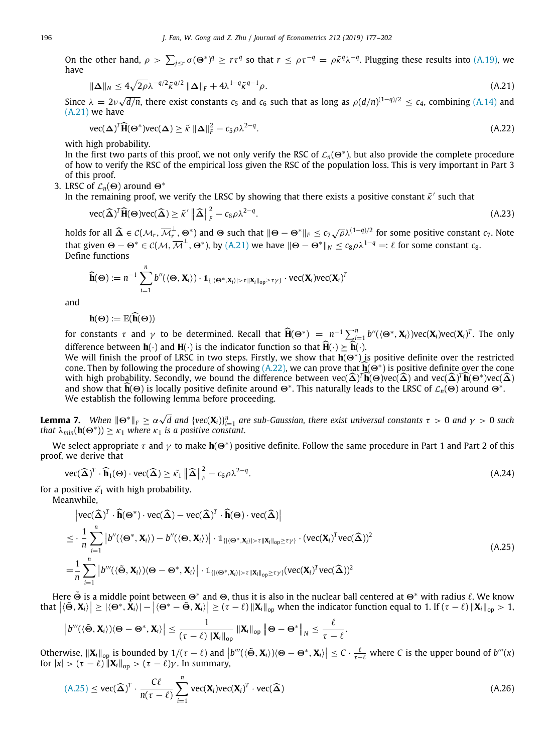On the other hand,  $\rho > \sum_{j \leq r} \sigma(\Theta^*)^q \geq r\tau^q$  so that  $r \leq \rho\tau^{-q} = \rho \tilde{\kappa}^q \lambda^{-q}$ . Plugging these results into ([A.19\)](#page-18-0), we have

<span id="page-19-0"></span>
$$
\|\Delta\|_{N} \le 4\sqrt{2\rho}\lambda^{-q/2}\tilde{\kappa}^{q/2} \|\Delta\|_{F} + 4\lambda^{1-q}\tilde{\kappa}^{q-1}\rho.
$$
\n(A.21)

Since  $\lambda = 2\nu\sqrt{ }$  $\overline{d/n}$ , there exist constants  $c_5$  and  $c_6$  such that as long as  $\rho(d/n)^{(1-q)/2} \leq c_4$ , combining ([A.14\)](#page-17-2) and [\(A.21](#page-19-0)) we have

<span id="page-19-1"></span>
$$
\text{vec}(\boldsymbol{\Delta})^T \widehat{\mathbf{H}}(\boldsymbol{\Theta}^*) \text{vec}(\boldsymbol{\Delta}) \ge \tilde{\kappa} \|\boldsymbol{\Delta}\|_F^2 - c_5 \rho \lambda^{2-q}.
$$
\n(A.22)

with high probability.

In the first two parts of this proof, we not only verify the RSC of  $\mathcal{L}_n(\Theta^*)$ , but also provide the complete procedure of how to verify the RSC of the empirical loss given the RSC of the population loss. This is very important in Part 3 of this proof.

3. LRSC of  $\mathcal{L}_n(\Theta)$  around  $\Theta^*$ 

In the remaining proof, we verify the LRSC by showing that there exists a positive constant  $\tilde{\kappa}'$  such that

$$
\text{vec}(\widehat{\boldsymbol{\Delta}})^{T}\widehat{\mathbf{H}}(\boldsymbol{\Theta})\text{vec}(\widehat{\boldsymbol{\Delta}}) \geq \widetilde{\kappa}' \left\|\widehat{\boldsymbol{\Delta}}\right\|_{F}^{2} - c_{6}\rho\lambda^{2-q}.\tag{A.23}
$$

holds for all  $\widehat{\Delta} \in \mathcal{C}(\mathcal{M}_r, \overline{\mathcal{M}}_r^{\perp})$  $\frac{1}{r}$ ,  $\Theta^*$ ) and  $\Theta$  such that  $\|\Theta - \Theta^*\|_F \leq c_7 \sqrt{\rho} \lambda^{(1-q)/2}$  for some positive constant  $c_7$ . Note that given  $\Theta - \Theta^* \in C(\mathcal{M}, \overline{\mathcal{M}}^\perp, \Theta^*)$ , by  $(A.21)$  $(A.21)$  we have  $\|\Theta - \Theta^*\|_N \leq c_8 \rho \lambda^{1-q} =: \ell$  for some constant  $c_8$ . Define functions

$$
\widehat{\mathbf{h}}(\Theta) := n^{-1} \sum_{i=1}^n b''(\langle \Theta, \mathbf{X}_i \rangle) \cdot \mathbb{1}_{\{|\langle \Theta^*, \mathbf{X}_i \rangle| > \tau ||\mathbf{X}_i||_{op} \geq \tau \gamma\}} \cdot \text{vec}(\mathbf{X}_i) \text{vec}(\mathbf{X}_i)^T
$$

and

$$
h(\Theta) := \mathbb{E}(\widehat{h}(\Theta))
$$

for constants  $\tau$  and  $\gamma$  to be determined. Recall that  $\widehat{H}(\Theta^*) = n^{-1} \sum_{i=1}^n b''(\langle \Theta^*, \mathbf{X}_i \rangle) \text{vec}(\mathbf{X}_i) \text{vec}(\mathbf{X}_i)^T$ . The only difference between  $h(\cdot)$  and  $H(\cdot)$  is the indicator function so that  $\widehat{H}(\cdot) \succeq \widehat{h}(\cdot)$ .

We will finish the proof of LRSC in two steps. Firstly, we show that **h**(Θ<sup>∗</sup> ) is positive definite over the restricted cone. Then by following the procedure of showing ([A.22\)](#page-19-1), we can prove that  $\hat{\mathbf{h}}(\Theta^*)$  is positive definite over the cone<br>with high probability, Secondly, we hound the difference hetween  $\text{vec}(\hat{\lambda})^T \hat{\mathbf{h}}(\Theta)$ ues( $\$ with high probability. Secondly, we bound the difference between  $\text{vec}(\hat{\boldsymbol{\Delta}})^T \hat{\mathbf{h}}(\Theta) \text{vec}(\hat{\boldsymbol{\Delta}})$  and  $\text{vec}(\hat{\boldsymbol{\Delta}})^T \hat{\mathbf{h}}(\Theta^*) \text{vec}(\hat{\boldsymbol{\Delta}})$ and show that  $\hat{\mathbf{h}}(\Theta)$  is locally positive definite around  $\Theta^*$ . This naturally leads to the LRSC of  $\mathcal{L}_n(\Theta)$  around  $\Theta^*$ . We establish the following lemma before proceeding.

<span id="page-19-3"></span>**Lemma 7.** When  $\|\Theta^*\|_F \geq \alpha \sqrt{d}$  and  $\{vec(\textbf{X}_i)\}_{i=1}^n$  are sub-Gaussian, there exist universal constants  $\tau > 0$  and  $\gamma > 0$  such *that*  $\lambda_{min}(\mathbf{h}(\Theta^*)) \geq \kappa_1$  *where*  $\kappa_1$  *is a positive constant.* 

We select appropriate τ and γ to make **h**(Θ<sup>∗</sup> ) positive definite. Follow the same procedure in Part 1 and Part 2 of this proof, we derive that

$$
\text{vec}(\widehat{\mathbf{\Delta}})^{T} \cdot \widehat{\mathbf{h}}_{1}(\Theta) \cdot \text{vec}(\widehat{\mathbf{\Delta}}) \geq \widetilde{\kappa}_{1} \left\| \widehat{\mathbf{\Delta}} \right\|_{F}^{2} - c_{6}\rho\lambda^{2-q}.
$$
\n(A.24)

for a positive  $\tilde{\kappa_1}$  with high probability.

Meanwhile,

<span id="page-19-2"></span>
$$
\begin{split}\n&\left|\text{vec}(\widehat{\boldsymbol{\Delta}})^{T} \cdot \widehat{\mathbf{h}}(\Theta^{*}) \cdot \text{vec}(\widehat{\boldsymbol{\Delta}}) - \text{vec}(\widehat{\boldsymbol{\Delta}})^{T} \cdot \widehat{\mathbf{h}}(\Theta) \cdot \text{vec}(\widehat{\boldsymbol{\Delta}})\right| \\
&\leq \cdot \frac{1}{n} \sum_{i=1}^{n} \left| b''(\langle \Theta^{*}, \mathbf{X}_{i} \rangle) - b''(\langle \Theta, \mathbf{X}_{i} \rangle) \right| \cdot \mathbb{1}_{\{|\langle \Theta^{*}, \mathbf{X}_{i} \rangle| > \tau \| \mathbf{X}_{i} \|_{op} \geq \tau \gamma\}} \cdot (\text{vec}(\mathbf{X}_{i})^{T} \text{vec}(\widehat{\boldsymbol{\Delta}}))^{2} \\
&= \frac{1}{n} \sum_{i=1}^{n} \left| b'''(\langle \widetilde{\Theta}, \mathbf{X}_{i} \rangle)(\Theta - \Theta^{*}, \mathbf{X}_{i}) \right| \cdot \mathbb{1}_{\{|\langle \Theta^{*}, \mathbf{X}_{i} \rangle| > \tau \| \mathbf{X}_{i} \|_{op} \geq \tau \gamma\}} (\text{vec}(\mathbf{X}_{i})^{T} \text{vec}(\widehat{\boldsymbol{\Delta}}))^{2}\n\end{split} \tag{A.25}
$$

Here  $\tilde \Theta$  is a middle point between  $\Theta^*$  and  $\Theta$ , thus it is also in the nuclear ball centered at  $\Theta^*$  with radius  $\ell$ . We know that  $\left|\langle \tilde{\Theta}, \mathbf{X}_i \rangle\right| \geq \left|\langle \Theta^*, \hat{\mathbf{X}}_i \rangle\right| - \left|\langle \Theta^* - \tilde{\Theta}, \mathbf{X}_i \rangle\right| \geq (\tau - \ell) \left\|\mathbf{X}_i\right\|_{\text{op}}$  when the indicator function equal to 1. If  $(\tau - \ell) \left\|\mathbf{X}_i\right\|_{\text{op}} > 1$ 

$$
\left|b'''(\langle \tilde{\Theta}, \mathbf{X}_i \rangle)\langle \Theta - \Theta^*, \mathbf{X}_i \rangle\right| \leq \frac{1}{(\tau - \ell) \left\|\mathbf{X}_i\right\|_{\text{op}}} \left\|\mathbf{X}_i\right\|_{\text{op}} \left\|\Theta - \Theta^*\right\|_N \leq \frac{\ell}{\tau - \ell}.
$$

Otherwise,  $\|\mathbf{X}_i\|_{op}$  is bounded by  $1/(\tau - \ell)$  and  $\left|b'''(\langle \tilde{\Theta}, \mathbf{X}_i \rangle) \langle \Theta - \Theta^*, \mathbf{X}_i \rangle \right| \leq C \cdot \frac{\ell}{\tau - \ell}$  where *C* is the upper bound of  $b'''(x)$ for  $|x| > (\tau - \ell) ||\mathbf{X}_i||_{op} > (\tau - \ell) \gamma$ . In summary,

$$
(A.25) \le \text{vec}(\widehat{\boldsymbol{\Delta}})^T \cdot \frac{C\ell}{n(\tau - \ell)} \sum_{i=1}^n \text{vec}(\mathbf{X}_i) \text{vec}(\mathbf{X}_i)^T \cdot \text{vec}(\widehat{\boldsymbol{\Delta}})
$$
(A.26)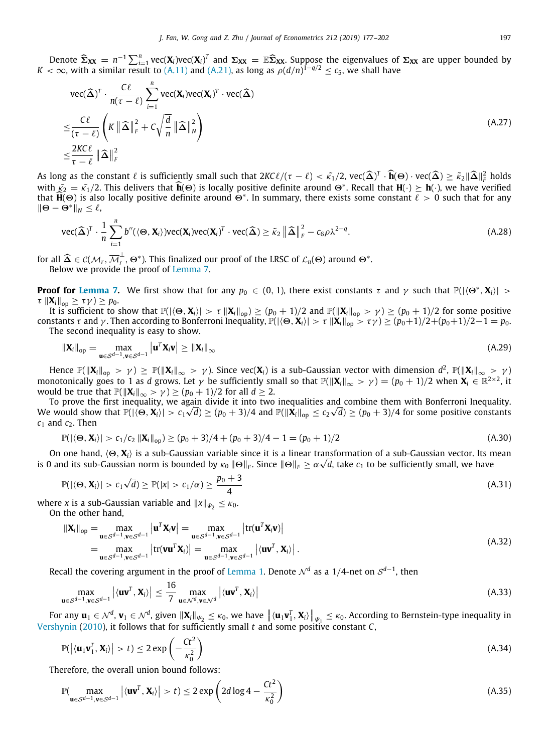Denote  $\widehat{\Sigma}_{XX} = n^{-1} \sum_{i=1}^{n} \text{vec}(\mathbf{X}_i) \text{vec}(\mathbf{X}_i)^T$  and  $\Sigma_{XX} = \mathbb{E} \widehat{\Sigma}_{XX}$ . Suppose the eigenvalues of  $\Sigma_{XX}$  are upper bounded by  $K < \infty$ , with a similar result to [\(A.11](#page-17-3)) and ([A.21\)](#page-19-0), as long as  $\rho(d/n)^{1-q/2} \$ 

$$
\begin{split} &\text{vec}(\widehat{\Delta})^{T} \cdot \frac{C\ell}{n(\tau - \ell)} \sum_{i=1}^{n} \text{vec}(\mathbf{X}_{i}) \text{vec}(\mathbf{X}_{i})^{T} \cdot \text{vec}(\widehat{\Delta}) \\ &\leq \frac{C\ell}{(\tau - \ell)} \left( K \left\| \widehat{\Delta} \right\|_{F}^{2} + C \sqrt{\frac{d}{n}} \left\| \widehat{\Delta} \right\|_{N}^{2} \right) \\ &\leq \frac{2KC\ell}{\tau - \ell} \left\| \widehat{\Delta} \right\|_{F}^{2} \end{split} \tag{A.27}
$$

As long as the constant  $\ell$  is sufficiently small such that  $2K\ell/\left(\tau-\ell\right) < \tilde{\kappa_1}/2$ ,  $\text{vec}(\hat{\boldsymbol{\Delta}})^T \cdot \hat{\mathbf{h}}(\Theta) \cdot \text{vec}(\hat{\boldsymbol{\Delta}}) \geq \tilde{\kappa}_2 ||\hat{\boldsymbol{\Delta}}||_F^2$  holds  $\tilde{\kappa}_1/\tilde{\kappa}_2 \geq \tilde{\kappa}_2 |\tilde{\boldsymbol{\Delta}}|_F^2$  holds  $\tilde$ with  $\tilde{\kappa}_2 = \tilde{\kappa}_1/2$ . This delivers that  $\hat{\mathbf{h}}(\Theta)$  is locally positive definite around  $\Theta^*$ . Recall that  $\mathbf{H}(\cdot) \succeq \mathbf{h}(\cdot)$ , we have verified that  $\hat{\mathbf{h}}(\Theta)$  is also locally positive definite around that  $\widehat{H}(\Theta)$  is also locally positive definite around  $\Theta^*$ . In summary, there exists some constant  $\ell > 0$  such that for any ∥<sup>Θ</sup> − <sup>Θ</sup><sup>∗</sup>∥*<sup>N</sup>* ≤ ℓ,

$$
\text{vec}(\widehat{\boldsymbol{\Delta}})^{T} \cdot \frac{1}{n} \sum_{i=1}^{n} b''(\langle \boldsymbol{\Theta}, \mathbf{X}_{i} \rangle) \text{vec}(\mathbf{X}_{i}) \text{vec}(\mathbf{X}_{i})^{T} \cdot \text{vec}(\widehat{\boldsymbol{\Delta}}) \geq \tilde{\kappa}_{2} \left\| \widehat{\boldsymbol{\Delta}} \right\|_{F}^{2} - c_{6} \rho \lambda^{2-q}.
$$
\n(A.28)

for all  $\widehat{\Delta} \in \mathcal{C}(\mathcal{M}_r, \overline{\mathcal{M}}_r^{\perp})$  $\mathcal{P}_r^{\perp}$ ,  $\Theta^*$ ). This finalized our proof of the LRSC of  $\mathcal{L}_n(\Theta)$  around  $\Theta^*$ .

Below we provide the proof of [Lemma](#page-19-3) [7](#page-19-3).

**Proof for [Lemma](#page-19-3) [7](#page-19-3).** We first show that for any  $p_0 \in (0, 1)$ , there exist constants  $\tau$  and  $\gamma$  such that  $\mathbb{P}(|\langle\Theta^*, \mathbf{X}_i\rangle| >$  $\tau \|\mathbf{X}_i\|_{\text{on}} \geq \tau \gamma$ ) ≥  $p_0$ .

It is sufficient to show that  $\mathbb{P}(|\langle \Theta, \mathbf{X}_i \rangle| > \tau \|\mathbf{X}_i\|_{op}) \ge (p_0 + 1)/2$  and  $\mathbb{P}(\|\mathbf{X}_i\|_{op} > \gamma) \ge (p_0 + 1)/2$  for some positive constants τ and γ. Then according to Bonferroni Inequality,  $\mathbb{P}(|\langle \Theta, \mathbf{X}_i \rangle| > \tau ||\mathbf{X}_i||_{op} > \tau$  γ) ≥  $(p_0+1)/2+(p_0+1)/2-1 = p_0$ . The second inequality is easy to show.

$$
\|\mathbf{X}_{i}\|_{\text{op}} = \max_{\mathbf{u} \in \mathcal{S}^{d-1}, \mathbf{v} \in \mathcal{S}^{d-1}} \left| \mathbf{u}^{T} \mathbf{X}_{i} \mathbf{v} \right| \geq \left\| \mathbf{X}_{i} \right\|_{\infty} \tag{A.29}
$$

Hence  $\mathbb{P}(\|\mathbf{X}_i\|_{\text{op}} > \gamma) \geq \mathbb{P}(\|\mathbf{X}_i\|_{\infty} > \gamma)$ . Since vec $(\mathbf{X}_i)$  is a sub-Gaussian vector with dimension  $d^2$ ,  $\mathbb{P}(\|\mathbf{X}_i\|_{\infty} > \gamma)$ monotonically goes to 1 as *d* grows. Let  $\gamma$  be sufficiently small so that  $\mathbb{P}(\|\mathbf{X}_i\|_{\infty} > \gamma) = (p_0 + 1)/2$  when  $\mathbf{X}_i \in \mathbb{R}^{2 \times 2}$ , it would be true that  $\mathbb{P}(\|\mathbf{X}_i\|_{\infty} > \gamma) \ge (p_0 + 1)/2$  for all  $d \ge 2$ .

To prove the first inequality, we again divide it into two inequalities and combine them with Bonferroni Inequality. We would show that  $\mathbb{P}(|\langle\Theta,{\bf X}_i\rangle|>c_1\sqrt{d})\geq(p_0+3)/4$  and  $\mathbb{P}(\|{\bf X}_i\|_{\rm op}\leq c_2\sqrt{d})\geq(p_0+3)/4$  for some positive constants  $c_1$  and  $c_2$ . Then

$$
\mathbb{P}(|\langle \Theta, \mathbf{X}_i \rangle| > c_1/c_2 \|\mathbf{X}_i\|_{op}) \ge (p_0 + 3)/4 + (p_0 + 3)/4 - 1 = (p_0 + 1)/2 \tag{A.30}
$$

On one hand, ⟨Θ, **X***i*⟩ is a sub-Gaussian variable since it is a linear transformation of a sub-Gaussian vector. Its mean √ is 0 and its sub-Gaussian norm is bounded by  $\kappa_0$   $\|\Theta\|_F$ . Since  $\|\Theta\|_F\ge\alpha\sqrt{d}$ , take  $c_1$  to be sufficiently small, we have

$$
\mathbb{P}(|\langle \Theta, \mathbf{X}_i \rangle| > c_1 \sqrt{d}) \ge \mathbb{P}(|x| > c_1/\alpha) \ge \frac{p_0 + 3}{4}
$$
\n(A.31)

where *x* is a sub-Gaussian variable and  $||x||_{\psi_2} \leq \kappa_0$ . On the other hand,

$$
\|\mathbf{X}_{i}\|_{\text{op}} = \max_{\mathbf{u} \in \mathcal{S}^{d-1}, \mathbf{v} \in \mathcal{S}^{d-1}} |\mathbf{u}^{T} \mathbf{X}_{i} \mathbf{v}| = \max_{\mathbf{u} \in \mathcal{S}^{d-1}, \mathbf{v} \in \mathcal{S}^{d-1}} |\text{tr}(\mathbf{u}^{T} \mathbf{X}_{i} \mathbf{v})|
$$
\n
$$
= \max_{\mathbf{u} \in \mathcal{S}^{d-1}, \mathbf{v} \in \mathcal{S}^{d-1}} |\text{tr}(\mathbf{v} \mathbf{u}^{T} \mathbf{X}_{i})| = \max_{\mathbf{u} \in \mathcal{S}^{d-1}, \mathbf{v} \in \mathcal{S}^{d-1}} |\langle \mathbf{u} \mathbf{v}^{T}, \mathbf{X}_{i} \rangle|.
$$
\n(A.32)

Recall the covering argument in the proof of [Lemma](#page-4-0) [1](#page-4-0). Denote  $\mathcal{N}^d$  as a 1/4-net on  $\mathcal{S}^{d-1}$ , then

$$
\max_{\mathbf{u}\in\mathcal{S}^{d-1},\mathbf{v}\in\mathcal{S}^{d-1}}\left|\langle\mathbf{u}\mathbf{v}^T,\mathbf{X}_i\rangle\right|\leq\frac{16}{7}\max_{\mathbf{u}\in\mathcal{N}^d,\mathbf{v}\in\mathcal{N}^d}\left|\langle\mathbf{u}\mathbf{v}^T,\mathbf{X}_i\rangle\right|\tag{A.33}
$$

For any  $\mathbf{u}_1 \in \mathcal{N}^d$ ,  $\mathbf{v}_1 \in \mathcal{N}^d$ , given  $\|\mathbf{X}_i\|_{\psi_2} \leq \kappa_0$ , we have  $\| \langle \mathbf{u}_1 \mathbf{v}_1^T, \mathbf{X}_i \rangle \|_{\psi_1} \leq \kappa_0$ . According to Bernstein-type inequality in [Vershynin](#page-25-36) ([2010\)](#page-25-36), it follows that for sufficiently small *t* and some positive constant *C*,

<span id="page-20-0"></span> $-2<sup>2</sup>$ 

$$
\mathbb{P}(|\langle \mathbf{u}_1 \mathbf{v}_1^T, \mathbf{X}_i \rangle| > t) \le 2 \exp\left(-\frac{Ct^2}{\kappa_0^2}\right) \tag{A.34}
$$

Therefore, the overall union bound follows:

$$
\mathbb{P}(\max_{\mathbf{u}\in\mathcal{S}^{d-1},\mathbf{v}\in\mathcal{S}^{d-1}}\left|\langle\mathbf{u}\mathbf{v}^T,\mathbf{X}_i\rangle\right|>t)\leq 2\exp\left(2d\log 4-\frac{Ct^2}{\kappa_0^2}\right) \tag{A.35}
$$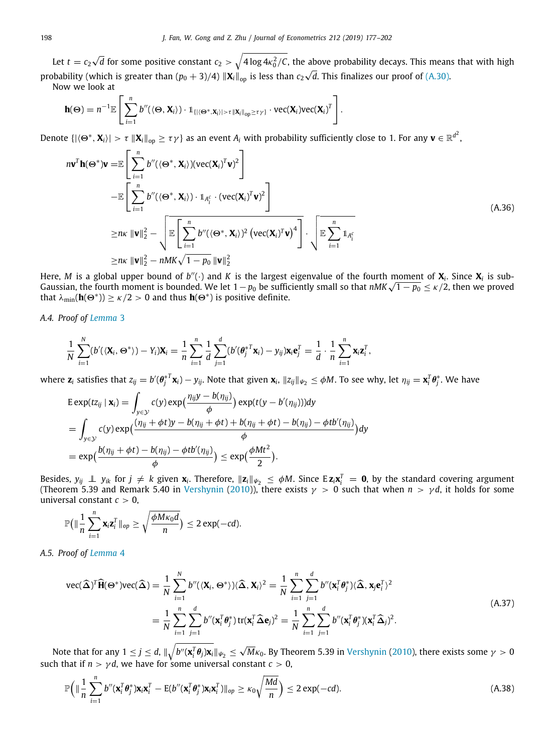Let  $t = c_2 \sqrt{ }$  $\overline{d}$  for some positive constant  $c_2>\sqrt{4\log 4\kappa_0^2/\mathsf{C}}$ , the above probability decays. This means that with high probability (which is greater than  $(p_0 + 3)/4$ )  $\|\mathbf{X}_i\|_{op}$  is less than  $c_2 \sqrt{\frac{m_0^2}{2m_0^2}}$ *d*. This finalizes our proof of [\(A.30](#page-20-0)).

Now we look at

$$
\mathbf{h}(\Theta) = n^{-1} \mathbb{E} \left[ \sum_{i=1}^n b''(\langle \Theta, \mathbf{X}_i \rangle) \cdot \mathbb{1}_{\{| \langle \Theta^*, \mathbf{X}_i \rangle | > \tau | \| \mathbf{X}_i \|_{\text{op}} \geq \tau \gamma\}} \cdot \text{vec}(\mathbf{X}_i) \text{vec}(\mathbf{X}_i)^T \right].
$$

Denote  $\{\|\langle\Theta^*,\mathbf{X}_i\rangle|>\tau\;\|\mathbf{X}_i\|_\text{op}\geq\tau\gamma\}$  as an event  $A_i$  with probability sufficiently close to 1. For any  $\mathbf{v}\in\mathbb{R}^{d^2}$ ,

$$
n\mathbf{v}^T \mathbf{h}(\Theta^*)\mathbf{v} = \mathbb{E}\left[\sum_{i=1}^n b''(\langle \Theta^*, \mathbf{X}_i \rangle)(\text{vec}(\mathbf{X}_i)^T \mathbf{v})^2\right] - \mathbb{E}\left[\sum_{i=1}^n b''(\langle \Theta^*, \mathbf{X}_i \rangle) \cdot \mathbb{1}_{A_i^c} \cdot (\text{vec}(\mathbf{X}_i)^T \mathbf{v})^2\right] \geq n\kappa \|\mathbf{v}\|_2^2 - \sqrt{\mathbb{E}\left[\sum_{i=1}^n b''(\langle \Theta^*, \mathbf{X}_i \rangle)^2 (\text{vec}(\mathbf{X}_i)^T \mathbf{v})^4\right]} \cdot \sqrt{\mathbb{E}\sum_{i=1}^n \mathbb{1}_{A_i^c}} \geq n\kappa \|\mathbf{v}\|_2^2 - nMK\sqrt{1 - p_0} \|\mathbf{v}\|_2^2
$$
 (A.36)

Here, M is a global upper bound of  $b''(\cdot)$  and K is the largest eigenvalue of the fourth moment of  $X_i$ . Since  $X_i$  is sub-Here, *M* is a global upper bound of *b*"(·) and *K* is the largest eigenvalue of the fourth moment of **X**<sub>i</sub>. Since **X**<sub>i</sub> is sub-<br>Gaussian, the fourth moment is bounded. We let 1 − *p*<sub>0</sub> be sufficiently small so that that  $\lambda_{\min}(\mathbf{h}(\Theta^*)) \ge \kappa/2 > 0$  and thus  $\mathbf{h}(\Theta^*)$  is positive definite.

*A.4. Proof of [Lemma](#page-5-1)* [3](#page-5-1)

$$
\frac{1}{N}\sum_{i=1}^N(b'(\langle \mathbf{X}_i, \Theta^* \rangle) - Y_i)\mathbf{X}_i = \frac{1}{n}\sum_{i=1}^n \frac{1}{d}\sum_{j=1}^d (b'(\theta_j^{*T}\mathbf{x}_i) - y_{ij})\mathbf{x}_i\mathbf{e}_j^T = \frac{1}{d}\cdot \frac{1}{n}\sum_{i=1}^n \mathbf{x}_i\mathbf{z}_i^T,
$$

where  $\mathbf{z}_i$  satisfies that  $z_{ij}=b'(\pmb{\theta}_j^{*T}\mathbf{x}_i)-y_{ij}.$  Note that given  $\mathbf{x}_i$ ,  $\|z_{ij}\|_{\psi_2}\leq \phi M.$  To see why, let  $\eta_{ij}=\mathbf{x}_i^T\pmb{\theta}_j^*.$  We have

$$
\begin{split} & \text{E} \exp(tz_{ij} \mid \mathbf{x}_i) = \int_{y \in \mathcal{Y}} c(y) \exp\left(\frac{\eta_{ij}y - b(\eta_{ij})}{\phi}\right) \exp(t(y - b'(\eta_{ij}))) dy \\ & = \int_{y \in \mathcal{Y}} c(y) \exp\left(\frac{(\eta_{ij} + \phi t)y - b(\eta_{ij} + \phi t) + b(\eta_{ij} + \phi t) - b(\eta_{ij}) - \phi t b'(\eta_{ij})}{\phi}\right) dy \\ & = \exp\left(\frac{b(\eta_{ij} + \phi t) - b(\eta_{ij}) - \phi t b'(\eta_{ij})}{\phi}\right) \leq \exp\left(\frac{\phi Mt^2}{2}\right). \end{split}
$$

Besides,  $y_{ij}\perp y_{ik}$  for  $j\neq k$  given  $\mathbf{x}_i$ . Therefore,  $\|\mathbf{z}_i\|_{\psi_2}\leq\phi M$ . Since E $\mathbf{z}_i\mathbf{x}_i^T=\mathbf{0}$ , by the standard covering argument (Theorem 5.39 and Remark 5.40 in [Vershynin](#page-25-36) [\(2010](#page-25-36))), there exists  $\gamma > 0$  such that when  $n > \gamma d$ , it holds for some universal constant  $c > 0$ ,

$$
\mathbb{P}\big(\|\frac{1}{n}\sum_{i=1}^n \mathbf{x}_i \mathbf{z}_i^T\|_{op} \ge \sqrt{\frac{\phi M \kappa_0 d}{n}}\big) \le 2 \exp(-cd).
$$

*A.5. Proof of [Lemma](#page-5-4)* [4](#page-5-4)

$$
\text{vec}(\widehat{\boldsymbol{\Delta}})^{T}\widehat{\mathbf{H}}(\boldsymbol{\Theta}^{*})\text{vec}(\widehat{\boldsymbol{\Delta}})=\frac{1}{N}\sum_{i=1}^{N}b''(\langle\mathbf{X}_{i},\boldsymbol{\Theta}^{*}\rangle)(\widehat{\boldsymbol{\Delta}},\mathbf{X}_{i})^{2}=\frac{1}{N}\sum_{i=1}^{n}\sum_{j=1}^{d}b''(\mathbf{x}_{i}^{T}\boldsymbol{\theta}_{j}^{*})(\widehat{\boldsymbol{\Delta}},\mathbf{x}_{j}\mathbf{e}_{i}^{T})^{2}
$$
\n
$$
=\frac{1}{N}\sum_{i=1}^{n}\sum_{j=1}^{d}b''(\mathbf{x}_{i}^{T}\boldsymbol{\theta}_{j}^{*})\operatorname{tr}(\mathbf{x}_{i}^{T}\widehat{\boldsymbol{\Delta}}\mathbf{e}_{j})^{2}=\frac{1}{N}\sum_{i=1}^{n}\sum_{j=1}^{d}b''(\mathbf{x}_{i}^{T}\boldsymbol{\theta}_{j}^{*})(\mathbf{x}_{i}^{T}\widehat{\boldsymbol{\Delta}}_{j})^{2}.
$$
\n(A.37)

Note that for any  $1 \leq j \leq d$ ,  $\|\sqrt{b''(\mathbf{x}_i^T \theta_j) \mathbf{x}_i}\|_{\mathcal{V}_2} \leq \sqrt{2}$  $M\kappa_{0}$ . By Theorem 5.39 in [Vershynin](#page-25-36) [\(2010](#page-25-36)), there exists some  $\gamma > 0$ such that if  $n > \gamma d$ , we have for some universal constant  $c > 0$ ,

<span id="page-21-0"></span>
$$
\mathbb{P}\Big(\|\frac{1}{n}\sum_{i=1}^n b''(\mathbf{x}_i^T\boldsymbol{\theta}_j^*)\mathbf{x}_i\mathbf{x}_i^T - \mathbb{E}(b''(\mathbf{x}_i^T\boldsymbol{\theta}_j^*)\mathbf{x}_i\mathbf{x}_i^T)\|_{op} \ge \kappa_0\sqrt{\frac{Md}{n}}\Big) \le 2\exp(-cd).
$$
 (A.38)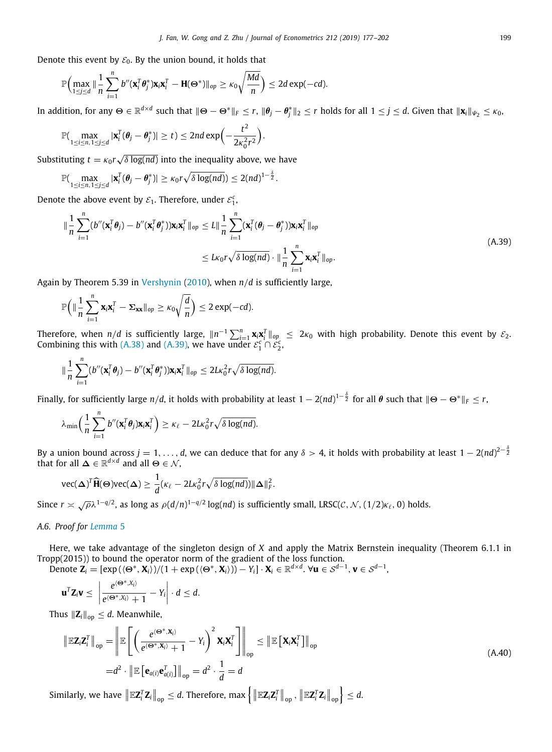Denote this event by  $\mathcal{E}_0$ . By the union bound, it holds that

$$
\mathbb{P}\Big(\max_{1\leq j\leq d}\|\frac{1}{n}\sum_{i=1}^nb''(\mathbf{x}_i^T\boldsymbol{\theta}_j^*)\mathbf{x}_i\mathbf{x}_i^T-\mathbf{H}(\boldsymbol{\Theta}^*)\|_{op}\geq \kappa_0\sqrt{\frac{Md}{n}}\Big)\leq 2d\exp(-cd).
$$

In addition, for any  $\Theta\in\mathbb{R}^{d\times d}$  such that  $\|\Theta-\Theta^*\|_F\leq r$ ,  $\|\pmb{\theta}_j-\pmb{\theta}_j^*\|_2\leq r$  holds for all  $1\leq j\leq d$ . Given that  $\|\textbf{x}_i\|_{\mathcal{V}_2}\leq \kappa_0$ ,

$$
\mathbb{P}(\max_{1\leq i\leq n, 1\leq j\leq d}|\mathbf{x}_i^T(\boldsymbol{\theta}_j-\boldsymbol{\theta}_j^*)|\geq t)\leq 2nd\exp\Bigl(-\frac{t^2}{2\kappa_0^2r^2}\Bigr).
$$

Substituting  $t = \kappa_0 r \sqrt{ }$ δ log(*nd*) into the inequality above, we have

$$
\mathbb{P}(\max_{1\leq i\leq n, 1\leq j\leq d}|\mathbf{x}_i^T(\boldsymbol{\theta}_j-\boldsymbol{\theta}_j^*)|\geq \kappa_0 r\sqrt{\delta\log(nd)})\leq 2(nd)^{1-\frac{\delta}{2}}.
$$

Denote the above event by  $\varepsilon_1$ . Therefore, under  $\varepsilon_1^c$ ,

<span id="page-22-0"></span>
$$
\|\frac{1}{n}\sum_{i=1}^n (b''(\mathbf{x}_i^T\boldsymbol{\theta}_j) - b''(\mathbf{x}_i^T\boldsymbol{\theta}_j^*))\mathbf{x}_i\mathbf{x}_i^T\|_{op} \le L\|\frac{1}{n}\sum_{i=1}^n (\mathbf{x}_i^T(\boldsymbol{\theta}_j - \boldsymbol{\theta}_j^*))\mathbf{x}_i\mathbf{x}_i^T\|_{op}
$$
  

$$
\le L\kappa_0 r \sqrt{\delta \log(nd)} \cdot \|\frac{1}{n}\sum_{i=1}^n \mathbf{x}_i\mathbf{x}_i^T\|_{op}.
$$
 (A.39)

Again by Theorem 5.39 in [Vershynin](#page-25-36) ([2010\)](#page-25-36), when *n*/*d* is sufficiently large,

$$
\mathbb{P}\Big(\|\frac{1}{n}\sum_{i=1}^n\mathbf{x}_i\mathbf{x}_i^T-\Sigma_{\mathbf{x}\mathbf{x}}\|_{op}\geq \kappa_0\sqrt{\frac{d}{n}}\Big)\leq 2\exp(-cd).
$$

Therefore, when *n*/*d* is sufficiently large,  $||n^{-1}\sum_{i=1}^{n} \mathbf{x}_i \mathbf{x}_i^T||_{op} \leq 2\kappa_0$  with high probability. Denote this event by  $\varepsilon_2$ . Combining this with ([A.38\)](#page-21-0) and ([A.39\)](#page-22-0), we have under  $\varepsilon_1^c \cap \varepsilon_2^c$ ,

$$
\|\frac{1}{n}\sum_{i=1}^n (b''(\mathbf{x}_i^T\boldsymbol{\theta}_j)-b''(\mathbf{x}_i^T\boldsymbol{\theta}_j^*))\mathbf{x}_i\mathbf{x}_i^T\|_{op}\leq 2L\kappa_0^2r\sqrt{\delta\log(nd)}.
$$

Finally, for sufficiently large  $n/d$ , it holds with probability at least  $1-2(nd)^{1-\frac{\delta}{2}}$  for all  $\theta$  such that  $\|\Theta-\Theta^*\|_F\leq r$ ,

$$
\lambda_{\min}\Big(\frac{1}{n}\sum_{i=1}^n b''(\mathbf{x}_i^T\boldsymbol{\theta}_j)\mathbf{x}_i\mathbf{x}_i^T\Big) \geq \kappa_{\ell} - 2L\kappa_0^2r\sqrt{\delta \log(nd)}.
$$

By a union bound across *j* = 1, . . . , *d*, we can deduce that for any δ > 4, it holds with probability at least 1 − 2(*nd*)<sup>2−  $\frac{5}{2}$ <br>that for all Δ ∈  $\mathbb{R}^{d\times d}$  and all Θ ∈ N,</sup>

$$
\text{vec}(\boldsymbol{\Delta})^T \widehat{\mathbf{H}}(\boldsymbol{\Theta}) \text{vec}(\boldsymbol{\Delta}) \geq \frac{1}{d} (\kappa_{\ell} - 2L\kappa_0^2 r \sqrt{\delta \log(nd)}) ||\boldsymbol{\Delta}||_F^2.
$$

Since  $r \asymp \sqrt{\rho} \lambda^{1-q/2}$ , as long as  $\rho(d/n)^{1-q/2} \log(nd)$  is sufficiently small, LRSC( $C, N, (1/2)\kappa_{\ell}, 0)$  holds.

# *A.6. Proof for [Lemma](#page-6-2)* [5](#page-6-2)

Here, we take advantage of the singleton design of *X* and apply the Matrix Bernstein inequality (Theorem 6.1.1 in Tropp(2015)) to bound the operator norm of the gradient of the loss function.

Denote  $\mathbf{Z}_i = [\exp((\mathbf{\Theta}^*, \mathbf{X}_i)) / (1 + \exp((\mathbf{\Theta}^*, \mathbf{X}_i)) - Y_i] \cdot \mathbf{X}_i \in \mathbb{R}^{d \times d}$ .  $\forall \mathbf{u} \in \mathcal{S}^{d-1}, \mathbf{v} \in \mathcal{S}^{d-1}$ ,

$$
\mathbf{u}^T \mathbf{Z}_i \mathbf{v} \leq \left| \frac{e^{\langle \mathbf{\Theta}^*, X_i \rangle}}{e^{\langle \mathbf{\Theta}^*, X_i \rangle} + 1} - Y_i \right| \cdot d \leq d.
$$

Thus  $\|\mathbf{Z}_i\|_{\text{on}} \leq d$ . Meanwhile,

$$
\|\mathbb{E}\mathbf{Z}_{i}\mathbf{Z}_{i}^{T}\|_{\text{op}} = \left\|\mathbb{E}\left[\left(\frac{e^{\langle\Theta^{*},\mathbf{X}_{i}\rangle}}{e^{\langle\Theta^{*},\mathbf{X}_{i}\rangle}+1}-Y_{i}\right)^{2}\mathbf{X}_{i}\mathbf{X}_{i}^{T}\right]\right\|_{\text{op}} \leq \|\mathbb{E}\left[\mathbf{X}_{i}\mathbf{X}_{i}^{T}\right]\|_{\text{op}}
$$
\n
$$
=d^{2}\cdot\|\mathbb{E}\left[\mathbf{e}_{a(i)}\mathbf{e}_{a(i)}^{T}\right]\|_{\text{op}} = d^{2}\cdot\frac{1}{d} = d
$$
\n(A.40)

 $\text{Similarly, we have } \left\|\mathbb{E} \textbf{Z}_{i}^{T} \textbf{Z}_{i}\right\|_{\text{op}} \leq d. \text{ Therefore, } \max\left\{\left\|\mathbb{E} \textbf{Z}_{i} \textbf{Z}_{i}^{T}\right\|_{\text{op}},\,\left\|\mathbb{E} \textbf{Z}_{i}^{T} \textbf{Z}_{i}\right\|_{\text{op}}\right\} \leq d.$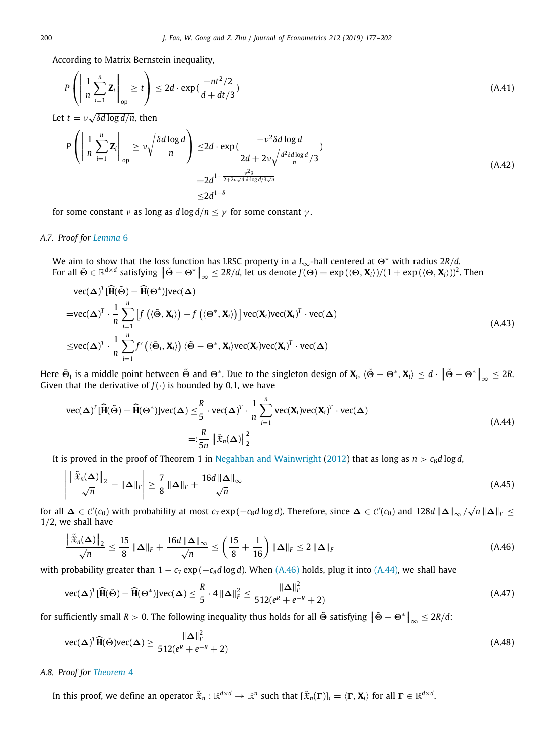According to Matrix Bernstein inequality, ⎞

$$
P\left(\left\|\frac{1}{n}\sum_{i=1}^{n} \mathbf{Z}_{i}\right\|_{\text{op}} \geq t\right) \leq 2d \cdot \exp\left(\frac{-nt^{2}/2}{d+dt/3}\right)
$$
\n(A.41)

Let  $t = v \sqrt{ }$ δ*d* log *d*/*n*, then

 $\overline{ }$ 

$$
P\left(\left\|\frac{1}{n}\sum_{i=1}^{n} \mathbf{Z}_{i}\right\|_{op} \geq \nu\sqrt{\frac{\delta d \log d}{n}}\right) \leq 2d \cdot \exp\left(\frac{-\nu^{2} \delta d \log d}{2d + 2\nu\sqrt{\frac{d^{2} \delta d \log d}{n}}}\right)
$$
\n
$$
= 2d^{1-\frac{\nu^{2} \delta}{2+2\nu\sqrt{d\delta \log d}/3\sqrt{n}}}
$$
\n
$$
\leq 2d^{1-\delta}
$$
\n(A.42)

for some constant *ν* as long as  $d \log d / n \leq \gamma$  for some constant  $\gamma$ .

# *A.7. Proof for [Lemma](#page-6-4)* [6](#page-6-4)

We aim to show that the loss function has LRSC property in a *L*∞-ball centered at <sup>Θ</sup><sup>∗</sup> with radius 2*R*/*d*. For all  $\tilde{\Theta} \in \mathbb{R}^{d \times d}$  satisfying  $\|\tilde{\Theta} - \Theta^*\|_{\infty} \leq 2R/d$ , let us denote  $f(\Theta) = \exp(\langle \Theta, \mathbf{X}_i \rangle)/(1 + \exp(\langle \Theta, \mathbf{X}_i \rangle))^2$ . Then

$$
\text{vec}(\boldsymbol{\Delta})^T [\widehat{\mathbf{H}}(\widetilde{\boldsymbol{\Theta}}) - \widehat{\mathbf{H}}(\boldsymbol{\Theta}^*)] \text{vec}(\boldsymbol{\Delta})
$$
\n
$$
= \text{vec}(\boldsymbol{\Delta})^T \cdot \frac{1}{n} \sum_{i=1}^n \left[ f\left( \langle \widetilde{\boldsymbol{\Theta}}, \mathbf{X}_i \rangle \right) - f\left( \langle \boldsymbol{\Theta}^*, \mathbf{X}_i \rangle \right) \right] \text{vec}(\mathbf{X}_i) \text{vec}(\mathbf{X}_i)^T \cdot \text{vec}(\boldsymbol{\Delta})
$$
\n
$$
\leq \text{vec}(\boldsymbol{\Delta})^T \cdot \frac{1}{n} \sum_{i=1}^n f'\left( \langle \widetilde{\boldsymbol{\Theta}}_i, \mathbf{X}_i \rangle \right) \langle \widetilde{\boldsymbol{\Theta}} - \boldsymbol{\Theta}^*, \mathbf{X}_i \rangle \text{vec}(\mathbf{X}_i) \text{vec}(\mathbf{X}_i)^T \cdot \text{vec}(\boldsymbol{\Delta})
$$
\n(A.43)

Here  $\bar{\Theta}_i$  is a middle point between  $\tilde{\Theta}$  and  $\Theta^*$ . Due to the singleton design of  $\mathbf{X}_i$ ,  $\langle \tilde{\Theta} - \Theta^*, \mathbf{X}_i \rangle \leq d \cdot \| \tilde{\Theta} - \Theta^* \|_{\infty} \leq 2R$ . Given that the derivative of  $f(\cdot)$  is bounded by 0.1, we have

<span id="page-23-1"></span>
$$
\text{vec}(\boldsymbol{\Delta})^T [\widehat{\mathbf{H}}(\widetilde{\boldsymbol{\Theta}}) - \widehat{\mathbf{H}}(\boldsymbol{\Theta}^*)] \text{vec}(\boldsymbol{\Delta}) \leq \frac{R}{5} \cdot \text{vec}(\boldsymbol{\Delta})^T \cdot \frac{1}{n} \sum_{i=1}^n \text{vec}(\mathbf{X}_i) \text{vec}(\mathbf{X}_i)^T \cdot \text{vec}(\boldsymbol{\Delta})
$$
\n
$$
=:\frac{R}{5n} \left\| \tilde{\mathbf{x}}_n(\boldsymbol{\Delta}) \right\|_2^2 \tag{A.44}
$$

It is proved in the proof of Theorem 1 in [Negahban and Wainwright](#page-25-25) ([2012\)](#page-25-25) that as long as  $n > c_6d \log d$ ,

$$
\left| \frac{\left\| \tilde{x}_n(\Delta) \right\|_2}{\sqrt{n}} - \|\Delta\|_F \right| \ge \frac{7}{8} \|\Delta\|_F + \frac{16d \|\Delta\|_\infty}{\sqrt{n}} \tag{A.45}
$$

for all  $\Delta \in C'(c_0)$  with probability at most  $c_7$  exp( $-c_8d\log d$ ). Therefore, since  $\Delta \in C'(c_0)$  and 128 $d \|\Delta\|_{\infty}/\sqrt{n} \|\Delta\|_F \le$ 1/2, we shall have

<span id="page-23-0"></span>
$$
\frac{\|\tilde{x}_n(\Delta)\|_2}{\sqrt{n}} \le \frac{15}{8} \|\Delta\|_F + \frac{16d \|\Delta\|_\infty}{\sqrt{n}} \le \left(\frac{15}{8} + \frac{1}{16}\right) \|\Delta\|_F \le 2 \|\Delta\|_F
$$
\n(A.46)

with probability greater than  $1 - c_7 \exp(-c_8d \log d)$ . When ([A.46](#page-23-0)) holds, plug it into [\(A.44\)](#page-23-1), we shall have

$$
\text{vec}(\boldsymbol{\Delta})^T [\widehat{\mathbf{H}}(\tilde{\boldsymbol{\Theta}}) - \widehat{\mathbf{H}}(\boldsymbol{\Theta}^*)] \text{vec}(\boldsymbol{\Delta}) \le \frac{R}{5} \cdot 4 \|\boldsymbol{\Delta}\|_F^2 \le \frac{\|\boldsymbol{\Delta}\|_F^2}{512(e^R + e^{-R} + 2)}
$$
(A.47)

for sufficiently small  $R > 0$ . The following inequality thus holds for all  $\tilde{\Theta}$  satisfying  $\left\|\tilde{\Theta} - \Theta^*\right\|_\infty \leq 2R/d$ :

$$
\text{vec}(\boldsymbol{\Delta})^T \widehat{\mathbf{H}}(\widetilde{\boldsymbol{\Theta}}) \text{vec}(\boldsymbol{\Delta}) \ge \frac{\|\boldsymbol{\Delta}\|_F^2}{512(e^R + e^{-R} + 2)}
$$
(A.48)

# *A.8. Proof for [Theorem](#page-6-3)* [4](#page-6-3)

In this proof, we define an operator  $\tilde{\mathfrak{X}}_n: \mathbb{R}^{d \times d} \to \mathbb{R}^n$  such that  $[\tilde{\mathfrak{X}}_n(\Gamma)]_i = \langle \Gamma, \mathbf{X}_i \rangle$  for all  $\Gamma \in \mathbb{R}^{d \times d}$ .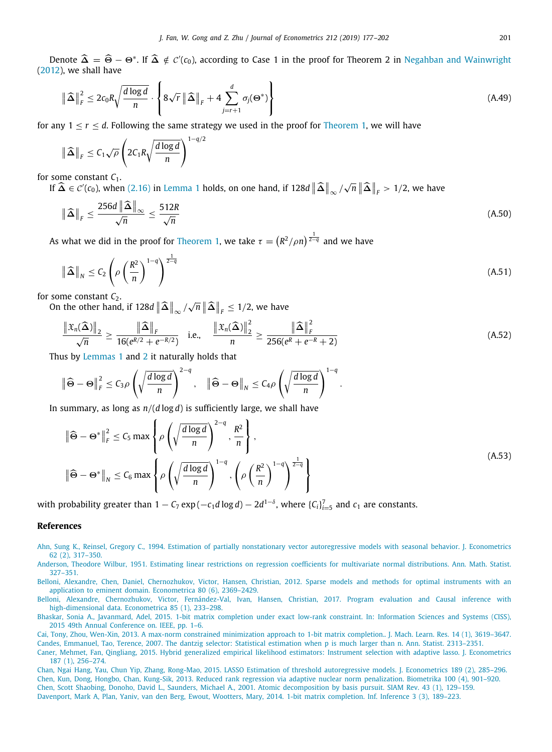Denote  $\widehat{\Delta} = \widehat{\Theta} - \Theta^*$ . If  $\widehat{\Delta} \notin C'(c_0)$ , according to Case 1 in the proof for Theorem 2 in [Negahban and Wainwright](#page-25-25) ([2012](#page-25-25)), we shall have

$$
\|\widehat{\Delta}\|_{F}^{2} \leq 2c_{0}R\sqrt{\frac{d\log d}{n}} \cdot \left\{ 8\sqrt{r} \|\widehat{\Delta}\|_{F} + 4\sum_{j=r+1}^{d} \sigma_{j}(\Theta^{*}) \right\}
$$
(A.49)

for any  $1 < r < d$  $1 < r < d$ . Following the same strategy we used in the proof for [Theorem](#page-3-1) 1, we will have

$$
\|\widehat{\Delta}\|_F \leq C_1 \sqrt{\rho} \left(2C_1 R \sqrt{\frac{d \log d}{n}}\right)^{1-q/2}
$$

for some constant *C*<sub>1</sub>.

If  $\widehat{\Delta} \in \mathcal{C}'(c_0)$ , when  $(2.16)$  $(2.16)$  in [Lemma](#page-4-0) [1](#page-4-0) holds, on one hand, if 128*d*  $\|\widehat{\Delta}\|_{\infty}$  /  $\sqrt{n}$   $\|\widehat{\Delta}\|_F > 1/2$ , we have

$$
\|\widehat{\Delta}\|_{F} \le \frac{256d \|\widehat{\Delta}\|_{\infty}}{\sqrt{n}} \le \frac{512R}{\sqrt{n}} \tag{A.50}
$$

As what we did in the proof for [Theorem](#page-3-1) [1,](#page-3-1) we take  $\tau = (R^2/\rho n)^{\frac{1}{2-q}}$  and we have

$$
\|\widehat{\Delta}\|_{N} \leq C_{2} \left(\rho \left(\frac{R^{2}}{n}\right)^{1-q}\right)^{\frac{1}{2-q}}
$$
\n(A.51)

for some constant  $C_2$ .

On the other hand, if 128 $d \left\| \widehat{\boldsymbol{\Delta}} \right\|_{\infty} / \delta$  $\sqrt{n}$   $\|\widehat{\boldsymbol{\Delta}}\|_F \leq 1/2$ , we have

$$
\frac{\|\mathfrak{X}_n(\widehat{\boldsymbol{\Delta}})\|_2}{\sqrt{n}} \ge \frac{\|\widehat{\boldsymbol{\Delta}}\|_F}{16(e^{R/2} + e^{-R/2})} \quad \text{i.e.,} \quad \frac{\|\mathfrak{X}_n(\widehat{\boldsymbol{\Delta}})\|_2^2}{n} \ge \frac{\|\widehat{\boldsymbol{\Delta}}\|_F^2}{256(e^R + e^{-R} + 2)} \tag{A.52}
$$

.

Thus by [Lemmas](#page-4-0) [1](#page-4-0) and [2](#page-4-1) it naturally holds that

$$
\|\widehat{\Theta}-\Theta\|_F^2 \leq C_3 \rho \left(\sqrt{\frac{d \log d}{n}}\right)^{2-q}, \quad \|\widehat{\Theta}-\Theta\|_N \leq C_4 \rho \left(\sqrt{\frac{d \log d}{n}}\right)^{1-q}
$$

In summary, as long as *n*/(*d* log *d*) is sufficiently large, we shall have

$$
\|\widehat{\Theta} - \Theta^*\|_F^2 \le C_5 \max \left\{ \rho \left( \sqrt{\frac{d \log d}{n}} \right)^{2-q}, \frac{R^2}{n} \right\},\
$$
\n
$$
\|\widehat{\Theta} - \Theta^*\|_N \le C_6 \max \left\{ \rho \left( \sqrt{\frac{d \log d}{n}} \right)^{1-q}, \left( \rho \left( \frac{R^2}{n} \right)^{1-q} \right)^{\frac{1}{2-q}} \right\}
$$
\n(A.53)

with probability greater than  $1 - C_7 \exp(-c_1 d \log d) - 2d^{1-\delta}$ , where  $\{C_i\}_{i=5}^7$  and  $c_1$  are constants.

# **References**

- <span id="page-24-10"></span>[Ahn, Sung K., Reinsel, Gregory C., 1994. Estimation of partially nonstationary vector autoregressive models with seasonal behavior. J. Econometrics](http://refhub.elsevier.com/S0304-4076(19)30081-8/sb1) [62 \(2\), 317–350.](http://refhub.elsevier.com/S0304-4076(19)30081-8/sb1)
- <span id="page-24-6"></span>[Anderson, Theodore Wilbur, 1951. Estimating linear restrictions on regression coefficients for multivariate normal distributions. Ann. Math. Statist.](http://refhub.elsevier.com/S0304-4076(19)30081-8/sb2) [327–351.](http://refhub.elsevier.com/S0304-4076(19)30081-8/sb2)
- <span id="page-24-2"></span>[Belloni, Alexandre, Chen, Daniel, Chernozhukov, Victor, Hansen, Christian, 2012. Sparse models and methods for optimal instruments with an](http://refhub.elsevier.com/S0304-4076(19)30081-8/sb3) [application to eminent domain. Econometrica 80 \(6\), 2369–2429.](http://refhub.elsevier.com/S0304-4076(19)30081-8/sb3)

<span id="page-24-7"></span><span id="page-24-1"></span>[Cai, Tony, Zhou, Wen-Xin, 2013. A max-norm constrained minimization approach to 1-bit matrix completion.. J. Mach. Learn. Res. 14 \(1\), 3619–3647.](http://refhub.elsevier.com/S0304-4076(19)30081-8/sb6) [Candes, Emmanuel, Tao, Terence, 2007. The dantzig selector: Statistical estimation when p is much larger than n. Ann. Statist. 2313–2351.](http://refhub.elsevier.com/S0304-4076(19)30081-8/sb7)

<span id="page-24-5"></span>[Belloni, Alexandre, Chernozhukov, Victor, Fernández-Val, Ivan, Hansen, Christian, 2017. Program evaluation and Causal inference with](http://refhub.elsevier.com/S0304-4076(19)30081-8/sb4) [high-dimensional data. Econometrica 85 \(1\), 233–298.](http://refhub.elsevier.com/S0304-4076(19)30081-8/sb4)

<span id="page-24-9"></span>[Bhaskar, Sonia A., Javanmard, Adel, 2015. 1-bit matrix completion under exact low-rank constraint. In: Information Sciences and Systems \(CISS\),](http://refhub.elsevier.com/S0304-4076(19)30081-8/sb5) [2015 49th Annual Conference on. IEEE, pp. 1–6.](http://refhub.elsevier.com/S0304-4076(19)30081-8/sb5)

<span id="page-24-3"></span>[Caner, Mehmet, Fan, Qingliang, 2015. Hybrid generalized empirical likelihood estimators: Instrument selection with adaptive lasso. J. Econometrics](http://refhub.elsevier.com/S0304-4076(19)30081-8/sb8) [187 \(1\), 256–274.](http://refhub.elsevier.com/S0304-4076(19)30081-8/sb8)

<span id="page-24-11"></span><span id="page-24-8"></span><span id="page-24-4"></span><span id="page-24-0"></span>[Chan, Ngai Hang, Yau, Chun Yip, Zhang, Rong-Mao, 2015. LASSO Estimation of threshold autoregressive models. J. Econometrics 189 \(2\), 285–296.](http://refhub.elsevier.com/S0304-4076(19)30081-8/sb9) [Chen, Kun, Dong, Hongbo, Chan, Kung-Sik, 2013. Reduced rank regression via adaptive nuclear norm penalization. Biometrika 100 \(4\), 901–920.](http://refhub.elsevier.com/S0304-4076(19)30081-8/sb10) [Chen, Scott Shaobing, Donoho, David L., Saunders, Michael A., 2001. Atomic decomposition by basis pursuit. SIAM Rev. 43 \(1\), 129–159.](http://refhub.elsevier.com/S0304-4076(19)30081-8/sb11) [Davenport, Mark A, Plan, Yaniv, van den Berg, Ewout, Wootters, Mary, 2014. 1-bit matrix completion. Inf. Inference 3 \(3\), 189–223.](http://refhub.elsevier.com/S0304-4076(19)30081-8/sb12)